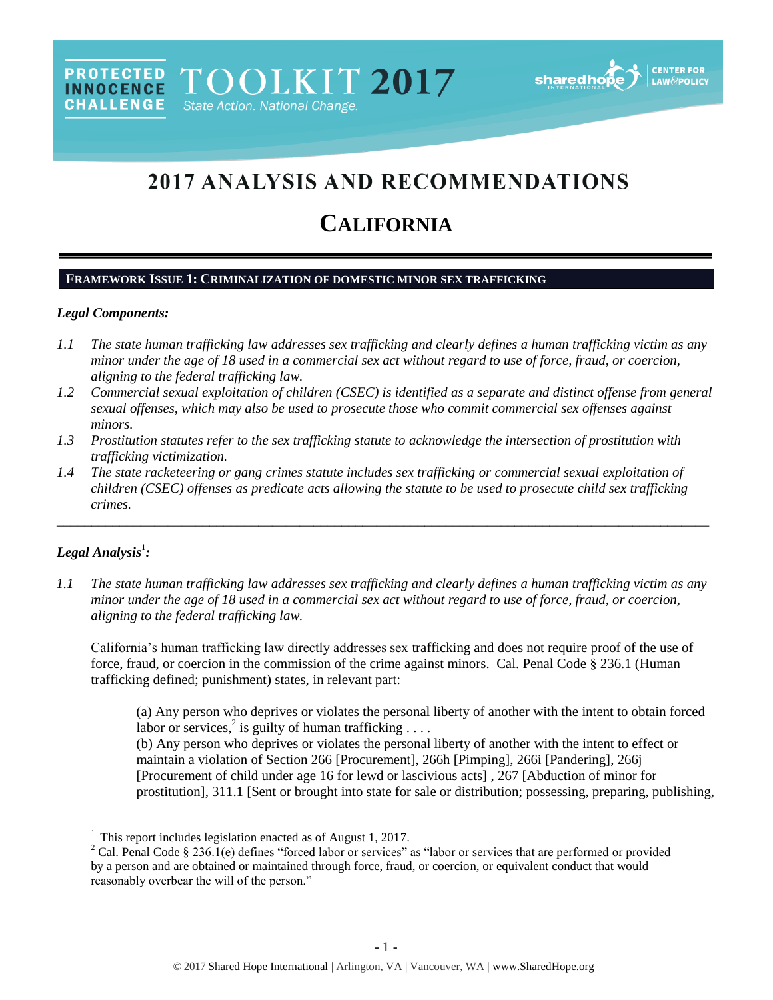# 2017 ANALYSIS AND RECOMMENDATIONS

# **CALIFORNIA**

#### **FRAMEWORK ISSUE 1: CRIMINALIZATION OF DOMESTIC MINOR SEX TRAFFICKING**

#### *Legal Components:*

- *1.1 The state human trafficking law addresses sex trafficking and clearly defines a human trafficking victim as any minor under the age of 18 used in a commercial sex act without regard to use of force, fraud, or coercion, aligning to the federal trafficking law.*
- *1.2 Commercial sexual exploitation of children (CSEC) is identified as a separate and distinct offense from general sexual offenses, which may also be used to prosecute those who commit commercial sex offenses against minors.*
- *1.3 Prostitution statutes refer to the sex trafficking statute to acknowledge the intersection of prostitution with trafficking victimization.*
- *1.4 The state racketeering or gang crimes statute includes sex trafficking or commercial sexual exploitation of children (CSEC) offenses as predicate acts allowing the statute to be used to prosecute child sex trafficking crimes.*

\_\_\_\_\_\_\_\_\_\_\_\_\_\_\_\_\_\_\_\_\_\_\_\_\_\_\_\_\_\_\_\_\_\_\_\_\_\_\_\_\_\_\_\_\_\_\_\_\_\_\_\_\_\_\_\_\_\_\_\_\_\_\_\_\_\_\_\_\_\_\_\_\_\_\_\_\_\_\_\_\_\_\_\_\_\_\_\_\_\_\_\_\_\_

# $\bm{L}$ egal Analysis $^1$ :

l

*1.1 The state human trafficking law addresses sex trafficking and clearly defines a human trafficking victim as any minor under the age of 18 used in a commercial sex act without regard to use of force, fraud, or coercion, aligning to the federal trafficking law.* 

California's human trafficking law directly addresses sex trafficking and does not require proof of the use of force, fraud, or coercion in the commission of the crime against minors. Cal. Penal Code § 236.1 (Human trafficking defined; punishment) states, in relevant part:

(a) Any person who deprives or violates the personal liberty of another with the intent to obtain forced labor or services,<sup>2</sup> is guilty of human trafficking ....

(b) Any person who deprives or violates the personal liberty of another with the intent to effect or maintain a violation of Section 266 [Procurement], 266h [Pimping], 266i [Pandering], 266j [Procurement of child under age 16 for lewd or lascivious acts] , 267 [Abduction of minor for prostitution], 311.1 [Sent or brought into state for sale or distribution; possessing, preparing, publishing,

<sup>1</sup> This report includes legislation enacted as of August 1, 2017.

 $2$  Cal. Penal Code § 236.1(e) defines "forced labor or services" as "labor or services that are performed or provided by a person and are obtained or maintained through force, fraud, or coercion, or equivalent conduct that would reasonably overbear the will of the person."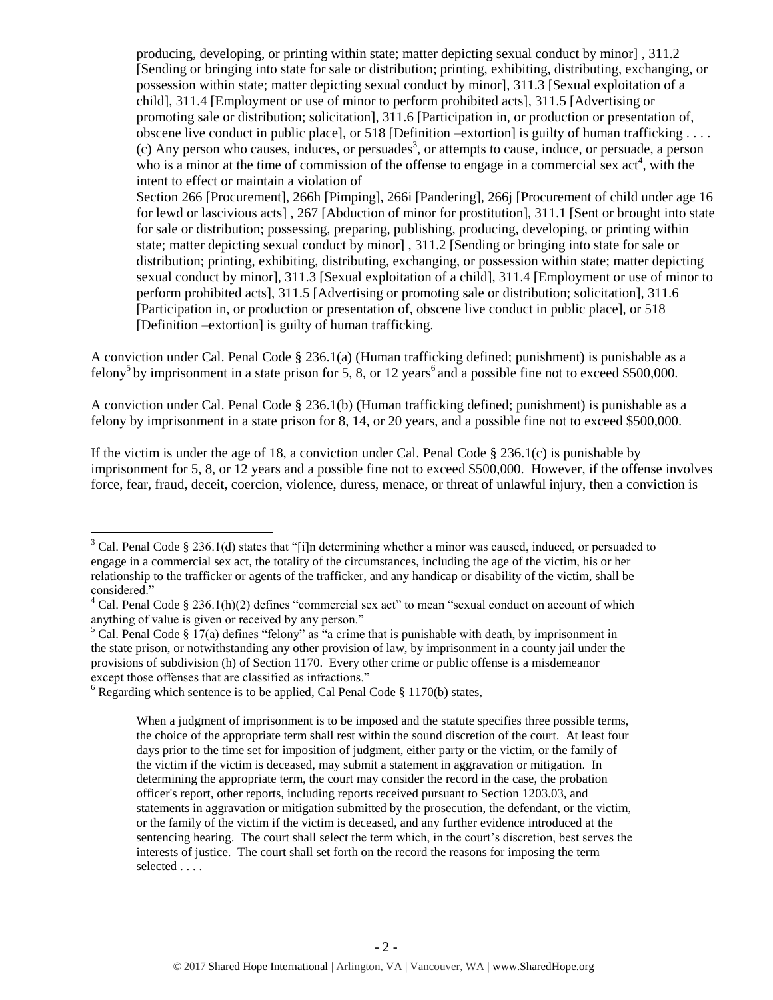producing, developing, or printing within state; matter depicting sexual conduct by minor] , 311.2 [Sending or bringing into state for sale or distribution; printing, exhibiting, distributing, exchanging, or possession within state; matter depicting sexual conduct by minor], 311.3 [Sexual exploitation of a child], 311.4 [Employment or use of minor to perform prohibited acts], 311.5 [Advertising or promoting sale or distribution; solicitation], 311.6 [Participation in, or production or presentation of, obscene live conduct in public place], or 518 [Definition –extortion] is guilty of human trafficking . . . .  $(c)$  Any person who causes, induces, or persuades<sup>3</sup>, or attempts to cause, induce, or persuade, a person who is a minor at the time of commission of the offense to engage in a commercial sex  $act<sup>4</sup>$ , with the intent to effect or maintain a violation of Section 266 [Procurement], 266h [Pimping], 266i [Pandering], 266j [Procurement of child under age 16

<span id="page-1-0"></span>for lewd or lascivious acts] , 267 [Abduction of minor for prostitution], 311.1 [Sent or brought into state for sale or distribution; possessing, preparing, publishing, producing, developing, or printing within state; matter depicting sexual conduct by minor] , 311.2 [Sending or bringing into state for sale or distribution; printing, exhibiting, distributing, exchanging, or possession within state; matter depicting sexual conduct by minor], 311.3 [Sexual exploitation of a child], 311.4 [Employment or use of minor to perform prohibited acts], 311.5 [Advertising or promoting sale or distribution; solicitation], 311.6 [Participation in, or production or presentation of, obscene live conduct in public place], or 518 [Definition –extortion] is guilty of human trafficking.

A conviction under Cal. Penal Code  $\S 236.1(a)$  (Human trafficking defined; punishment) is punishable as a felony<sup>5</sup> by imprisonment in a state prison for 5, 8, or 12 years<sup>6</sup> and a possible fine not to exceed \$500,000.

A conviction under Cal. Penal Code § 236.1(b) (Human trafficking defined; punishment) is punishable as a felony by imprisonment in a state prison for 8, 14, or 20 years, and a possible fine not to exceed \$500,000.

If the victim is under the age of 18, a conviction under Cal. Penal Code  $\S 236.1(c)$  is punishable by imprisonment for 5, 8, or 12 years and a possible fine not to exceed \$500,000. However, if the offense involves force, fear, fraud, deceit, coercion, violence, duress, menace, or threat of unlawful injury, then a conviction is

 $\overline{\phantom{a}}$ 

 $3$  Cal. Penal Code § 236.1(d) states that "[i]n determining whether a minor was caused, induced, or persuaded to engage in a commercial sex act, the totality of the circumstances, including the age of the victim, his or her relationship to the trafficker or agents of the trafficker, and any handicap or disability of the victim, shall be considered."

<sup>&</sup>lt;sup>4</sup> Cal. Penal Code § 236.1(h)(2) defines "commercial sex act" to mean "sexual conduct on account of which anything of value is given or received by any person."

 $5$  Cal. Penal Code § 17(a) defines "felony" as "a crime that is punishable with death, by imprisonment in the state prison, or notwithstanding any other provision of law, by imprisonment in a county jail under the provisions of subdivision (h) of Section 1170. Every other crime or public offense is a misdemeanor except those offenses that are classified as infractions."

 $6$  Regarding which sentence is to be applied, Cal Penal Code § 1170(b) states,

When a judgment of imprisonment is to be imposed and the statute specifies three possible terms, the choice of the appropriate term shall rest within the sound discretion of the court. At least four days prior to the time set for imposition of judgment, either party or the victim, or the family of the victim if the victim is deceased, may submit a statement in aggravation or mitigation. In determining the appropriate term, the court may consider the record in the case, the probation officer's report, other reports, including reports received pursuant to Section 1203.03, and statements in aggravation or mitigation submitted by the prosecution, the defendant, or the victim, or the family of the victim if the victim is deceased, and any further evidence introduced at the sentencing hearing. The court shall select the term which, in the court's discretion, best serves the interests of justice. The court shall set forth on the record the reasons for imposing the term selected . . . .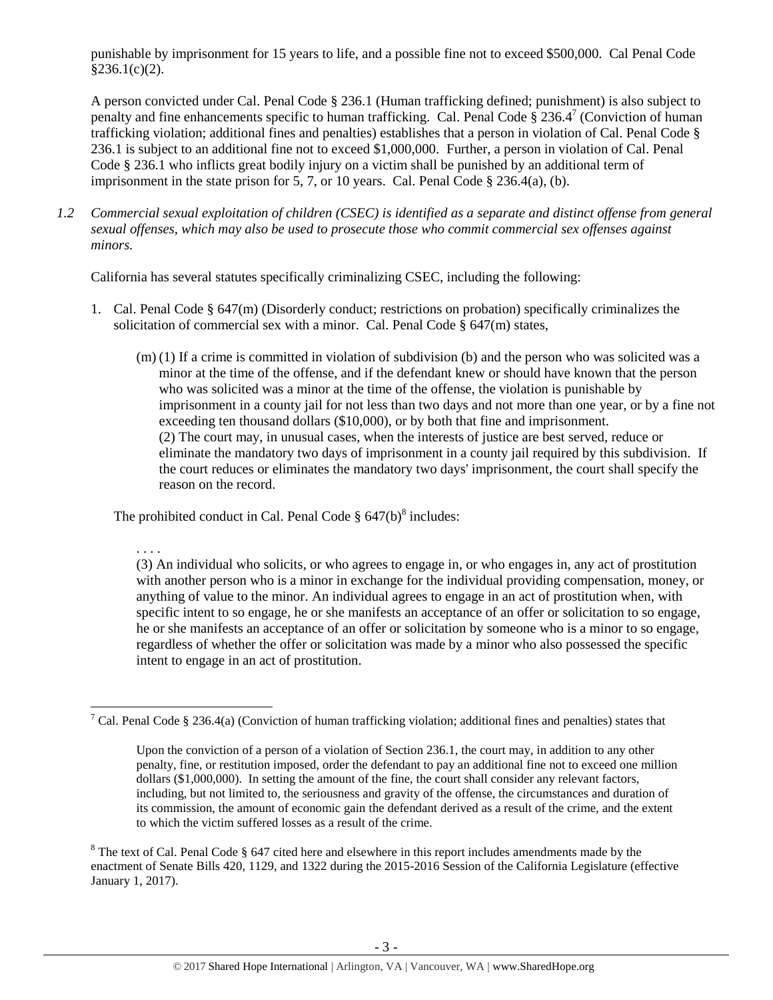punishable by imprisonment for 15 years to life, and a possible fine not to exceed \$500,000. Cal Penal Code  $§236.1(c)(2)$ .

A person convicted under Cal. Penal Code § 236.1 (Human trafficking defined; punishment) is also subject to penalty and fine enhancements specific to human trafficking. Cal. Penal Code  $\S 236.4^7$  (Conviction of human trafficking violation; additional fines and penalties) establishes that a person in violation of Cal. Penal Code § 236.1 is subject to an additional fine not to exceed \$1,000,000. Further, a person in violation of Cal. Penal Code § 236.1 who inflicts great bodily injury on a victim shall be punished by an additional term of imprisonment in the state prison for 5, 7, or 10 years. Cal. Penal Code § 236.4(a), (b).

*1.2 Commercial sexual exploitation of children (CSEC) is identified as a separate and distinct offense from general sexual offenses, which may also be used to prosecute those who commit commercial sex offenses against minors.* 

California has several statutes specifically criminalizing CSEC, including the following:

- 1. Cal. Penal Code § 647(m) (Disorderly conduct; restrictions on probation) specifically criminalizes the solicitation of commercial sex with a minor. Cal. Penal Code  $\S$  647(m) states,
	- (m) (1) If a crime is committed in violation of subdivision (b) and the person who was solicited was a minor at the time of the offense, and if the defendant knew or should have known that the person who was solicited was a minor at the time of the offense, the violation is punishable by imprisonment in a county jail for not less than two days and not more than one year, or by a fine not exceeding ten thousand dollars (\$10,000), or by both that fine and imprisonment. (2) The court may, in unusual cases, when the interests of justice are best served, reduce or eliminate the mandatory two days of imprisonment in a county jail required by this subdivision. If the court reduces or eliminates the mandatory two days' imprisonment, the court shall specify the reason on the record.

The prohibited conduct in Cal. Penal Code  $\S 647(b)^8$  includes:

<span id="page-2-0"></span>. . . .

(3) An individual who solicits, or who agrees to engage in, or who engages in, any act of prostitution with another person who is a minor in exchange for the individual providing compensation, money, or anything of value to the minor. An individual agrees to engage in an act of prostitution when, with specific intent to so engage, he or she manifests an acceptance of an offer or solicitation to so engage, he or she manifests an acceptance of an offer or solicitation by someone who is a minor to so engage, regardless of whether the offer or solicitation was made by a minor who also possessed the specific intent to engage in an act of prostitution.

 $\overline{\phantom{a}}$ <sup>7</sup> Cal. Penal Code § 236.4(a) (Conviction of human trafficking violation; additional fines and penalties) states that

Upon the conviction of a person of a violation of Section 236.1, the court may, in addition to any other penalty, fine, or restitution imposed, order the defendant to pay an additional fine not to exceed one million dollars (\$1,000,000). In setting the amount of the fine, the court shall consider any relevant factors, including, but not limited to, the seriousness and gravity of the offense, the circumstances and duration of its commission, the amount of economic gain the defendant derived as a result of the crime, and the extent to which the victim suffered losses as a result of the crime.

<sup>&</sup>lt;sup>8</sup> The text of Cal. Penal Code § 647 cited here and elsewhere in this report includes amendments made by the enactment of Senate Bills 420, 1129, and 1322 during the 2015-2016 Session of the California Legislature (effective January 1, 2017).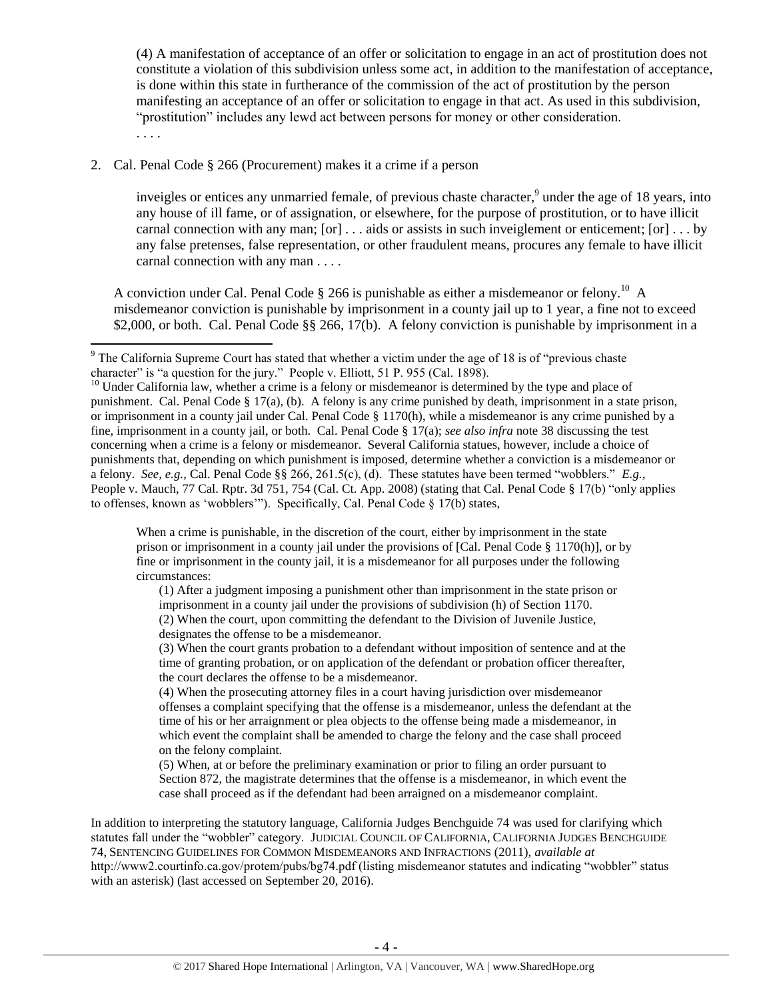(4) A manifestation of acceptance of an offer or solicitation to engage in an act of prostitution does not constitute a violation of this subdivision unless some act, in addition to the manifestation of acceptance, is done within this state in furtherance of the commission of the act of prostitution by the person manifesting an acceptance of an offer or solicitation to engage in that act. As used in this subdivision, "prostitution" includes any lewd act between persons for money or other consideration. . . . .

#### 2. Cal. Penal Code § 266 (Procurement) makes it a crime if a person

l

<span id="page-3-0"></span>inveigles or entices any unmarried female, of previous chaste character,<sup>9</sup> under the age of 18 years, into any house of ill fame, or of assignation, or elsewhere, for the purpose of prostitution, or to have illicit carnal connection with any man;  $[\text{or}] \dots$  aids or assists in such inveiglement or enticement;  $[\text{or}] \dots$  by any false pretenses, false representation, or other fraudulent means, procures any female to have illicit carnal connection with any man . . . .

A conviction under Cal. Penal Code  $\S 266$  is punishable as either a misdemeanor or felony.<sup>10</sup> A misdemeanor conviction is punishable by imprisonment in a county jail up to 1 year, a fine not to exceed \$2,000, or both. Cal. Penal Code §§ 266, 17(b). A felony conviction is punishable by imprisonment in a

When a crime is punishable, in the discretion of the court, either by imprisonment in the state prison or imprisonment in a county jail under the provisions of [Cal. Penal Code § 1170(h)], or by fine or imprisonment in the county jail, it is a misdemeanor for all purposes under the following circumstances:

(1) After a judgment imposing a punishment other than imprisonment in the state prison or imprisonment in a county jail under the provisions of subdivision (h) of Section 1170. (2) When the court, upon committing the defendant to the Division of Juvenile Justice, designates the offense to be a misdemeanor.

(3) When the court grants probation to a defendant without imposition of sentence and at the time of granting probation, or on application of the defendant or probation officer thereafter, the court declares the offense to be a misdemeanor.

(4) When the prosecuting attorney files in a court having jurisdiction over misdemeanor offenses a complaint specifying that the offense is a misdemeanor, unless the defendant at the time of his or her arraignment or plea objects to the offense being made a misdemeanor, in which event the complaint shall be amended to charge the felony and the case shall proceed on the felony complaint.

(5) When, at or before the preliminary examination or prior to filing an order pursuant to Section 872, the magistrate determines that the offense is a misdemeanor, in which event the case shall proceed as if the defendant had been arraigned on a misdemeanor complaint.

In addition to interpreting the statutory language, California Judges Benchguide 74 was used for clarifying which statutes fall under the "wobbler" category. JUDICIAL COUNCIL OF CALIFORNIA, CALIFORNIA JUDGES BENCHGUIDE 74, SENTENCING GUIDELINES FOR COMMON MISDEMEANORS AND INFRACTIONS (2011), *available at*  http://www2.courtinfo.ca.gov/protem/pubs/bg74.pdf (listing misdemeanor statutes and indicating "wobbler" status with an asterisk) (last accessed on September 20, 2016).

 $9$  The California Supreme Court has stated that whether a victim under the age of 18 is of "previous chaste" character" is "a question for the jury." People v. Elliott, 51 P. 955 (Cal. 1898).

<sup>&</sup>lt;sup>10</sup> Under California law, whether a crime is a felony or misdemeanor is determined by the type and place of punishment. Cal. Penal Code § 17(a), (b). A felony is any crime punished by death, imprisonment in a state prison, or imprisonment in a county jail under Cal. Penal Code § 1170(h), while a misdemeanor is any crime punished by a fine, imprisonment in a county jail, or both. Cal. Penal Code § 17(a); *see also infra* not[e 38](#page-17-0) discussing the test concerning when a crime is a felony or misdemeanor. Several California statues, however, include a choice of punishments that, depending on which punishment is imposed, determine whether a conviction is a misdemeanor or a felony. *See, e.g.,* Cal. Penal Code §§ 266, 261.5(c), (d). These statutes have been termed "wobblers." *E.g.,*  People v. Mauch, 77 Cal. Rptr. 3d 751, 754 (Cal. Ct. App. 2008) (stating that Cal. Penal Code § 17(b) "only applies to offenses, known as 'wobblers'"). Specifically, Cal. Penal Code  $\S 17(b)$  states,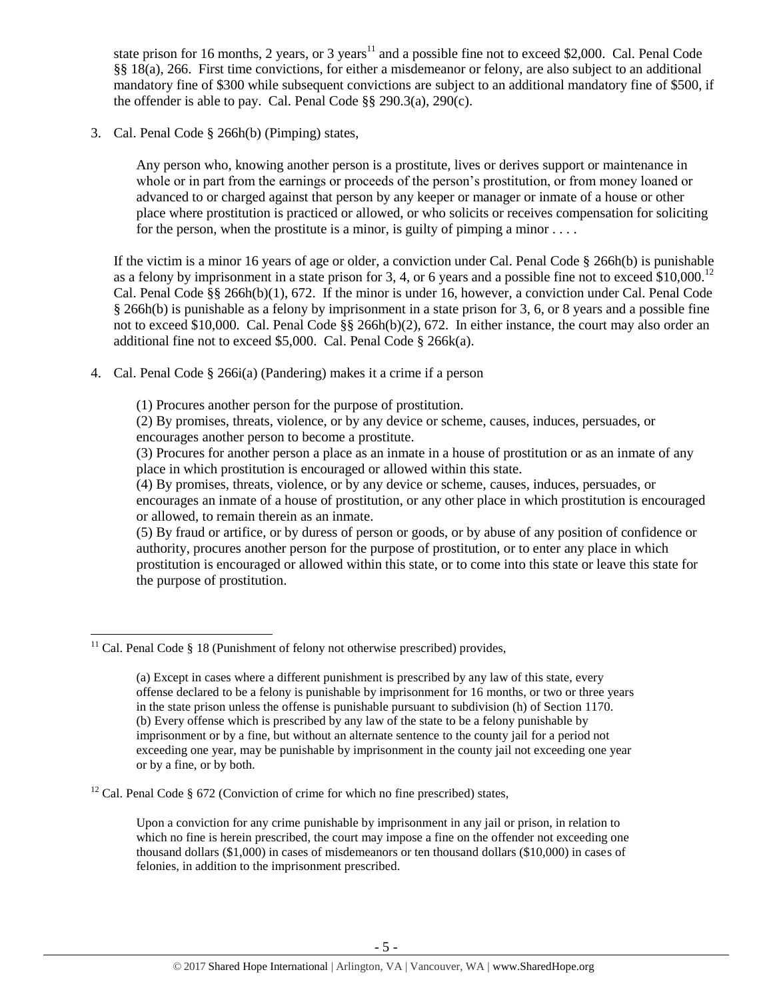<span id="page-4-0"></span>state prison for 16 months, 2 years, or 3 years<sup>11</sup> and a possible fine not to exceed \$2,000. Cal. Penal Code §§ 18(a), 266. First time convictions, for either a misdemeanor or felony, are also subject to an additional mandatory fine of \$300 while subsequent convictions are subject to an additional mandatory fine of \$500, if the offender is able to pay. Cal. Penal Code §§ 290.3(a), 290(c).

3. Cal. Penal Code § 266h(b) (Pimping) states,

Any person who, knowing another person is a prostitute, lives or derives support or maintenance in whole or in part from the earnings or proceeds of the person's prostitution, or from money loaned or advanced to or charged against that person by any keeper or manager or inmate of a house or other place where prostitution is practiced or allowed, or who solicits or receives compensation for soliciting for the person, when the prostitute is a minor, is guilty of pimping a minor  $\dots$ .

If the victim is a minor 16 years of age or older, a conviction under Cal. Penal Code § 266h(b) is punishable as a felony by imprisonment in a state prison for 3, 4, or 6 years and a possible fine not to exceed  $$10,000$ .<sup>12</sup> Cal. Penal Code §§ 266h(b)(1), 672. If the minor is under 16, however, a conviction under Cal. Penal Code § 266h(b) is punishable as a felony by imprisonment in a state prison for 3, 6, or 8 years and a possible fine not to exceed \$10,000. Cal. Penal Code  $\S$ § 266h(b)(2), 672. In either instance, the court may also order an additional fine not to exceed \$5,000. Cal. Penal Code § 266k(a).

4. Cal. Penal Code § 266i(a) (Pandering) makes it a crime if a person

(1) Procures another person for the purpose of prostitution.

(2) By promises, threats, violence, or by any device or scheme, causes, induces, persuades, or encourages another person to become a prostitute.

(3) Procures for another person a place as an inmate in a house of prostitution or as an inmate of any place in which prostitution is encouraged or allowed within this state.

(4) By promises, threats, violence, or by any device or scheme, causes, induces, persuades, or encourages an inmate of a house of prostitution, or any other place in which prostitution is encouraged or allowed, to remain therein as an inmate.

(5) By fraud or artifice, or by duress of person or goods, or by abuse of any position of confidence or authority, procures another person for the purpose of prostitution, or to enter any place in which prostitution is encouraged or allowed within this state, or to come into this state or leave this state for the purpose of prostitution.

 $\overline{\phantom{a}}$  $11$  Cal. Penal Code § 18 (Punishment of felony not otherwise prescribed) provides,

<sup>(</sup>a) Except in cases where a different punishment is prescribed by any law of this state, every offense declared to be a felony is punishable by imprisonment for 16 months, or two or three years in the state prison unless the offense is punishable pursuant to subdivision (h) of Section 1170. (b) Every offense which is prescribed by any law of the state to be a felony punishable by imprisonment or by a fine, but without an alternate sentence to the county jail for a period not exceeding one year, may be punishable by imprisonment in the county jail not exceeding one year or by a fine, or by both.

 $12$  Cal. Penal Code § 672 (Conviction of crime for which no fine prescribed) states,

Upon a conviction for any crime punishable by imprisonment in any jail or prison, in relation to which no fine is herein prescribed, the court may impose a fine on the offender not exceeding one thousand dollars (\$1,000) in cases of misdemeanors or ten thousand dollars (\$10,000) in cases of felonies, in addition to the imprisonment prescribed.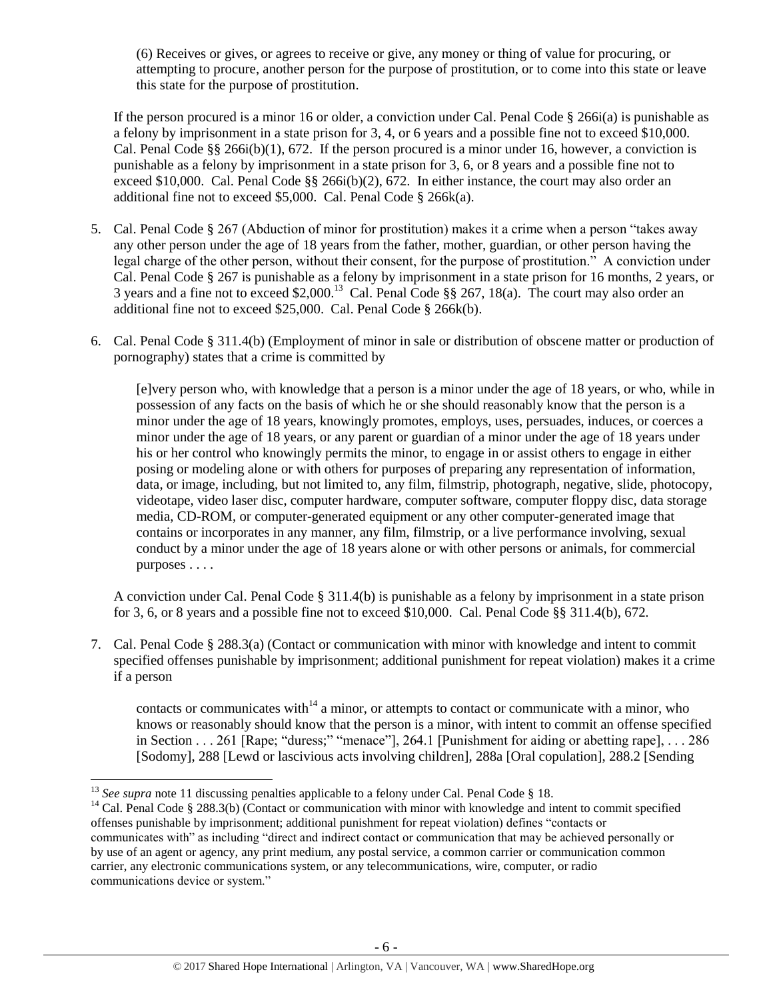(6) Receives or gives, or agrees to receive or give, any money or thing of value for procuring, or attempting to procure, another person for the purpose of prostitution, or to come into this state or leave this state for the purpose of prostitution.

If the person procured is a minor 16 or older, a conviction under Cal. Penal Code § 266i(a) is punishable as a felony by imprisonment in a state prison for 3, 4, or 6 years and a possible fine not to exceed \$10,000. Cal. Penal Code §§ 266i(b)(1), 672. If the person procured is a minor under 16, however, a conviction is punishable as a felony by imprisonment in a state prison for 3, 6, or 8 years and a possible fine not to exceed \$10,000. Cal. Penal Code §§ 266i(b)(2), 672. In either instance, the court may also order an additional fine not to exceed \$5,000. Cal. Penal Code § 266k(a).

- 5. Cal. Penal Code § 267 (Abduction of minor for prostitution) makes it a crime when a person "takes away any other person under the age of 18 years from the father, mother, guardian, or other person having the legal charge of the other person, without their consent, for the purpose of prostitution." A conviction under Cal. Penal Code § 267 is punishable as a felony by imprisonment in a state prison for 16 months, 2 years, or 3 years and a fine not to exceed \$2,000.<sup>13</sup> Cal. Penal Code §§ 267, 18(a). The court may also order an additional fine not to exceed \$25,000. Cal. Penal Code § 266k(b).
- 6. Cal. Penal Code § 311.4(b) (Employment of minor in sale or distribution of obscene matter or production of pornography) states that a crime is committed by

[e]very person who, with knowledge that a person is a minor under the age of 18 years, or who, while in possession of any facts on the basis of which he or she should reasonably know that the person is a minor under the age of 18 years, knowingly promotes, employs, uses, persuades, induces, or coerces a minor under the age of 18 years, or any parent or guardian of a minor under the age of 18 years under his or her control who knowingly permits the minor, to engage in or assist others to engage in either posing or modeling alone or with others for purposes of preparing any representation of information, data, or image, including, but not limited to, any film, filmstrip, photograph, negative, slide, photocopy, videotape, video laser disc, computer hardware, computer software, computer floppy disc, data storage media, CD-ROM, or computer-generated equipment or any other computer-generated image that contains or incorporates in any manner, any film, filmstrip, or a live performance involving, sexual conduct by a minor under the age of 18 years alone or with other persons or animals, for commercial purposes . . . .

A conviction under Cal. Penal Code § 311.4(b) is punishable as a felony by imprisonment in a state prison for 3, 6, or 8 years and a possible fine not to exceed  $$10,000$ . Cal. Penal Code  $\S$ § 311.4(b), 672.

7. Cal. Penal Code § 288.3(a) (Contact or communication with minor with knowledge and intent to commit specified offenses punishable by imprisonment; additional punishment for repeat violation) makes it a crime if a person

contacts or communicates with<sup>14</sup> a minor, or attempts to contact or communicate with a minor, who knows or reasonably should know that the person is a minor, with intent to commit an offense specified in Section . . . 261 [Rape; "duress;" "menace"], 264.1 [Punishment for aiding or abetting rape], . . . 286 [Sodomy], 288 [Lewd or lascivious acts involving children], 288a [Oral copulation], 288.2 [Sending

 $\overline{a}$ <sup>13</sup> See supra note [11](#page-4-0) discussing penalties applicable to a felony under Cal. Penal Code § 18.

<sup>&</sup>lt;sup>14</sup> Cal. Penal Code § 288.3(b) (Contact or communication with minor with knowledge and intent to commit specified offenses punishable by imprisonment; additional punishment for repeat violation) defines "contacts or communicates with" as including "direct and indirect contact or communication that may be achieved personally or by use of an agent or agency, any print medium, any postal service, a common carrier or communication common carrier, any electronic communications system, or any telecommunications, wire, computer, or radio communications device or system."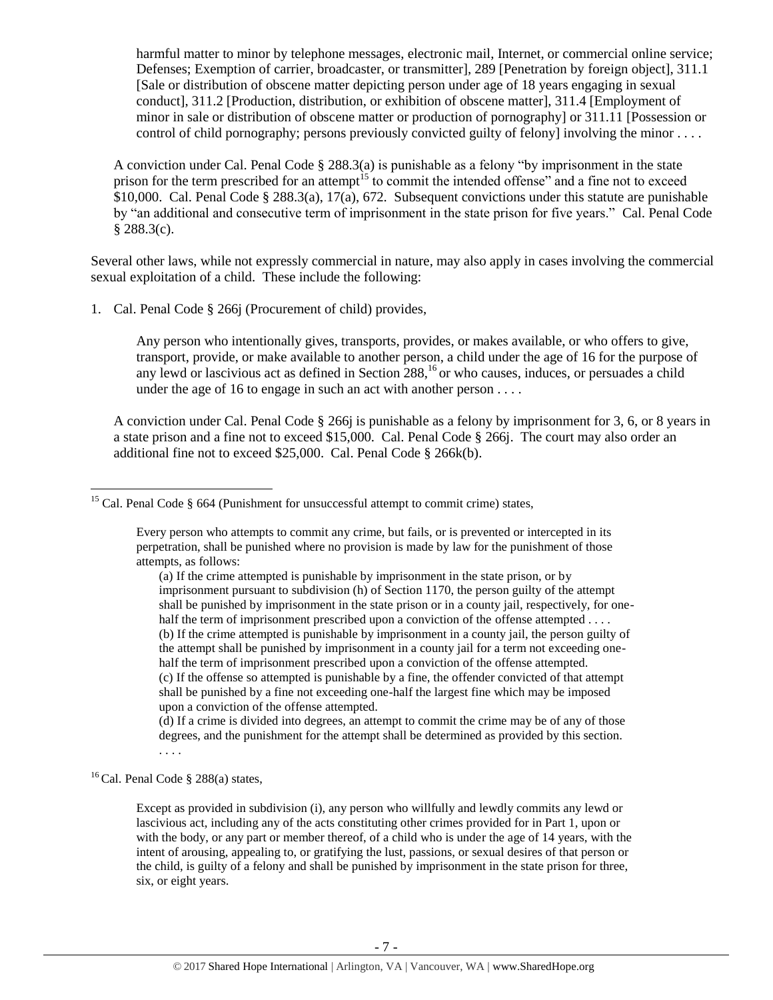harmful matter to minor by telephone messages, electronic mail, Internet, or commercial online service; Defenses; Exemption of carrier, broadcaster, or transmitter], 289 [Penetration by foreign object], 311.1 [Sale or distribution of obscene matter depicting person under age of 18 years engaging in sexual conduct], 311.2 [Production, distribution, or exhibition of obscene matter], 311.4 [Employment of minor in sale or distribution of obscene matter or production of pornography] or 311.11 [Possession or control of child pornography; persons previously convicted guilty of felony] involving the minor . . . .

<span id="page-6-0"></span>A conviction under Cal. Penal Code § 288.3(a) is punishable as a felony "by imprisonment in the state prison for the term prescribed for an attempt<sup>15</sup> to commit the intended offense" and a fine not to exceed \$10,000. Cal. Penal Code § 288.3(a), 17(a), 672. Subsequent convictions under this statute are punishable by "an additional and consecutive term of imprisonment in the state prison for five years." Cal. Penal Code  $§ 288.3(c).$ 

Several other laws, while not expressly commercial in nature, may also apply in cases involving the commercial sexual exploitation of a child. These include the following:

1. Cal. Penal Code § 266j (Procurement of child) provides,

<span id="page-6-1"></span>Any person who intentionally gives, transports, provides, or makes available, or who offers to give, transport, provide, or make available to another person, a child under the age of 16 for the purpose of any lewd or lascivious act as defined in Section  $288<sup>16</sup>$  or who causes, induces, or persuades a child under the age of 16 to engage in such an act with another person . . . .

A conviction under Cal. Penal Code § 266j is punishable as a felony by imprisonment for 3, 6, or 8 years in a state prison and a fine not to exceed \$15,000. Cal. Penal Code § 266j. The court may also order an additional fine not to exceed \$25,000. Cal. Penal Code § 266k(b).

(d) If a crime is divided into degrees, an attempt to commit the crime may be of any of those degrees, and the punishment for the attempt shall be determined as provided by this section.

. . . .

 $\overline{\phantom{a}}$ 

<sup>16</sup> Cal. Penal Code § 288(a) states,

Except as provided in subdivision (i), any person who willfully and lewdly commits any lewd or lascivious act, including any of the acts constituting other crimes provided for in Part 1, upon or with the body, or any part or member thereof, of a child who is under the age of 14 years, with the intent of arousing, appealing to, or gratifying the lust, passions, or sexual desires of that person or the child, is guilty of a felony and shall be punished by imprisonment in the state prison for three, six, or eight years.

<sup>&</sup>lt;sup>15</sup> Cal. Penal Code  $\S$  664 (Punishment for unsuccessful attempt to commit crime) states,

Every person who attempts to commit any crime, but fails, or is prevented or intercepted in its perpetration, shall be punished where no provision is made by law for the punishment of those attempts, as follows:

<sup>(</sup>a) If the crime attempted is punishable by imprisonment in the state prison, or by imprisonment pursuant to subdivision (h) of Section 1170, the person guilty of the attempt shall be punished by imprisonment in the state prison or in a county jail, respectively, for onehalf the term of imprisonment prescribed upon a conviction of the offense attempted . . . . (b) If the crime attempted is punishable by imprisonment in a county jail, the person guilty of the attempt shall be punished by imprisonment in a county jail for a term not exceeding onehalf the term of imprisonment prescribed upon a conviction of the offense attempted. (c) If the offense so attempted is punishable by a fine, the offender convicted of that attempt shall be punished by a fine not exceeding one-half the largest fine which may be imposed upon a conviction of the offense attempted.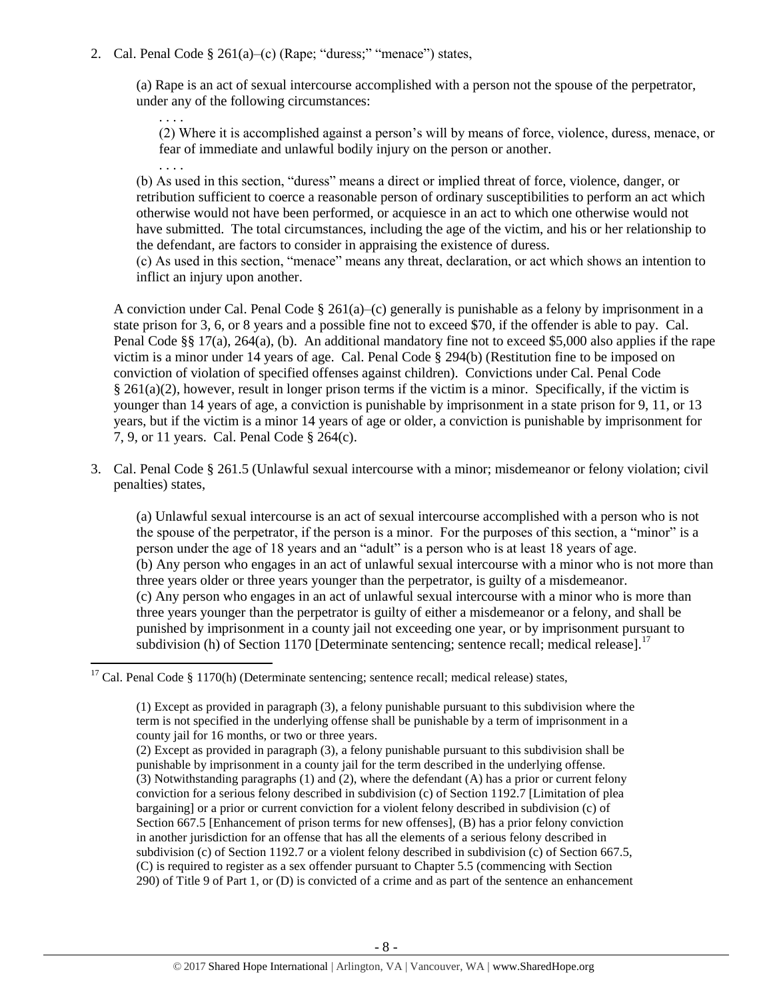2. Cal. Penal Code § 261(a)–(c) (Rape; "duress;" "menace") states,

. . . .

. . . .

(a) Rape is an act of sexual intercourse accomplished with a person not the spouse of the perpetrator, under any of the following circumstances:

(2) Where it is accomplished against a person's will by means of force, violence, duress, menace, or fear of immediate and unlawful bodily injury on the person or another.

(b) As used in this section, "duress" means a direct or implied threat of force, violence, danger, or retribution sufficient to coerce a reasonable person of ordinary susceptibilities to perform an act which otherwise would not have been performed, or acquiesce in an act to which one otherwise would not have submitted. The total circumstances, including the age of the victim, and his or her relationship to the defendant, are factors to consider in appraising the existence of duress.

(c) As used in this section, "menace" means any threat, declaration, or act which shows an intention to inflict an injury upon another.

A conviction under Cal. Penal Code § 261(a)–(c) generally is punishable as a felony by imprisonment in a state prison for 3, 6, or 8 years and a possible fine not to exceed \$70, if the offender is able to pay. Cal. Penal Code §§ 17(a), 264(a), (b). An additional mandatory fine not to exceed \$5,000 also applies if the rape victim is a minor under 14 years of age. Cal. Penal Code § 294(b) (Restitution fine to be imposed on conviction of violation of specified offenses against children). Convictions under Cal. Penal Code § 261(a)(2), however, result in longer prison terms if the victim is a minor. Specifically, if the victim is younger than 14 years of age, a conviction is punishable by imprisonment in a state prison for 9, 11, or 13 years, but if the victim is a minor 14 years of age or older, a conviction is punishable by imprisonment for 7, 9, or 11 years. Cal. Penal Code § 264(c).

3. Cal. Penal Code § 261.5 (Unlawful sexual intercourse with a minor; misdemeanor or felony violation; civil penalties) states,

(a) Unlawful sexual intercourse is an act of sexual intercourse accomplished with a person who is not the spouse of the perpetrator, if the person is a minor. For the purposes of this section, a "minor" is a person under the age of 18 years and an "adult" is a person who is at least 18 years of age. (b) Any person who engages in an act of unlawful sexual intercourse with a minor who is not more than three years older or three years younger than the perpetrator, is guilty of a misdemeanor. (c) Any person who engages in an act of unlawful sexual intercourse with a minor who is more than three years younger than the perpetrator is guilty of either a misdemeanor or a felony, and shall be punished by imprisonment in a county jail not exceeding one year, or by imprisonment pursuant to subdivision (h) of Section 1170 [Determinate sentencing; sentence recall; medical release].<sup>17</sup>

 $\overline{\phantom{a}}$  $17$  Cal. Penal Code § 1170(h) (Determinate sentencing; sentence recall; medical release) states,

(1) Except as provided in paragraph (3), a felony punishable pursuant to this subdivision where the term is not specified in the underlying offense shall be punishable by a term of imprisonment in a county jail for 16 months, or two or three years.

(2) Except as provided in paragraph (3), a felony punishable pursuant to this subdivision shall be punishable by imprisonment in a county jail for the term described in the underlying offense. (3) Notwithstanding paragraphs (1) and (2), where the defendant (A) has a prior or current felony conviction for a serious felony described in subdivision (c) of Section 1192.7 [Limitation of plea bargaining] or a prior or current conviction for a violent felony described in subdivision (c) of Section 667.5 [Enhancement of prison terms for new offenses], (B) has a prior felony conviction in another jurisdiction for an offense that has all the elements of a serious felony described in subdivision (c) of Section 1192.7 or a violent felony described in subdivision (c) of Section 667.5, (C) is required to register as a sex offender pursuant to Chapter 5.5 (commencing with Section 290) of Title 9 of Part 1, or (D) is convicted of a crime and as part of the sentence an enhancement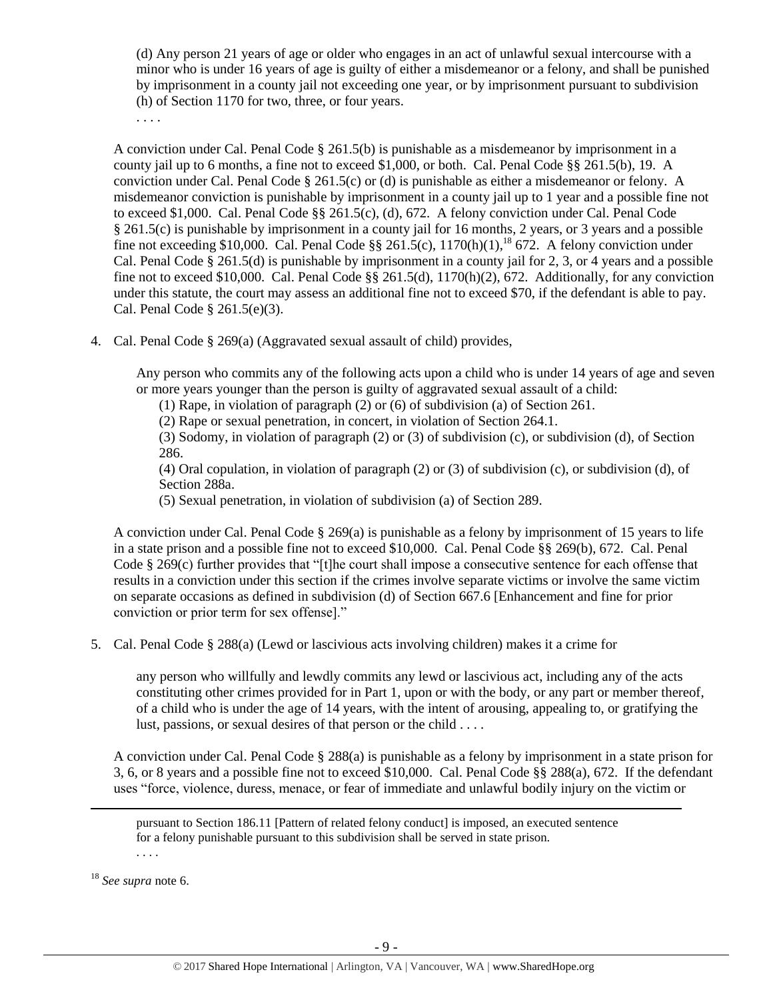(d) Any person 21 years of age or older who engages in an act of unlawful sexual intercourse with a minor who is under 16 years of age is guilty of either a misdemeanor or a felony, and shall be punished by imprisonment in a county jail not exceeding one year, or by imprisonment pursuant to subdivision (h) of Section 1170 for two, three, or four years.

. . . .

A conviction under Cal. Penal Code § 261.5(b) is punishable as a misdemeanor by imprisonment in a county jail up to 6 months, a fine not to exceed \$1,000, or both. Cal. Penal Code §§ 261.5(b), 19. A conviction under Cal. Penal Code § 261.5(c) or (d) is punishable as either a misdemeanor or felony. A misdemeanor conviction is punishable by imprisonment in a county jail up to 1 year and a possible fine not to exceed \$1,000. Cal. Penal Code §§ 261.5(c), (d), 672. A felony conviction under Cal. Penal Code § 261.5(c) is punishable by imprisonment in a county jail for 16 months, 2 years, or 3 years and a possible fine not exceeding \$10,000. Cal. Penal Code  $\S\S 261.5(c)$ ,  $1170(h)(1)$ ,<sup>18</sup> 672. A felony conviction under Cal. Penal Code § 261.5(d) is punishable by imprisonment in a county jail for 2, 3, or 4 years and a possible fine not to exceed \$10,000. Cal. Penal Code §§ 261.5(d), 1170(h)(2), 672. Additionally, for any conviction under this statute, the court may assess an additional fine not to exceed \$70, if the defendant is able to pay. Cal. Penal Code § 261.5(e)(3).

4. Cal. Penal Code § 269(a) (Aggravated sexual assault of child) provides,

Any person who commits any of the following acts upon a child who is under 14 years of age and seven or more years younger than the person is guilty of aggravated sexual assault of a child:

- (1) Rape, in violation of paragraph (2) or (6) of subdivision (a) of Section 261.
- (2) Rape or sexual penetration, in concert, in violation of Section 264.1.

(3) Sodomy, in violation of paragraph (2) or (3) of subdivision (c), or subdivision (d), of Section 286.

(4) Oral copulation, in violation of paragraph (2) or (3) of subdivision (c), or subdivision (d), of Section 288a.

(5) Sexual penetration, in violation of subdivision (a) of Section 289.

A conviction under Cal. Penal Code  $\S 269(a)$  is punishable as a felony by imprisonment of 15 years to life in a state prison and a possible fine not to exceed \$10,000. Cal. Penal Code §§ 269(b), 672. Cal. Penal Code § 269(c) further provides that "[t]he court shall impose a consecutive sentence for each offense that results in a conviction under this section if the crimes involve separate victims or involve the same victim on separate occasions as defined in subdivision (d) of Section 667.6 [Enhancement and fine for prior conviction or prior term for sex offense]."

5. Cal. Penal Code § 288(a) (Lewd or lascivious acts involving children) makes it a crime for

any person who willfully and lewdly commits any lewd or lascivious act, including any of the acts constituting other crimes provided for in Part 1, upon or with the body, or any part or member thereof, of a child who is under the age of 14 years, with the intent of arousing, appealing to, or gratifying the lust, passions, or sexual desires of that person or the child . . . .

A conviction under Cal. Penal Code § 288(a) is punishable as a felony by imprisonment in a state prison for 3, 6, or 8 years and a possible fine not to exceed \$10,000. Cal. Penal Code §§ 288(a), 672. If the defendant uses "force, violence, duress, menace, or fear of immediate and unlawful bodily injury on the victim or

pursuant to Section 186.11 [Pattern of related felony conduct] is imposed, an executed sentence for a felony punishable pursuant to this subdivision shall be served in state prison. . . . .

<sup>18</sup> *See supra* note [6.](#page-1-0)

 $\overline{\phantom{a}}$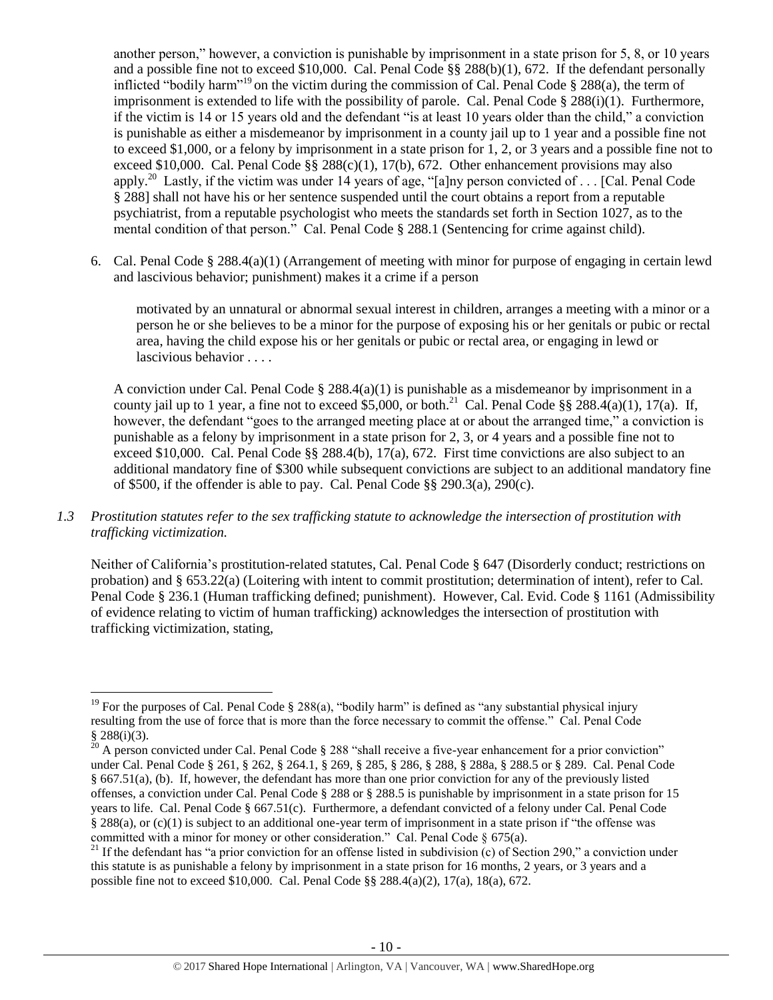another person," however, a conviction is punishable by imprisonment in a state prison for 5, 8, or 10 years and a possible fine not to exceed \$10,000. Cal. Penal Code §§ 288(b)(1), 672. If the defendant personally inflicted "bodily harm"<sup>19</sup> on the victim during the commission of Cal. Penal Code § 288(a), the term of imprisonment is extended to life with the possibility of parole. Cal. Penal Code  $\S$  288(i)(1). Furthermore, if the victim is 14 or 15 years old and the defendant "is at least 10 years older than the child," a conviction is punishable as either a misdemeanor by imprisonment in a county jail up to 1 year and a possible fine not to exceed \$1,000, or a felony by imprisonment in a state prison for 1, 2, or 3 years and a possible fine not to exceed \$10,000. Cal. Penal Code §§ 288(c)(1), 17(b), 672. Other enhancement provisions may also apply.<sup>20</sup> Lastly, if the victim was under 14 years of age, "[a]ny person convicted of . . . [Cal. Penal Code § 288] shall not have his or her sentence suspended until the court obtains a report from a reputable psychiatrist, from a reputable psychologist who meets the standards set forth in Section 1027, as to the mental condition of that person." Cal. Penal Code § 288.1 (Sentencing for crime against child).

6. Cal. Penal Code § 288.4(a)(1) (Arrangement of meeting with minor for purpose of engaging in certain lewd and lascivious behavior; punishment) makes it a crime if a person

motivated by an unnatural or abnormal sexual interest in children, arranges a meeting with a minor or a person he or she believes to be a minor for the purpose of exposing his or her genitals or pubic or rectal area, having the child expose his or her genitals or pubic or rectal area, or engaging in lewd or lascivious behavior . . . .

A conviction under Cal. Penal Code § 288.4(a)(1) is punishable as a misdemeanor by imprisonment in a county jail up to 1 year, a fine not to exceed \$5,000, or both.<sup>21</sup> Cal. Penal Code §§ 288.4(a)(1), 17(a). If, however, the defendant "goes to the arranged meeting place at or about the arranged time," a conviction is punishable as a felony by imprisonment in a state prison for 2, 3, or 4 years and a possible fine not to exceed \$10,000. Cal. Penal Code §§ 288.4(b), 17(a), 672. First time convictions are also subject to an additional mandatory fine of \$300 while subsequent convictions are subject to an additional mandatory fine of \$500, if the offender is able to pay. Cal. Penal Code §§ 290.3(a), 290(c).

*1.3 Prostitution statutes refer to the sex trafficking statute to acknowledge the intersection of prostitution with trafficking victimization.* 

Neither of California's prostitution-related statutes, Cal. Penal Code § 647 (Disorderly conduct; restrictions on probation) and § 653.22(a) (Loitering with intent to commit prostitution; determination of intent), refer to Cal. Penal Code § 236.1 (Human trafficking defined; punishment). However, Cal. Evid. Code § 1161 (Admissibility of evidence relating to victim of human trafficking) acknowledges the intersection of prostitution with trafficking victimization, stating,

 $\overline{a}$ <sup>19</sup> For the purposes of Cal. Penal Code § 288(a), "bodily harm" is defined as "any substantial physical injury resulting from the use of force that is more than the force necessary to commit the offense." Cal. Penal Code  $\frac{8}{20}$  288(i)(3).

A person convicted under Cal. Penal Code § 288 "shall receive a five-year enhancement for a prior conviction" under Cal. Penal Code § 261, § 262, § 264.1, § 269, § 285, § 286, § 288, § 288a, § 288.5 or § 289. Cal. Penal Code § 667.51(a), (b). If, however, the defendant has more than one prior conviction for any of the previously listed offenses, a conviction under Cal. Penal Code § 288 or § 288.5 is punishable by imprisonment in a state prison for 15 years to life. Cal. Penal Code § 667.51(c). Furthermore, a defendant convicted of a felony under Cal. Penal Code § 288(a), or (c)(1) is subject to an additional one-year term of imprisonment in a state prison if "the offense was committed with a minor for money or other consideration." Cal. Penal Code § 675(a).

<sup>&</sup>lt;sup>21</sup> If the defendant has "a prior conviction for an offense listed in subdivision (c) of Section 290," a conviction under this statute is as punishable a felony by imprisonment in a state prison for 16 months, 2 years, or 3 years and a possible fine not to exceed \$10,000. Cal. Penal Code §§ 288.4(a)(2), 17(a), 18(a), 672.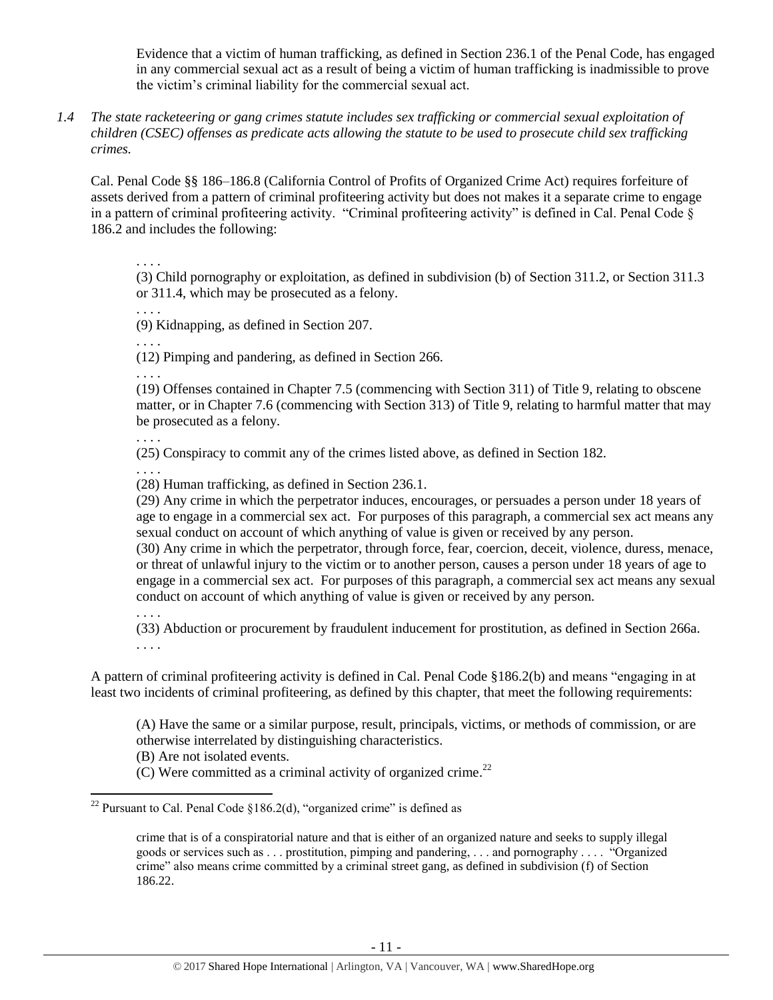Evidence that a victim of human trafficking, as defined in Section 236.1 of the Penal Code, has engaged in any commercial sexual act as a result of being a victim of human trafficking is inadmissible to prove the victim's criminal liability for the commercial sexual act.

*1.4 The state racketeering or gang crimes statute includes sex trafficking or commercial sexual exploitation of children (CSEC) offenses as predicate acts allowing the statute to be used to prosecute child sex trafficking crimes.* 

Cal. Penal Code §§ 186–186.8 (California Control of Profits of Organized Crime Act) requires forfeiture of assets derived from a pattern of criminal profiteering activity but does not makes it a separate crime to engage in a pattern of criminal profiteering activity. "Criminal profiteering activity" is defined in Cal. Penal Code § 186.2 and includes the following:

. . . .

(3) Child pornography or exploitation, as defined in subdivision (b) of Section 311.2, or Section 311.3 or 311.4, which may be prosecuted as a felony.

. . . .

. . . .

(9) Kidnapping, as defined in Section 207.

(12) Pimping and pandering, as defined in Section 266.

. . . .

(19) Offenses contained in Chapter 7.5 (commencing with Section 311) of Title 9, relating to obscene matter, or in Chapter 7.6 (commencing with Section 313) of Title 9, relating to harmful matter that may be prosecuted as a felony.

. . . .

(25) Conspiracy to commit any of the crimes listed above, as defined in Section 182.

. . . .

(28) Human trafficking, as defined in Section 236.1.

(29) Any crime in which the perpetrator induces, encourages, or persuades a person under 18 years of age to engage in a commercial sex act. For purposes of this paragraph, a commercial sex act means any sexual conduct on account of which anything of value is given or received by any person.

(30) Any crime in which the perpetrator, through force, fear, coercion, deceit, violence, duress, menace, or threat of unlawful injury to the victim or to another person, causes a person under 18 years of age to engage in a commercial sex act. For purposes of this paragraph, a commercial sex act means any sexual conduct on account of which anything of value is given or received by any person.

. . . .

(33) Abduction or procurement by fraudulent inducement for prostitution, as defined in Section 266a. . . . .

A pattern of criminal profiteering activity is defined in Cal. Penal Code §186.2(b) and means "engaging in at least two incidents of criminal profiteering, as defined by this chapter, that meet the following requirements:

(A) Have the same or a similar purpose, result, principals, victims, or methods of commission, or are otherwise interrelated by distinguishing characteristics.

(B) Are not isolated events.

 $(C)$  Were committed as a criminal activity of organized crime.<sup>22</sup>

 $\overline{\phantom{a}}$ <sup>22</sup> Pursuant to Cal. Penal Code §186.2(d), "organized crime" is defined as

crime that is of a conspiratorial nature and that is either of an organized nature and seeks to supply illegal goods or services such as . . . prostitution, pimping and pandering, . . . and pornography . . . . "Organized crime" also means crime committed by a criminal street gang, as defined in subdivision (f) of Section 186.22.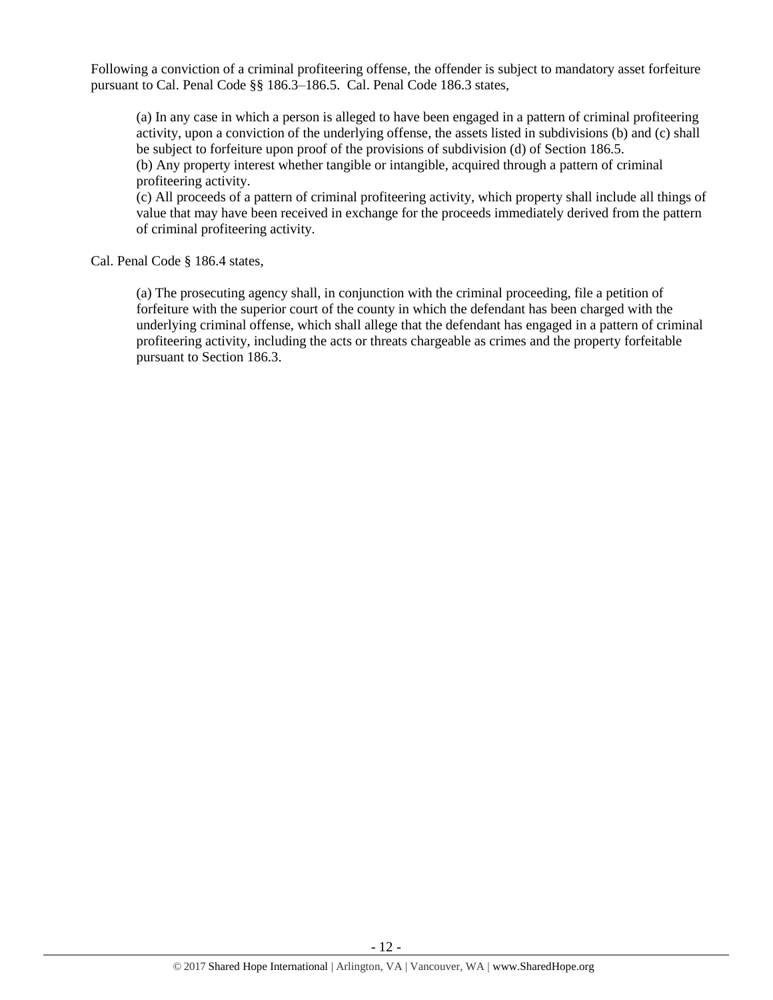Following a conviction of a criminal profiteering offense, the offender is subject to mandatory asset forfeiture pursuant to Cal. Penal Code §§ 186.3–186.5. Cal. Penal Code 186.3 states,

(a) In any case in which a person is alleged to have been engaged in a pattern of criminal profiteering activity, upon a conviction of the underlying offense, the assets listed in subdivisions (b) and (c) shall be subject to forfeiture upon proof of the provisions of subdivision (d) of Section 186.5. (b) Any property interest whether tangible or intangible, acquired through a pattern of criminal profiteering activity.

(c) All proceeds of a pattern of criminal profiteering activity, which property shall include all things of value that may have been received in exchange for the proceeds immediately derived from the pattern of criminal profiteering activity.

Cal. Penal Code § 186.4 states,

(a) The prosecuting agency shall, in conjunction with the criminal proceeding, file a petition of forfeiture with the superior court of the county in which the defendant has been charged with the underlying criminal offense, which shall allege that the defendant has engaged in a pattern of criminal profiteering activity, including the acts or threats chargeable as crimes and the property forfeitable pursuant to Section 186.3.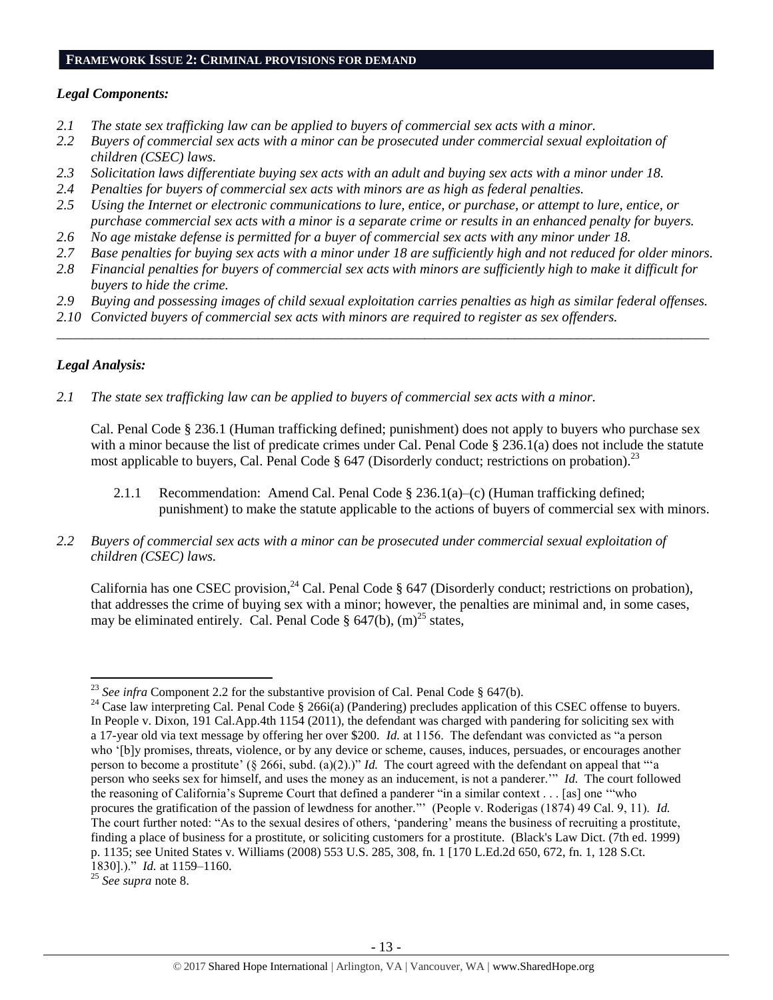#### **FRAMEWORK ISSUE 2: CRIMINAL PROVISIONS FOR DEMAND**

#### *Legal Components:*

- *2.1 The state sex trafficking law can be applied to buyers of commercial sex acts with a minor.*
- *2.2 Buyers of commercial sex acts with a minor can be prosecuted under commercial sexual exploitation of children (CSEC) laws.*
- *2.3 Solicitation laws differentiate buying sex acts with an adult and buying sex acts with a minor under 18.*
- *2.4 Penalties for buyers of commercial sex acts with minors are as high as federal penalties.*
- *2.5 Using the Internet or electronic communications to lure, entice, or purchase, or attempt to lure, entice, or purchase commercial sex acts with a minor is a separate crime or results in an enhanced penalty for buyers.*
- *2.6 No age mistake defense is permitted for a buyer of commercial sex acts with any minor under 18.*
- *2.7 Base penalties for buying sex acts with a minor under 18 are sufficiently high and not reduced for older minors.*
- *2.8 Financial penalties for buyers of commercial sex acts with minors are sufficiently high to make it difficult for buyers to hide the crime.*
- *2.9 Buying and possessing images of child sexual exploitation carries penalties as high as similar federal offenses.*

\_\_\_\_\_\_\_\_\_\_\_\_\_\_\_\_\_\_\_\_\_\_\_\_\_\_\_\_\_\_\_\_\_\_\_\_\_\_\_\_\_\_\_\_\_\_\_\_\_\_\_\_\_\_\_\_\_\_\_\_\_\_\_\_\_\_\_\_\_\_\_\_\_\_\_\_\_\_\_\_\_\_\_\_\_\_\_\_\_\_\_\_\_\_

*2.10 Convicted buyers of commercial sex acts with minors are required to register as sex offenders.* 

# *Legal Analysis:*

 $\overline{\phantom{a}}$ 

*2.1 The state sex trafficking law can be applied to buyers of commercial sex acts with a minor.*

Cal. Penal Code § 236.1 (Human trafficking defined; punishment) does not apply to buyers who purchase sex with a minor because the list of predicate crimes under Cal. Penal Code § 236.1(a) does not include the statute most applicable to buyers, Cal. Penal Code  $\S 647$  (Disorderly conduct; restrictions on probation).<sup>23</sup>

- 2.1.1 Recommendation: Amend Cal. Penal Code § 236.1(a)–(c) (Human trafficking defined; punishment) to make the statute applicable to the actions of buyers of commercial sex with minors.
- *2.2 Buyers of commercial sex acts with a minor can be prosecuted under commercial sexual exploitation of children (CSEC) laws.*

California has one CSEC provision,  $^{24}$  Cal. Penal Code § 647 (Disorderly conduct; restrictions on probation), that addresses the crime of buying sex with a minor; however, the penalties are minimal and, in some cases, may be eliminated entirely. Cal. Penal Code §  $647(b)$ , (m)<sup>25</sup> states,

<sup>&</sup>lt;sup>23</sup> *See infra* Component 2.2 for the substantive provision of Cal. Penal Code  $\S$  647(b).

<sup>&</sup>lt;sup>24</sup> Case law interpreting Cal. Penal Code § 266i(a) (Pandering) precludes application of this CSEC offense to buyers. In People v. Dixon, 191 Cal.App.4th 1154 (2011), the defendant was charged with pandering for soliciting sex with a 17-year old via text message by offering her over \$200. *Id.* at 1156. The defendant was convicted as "a person who '[b]y promises, threats, violence, or by any device or scheme, causes, induces, persuades, or encourages another person to become a prostitute' (§ 266i, subd. (a)(2).)" *Id.* The court agreed with the defendant on appeal that "'a person who seeks sex for himself, and uses the money as an inducement, is not a panderer.'" *Id.* The court followed the reasoning of California's Supreme Court that defined a panderer "in a similar context . . . [as] one '"who procures the gratification of the passion of lewdness for another."' (People v. Roderigas (1874) 49 Cal. 9, 11). *Id.* The court further noted: "As to the sexual desires of others, 'pandering' means the business of recruiting a prostitute, finding a place of business for a prostitute, or soliciting customers for a prostitute. (Black's Law Dict. (7th ed. 1999) p. 1135; see United States v. Williams (2008) 553 U.S. 285, 308, fn. 1 [170 L.Ed.2d 650, 672, fn. 1, 128 S.Ct. 1830].)." *Id.* at 1159–1160.

<sup>25</sup> *See supra* note [8.](#page-2-0)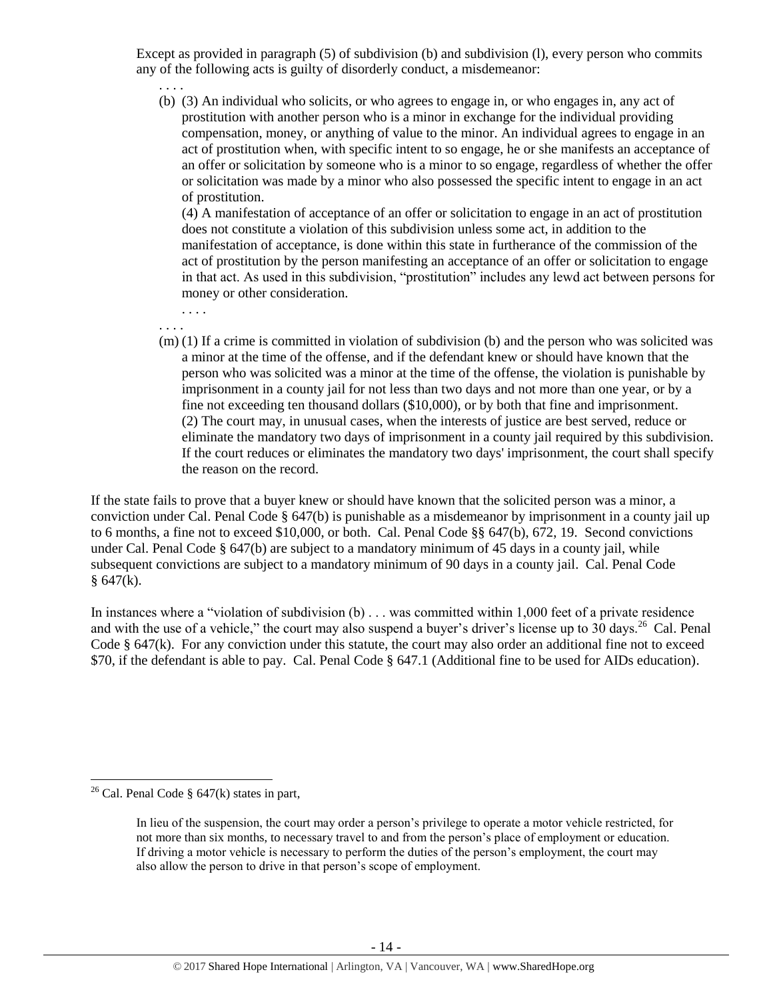Except as provided in paragraph (5) of subdivision (b) and subdivision (l), every person who commits any of the following acts is guilty of disorderly conduct, a misdemeanor:

. . . . (b) (3) An individual who solicits, or who agrees to engage in, or who engages in, any act of prostitution with another person who is a minor in exchange for the individual providing compensation, money, or anything of value to the minor. An individual agrees to engage in an act of prostitution when, with specific intent to so engage, he or she manifests an acceptance of an offer or solicitation by someone who is a minor to so engage, regardless of whether the offer or solicitation was made by a minor who also possessed the specific intent to engage in an act of prostitution.

(4) A manifestation of acceptance of an offer or solicitation to engage in an act of prostitution does not constitute a violation of this subdivision unless some act, in addition to the manifestation of acceptance, is done within this state in furtherance of the commission of the act of prostitution by the person manifesting an acceptance of an offer or solicitation to engage in that act. As used in this subdivision, "prostitution" includes any lewd act between persons for money or other consideration.

. . . .

. . . .

(m) (1) If a crime is committed in violation of subdivision (b) and the person who was solicited was a minor at the time of the offense, and if the defendant knew or should have known that the person who was solicited was a minor at the time of the offense, the violation is punishable by imprisonment in a county jail for not less than two days and not more than one year, or by a fine not exceeding ten thousand dollars (\$10,000), or by both that fine and imprisonment. (2) The court may, in unusual cases, when the interests of justice are best served, reduce or eliminate the mandatory two days of imprisonment in a county jail required by this subdivision. If the court reduces or eliminates the mandatory two days' imprisonment, the court shall specify the reason on the record.

If the state fails to prove that a buyer knew or should have known that the solicited person was a minor, a conviction under Cal. Penal Code § 647(b) is punishable as a misdemeanor by imprisonment in a county jail up to 6 months, a fine not to exceed \$10,000, or both. Cal. Penal Code §§ 647(b), 672, 19. Second convictions under Cal. Penal Code § 647(b) are subject to a mandatory minimum of 45 days in a county jail, while subsequent convictions are subject to a mandatory minimum of 90 days in a county jail. Cal. Penal Code  $§ 647(k).$ 

In instances where a "violation of subdivision (b) . . . was committed within 1,000 feet of a private residence and with the use of a vehicle," the court may also suspend a buyer's driver's license up to  $30$  days.<sup>26</sup> Cal. Penal Code  $\S$  647(k). For any conviction under this statute, the court may also order an additional fine not to exceed \$70, if the defendant is able to pay. Cal. Penal Code § 647.1 (Additional fine to be used for AIDs education).

 $\overline{a}$ 

<sup>&</sup>lt;sup>26</sup> Cal. Penal Code  $\S$  647(k) states in part,

<span id="page-13-0"></span>In lieu of the suspension, the court may order a person's privilege to operate a motor vehicle restricted, for not more than six months, to necessary travel to and from the person's place of employment or education. If driving a motor vehicle is necessary to perform the duties of the person's employment, the court may also allow the person to drive in that person's scope of employment.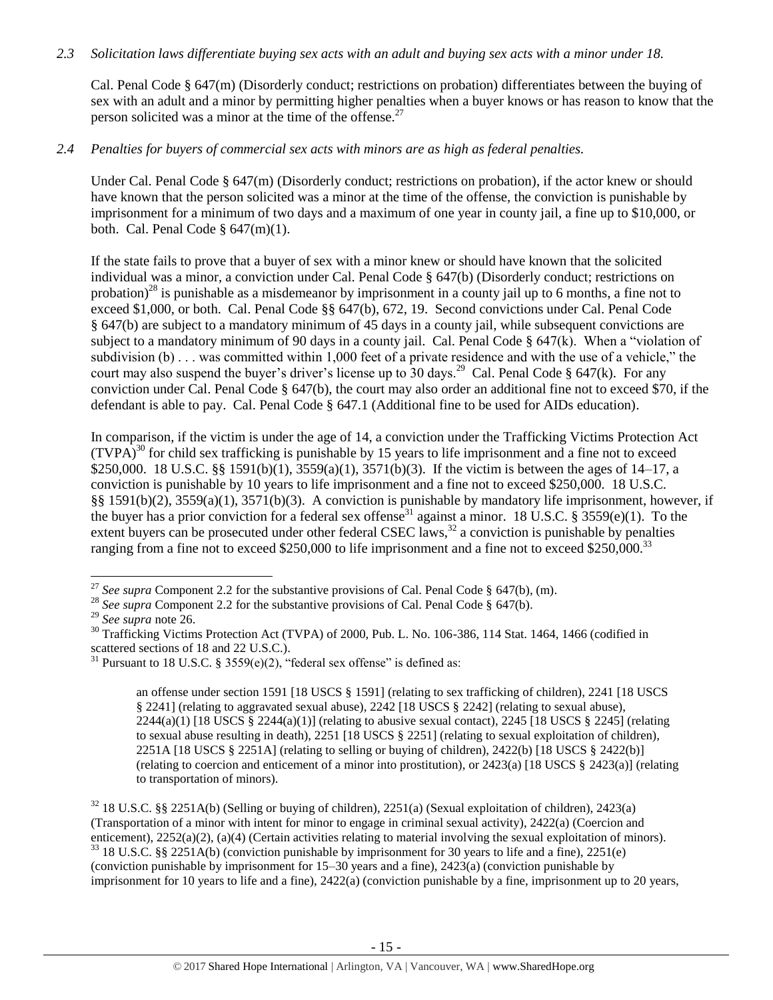#### *2.3 Solicitation laws differentiate buying sex acts with an adult and buying sex acts with a minor under 18.*

Cal. Penal Code § 647(m) (Disorderly conduct; restrictions on probation) differentiates between the buying of sex with an adult and a minor by permitting higher penalties when a buyer knows or has reason to know that the person solicited was a minor at the time of the offense. $27$ 

### *2.4 Penalties for buyers of commercial sex acts with minors are as high as federal penalties.*

Under Cal. Penal Code § 647(m) (Disorderly conduct; restrictions on probation), if the actor knew or should have known that the person solicited was a minor at the time of the offense, the conviction is punishable by imprisonment for a minimum of two days and a maximum of one year in county jail, a fine up to \$10,000, or both. Cal. Penal Code  $\S$  647(m)(1).

If the state fails to prove that a buyer of sex with a minor knew or should have known that the solicited individual was a minor, a conviction under Cal. Penal Code § 647(b) (Disorderly conduct; restrictions on probation)<sup>28</sup> is punishable as a misdemeanor by imprisonment in a county jail up to 6 months, a fine not to exceed \$1,000, or both. Cal. Penal Code §§ 647(b), 672, 19. Second convictions under Cal. Penal Code § 647(b) are subject to a mandatory minimum of 45 days in a county jail, while subsequent convictions are subject to a mandatory minimum of 90 days in a county jail. Cal. Penal Code § 647(k). When a "violation of subdivision (b) . . . was committed within 1,000 feet of a private residence and with the use of a vehicle," the court may also suspend the buyer's driver's license up to  $30 \text{ days}$ .<sup>29</sup> Cal. Penal Code § 647(k). For any conviction under Cal. Penal Code § 647(b), the court may also order an additional fine not to exceed \$70, if the defendant is able to pay. Cal. Penal Code § 647.1 (Additional fine to be used for AIDs education).

<span id="page-14-0"></span>In comparison, if the victim is under the age of 14, a conviction under the Trafficking Victims Protection Act  $(TVPA)<sup>30</sup>$  for child sex trafficking is punishable by 15 years to life imprisonment and a fine not to exceed \$250,000. 18 U.S.C. §§ 1591(b)(1), 3559(a)(1), 3571(b)(3). If the victim is between the ages of 14–17, a conviction is punishable by 10 years to life imprisonment and a fine not to exceed \$250,000. 18 U.S.C. §§ 1591(b)(2), 3559(a)(1), 3571(b)(3). A conviction is punishable by mandatory life imprisonment, however, if the buyer has a prior conviction for a federal sex offense<sup>31</sup> against a minor. 18 U.S.C. § 3559(e)(1). To the extent buyers can be prosecuted under other federal CSEC laws, $32$  a conviction is punishable by penalties ranging from a fine not to exceed \$250,000 to life imprisonment and a fine not to exceed \$250,000.<sup>33</sup>

<span id="page-14-1"></span> $\overline{\phantom{a}}$ 

an offense under section 1591 [18 USCS § 1591] (relating to sex trafficking of children), 2241 [18 USCS § 2241] (relating to aggravated sexual abuse), 2242 [18 USCS § 2242] (relating to sexual abuse),  $2244(a)(1)$  [18 USCS §  $2244(a)(1)$ ] (relating to abusive sexual contact),  $2245$  [18 USCS § 2245] (relating to sexual abuse resulting in death), 2251 [18 USCS § 2251] (relating to sexual exploitation of children), 2251A [18 USCS § 2251A] (relating to selling or buying of children), 2422(b) [18 USCS § 2422(b)] (relating to coercion and enticement of a minor into prostitution), or 2423(a) [18 USCS § 2423(a)] (relating to transportation of minors).

<sup>32</sup> 18 U.S.C. §§ 2251A(b) (Selling or buying of children), 2251(a) (Sexual exploitation of children), 2423(a) (Transportation of a minor with intent for minor to engage in criminal sexual activity), 2422(a) (Coercion and enticement), 2252(a)(2), (a)(4) (Certain activities relating to material involving the sexual exploitation of minors).  $33$  18 U.S.C. §§ 2251A(b) (conviction punishable by imprisonment for 30 years to life and a fine), 2251(e) (conviction punishable by imprisonment for 15–30 years and a fine), 2423(a) (conviction punishable by imprisonment for 10 years to life and a fine), 2422(a) (conviction punishable by a fine, imprisonment up to 20 years,

<sup>&</sup>lt;sup>27</sup> *See supra* Component 2.2 for the substantive provisions of Cal. Penal Code § 647(b), (m).

<sup>&</sup>lt;sup>28</sup> *See supra* Component 2.2 for the substantive provisions of Cal. Penal Code § 647(b).

<sup>29</sup> *See supra* note [26.](#page-13-0) 

 $30$  Trafficking Victims Protection Act (TVPA) of 2000, Pub. L. No. 106-386, 114 Stat. 1464, 1466 (codified in scattered sections of 18 and 22 U.S.C.).

<sup>&</sup>lt;sup>31</sup> Pursuant to 18 U.S.C. § 3559(e)(2), "federal sex offense" is defined as: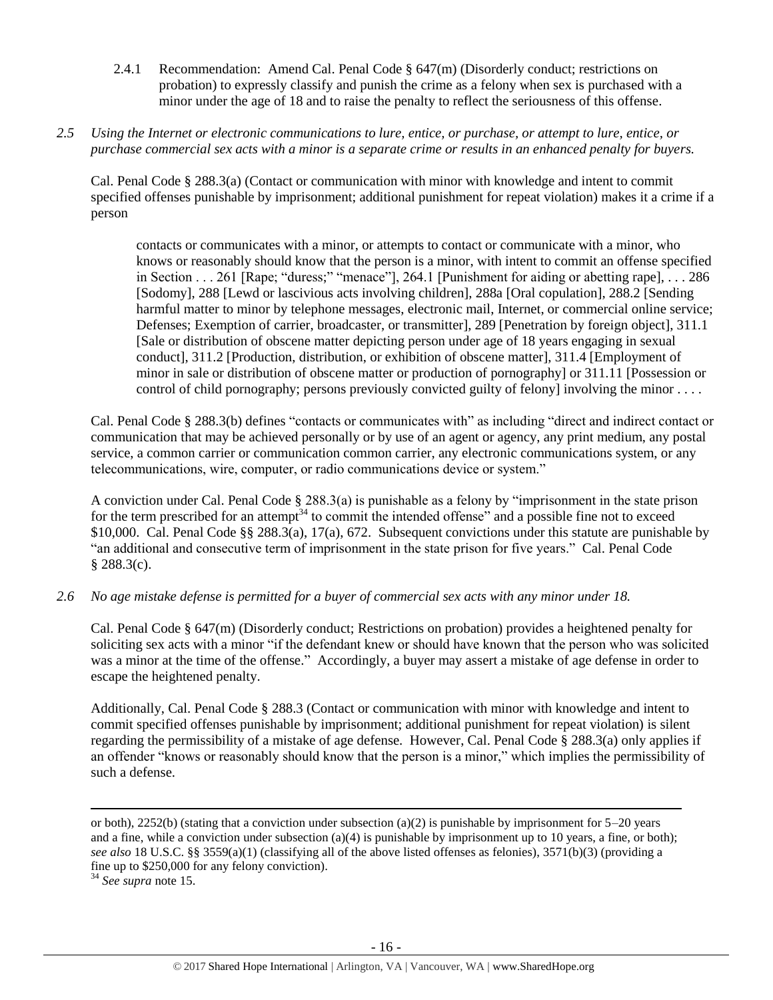- 2.4.1 Recommendation: Amend Cal. Penal Code  $\S$  647(m) (Disorderly conduct; restrictions on probation) to expressly classify and punish the crime as a felony when sex is purchased with a minor under the age of 18 and to raise the penalty to reflect the seriousness of this offense.
- *2.5 Using the Internet or electronic communications to lure, entice, or purchase, or attempt to lure, entice, or purchase commercial sex acts with a minor is a separate crime or results in an enhanced penalty for buyers.*

Cal. Penal Code § 288.3(a) (Contact or communication with minor with knowledge and intent to commit specified offenses punishable by imprisonment; additional punishment for repeat violation) makes it a crime if a person

contacts or communicates with a minor, or attempts to contact or communicate with a minor, who knows or reasonably should know that the person is a minor, with intent to commit an offense specified in Section . . . 261 [Rape; "duress;" "menace"], 264.1 [Punishment for aiding or abetting rape], . . . 286 [Sodomy], 288 [Lewd or lascivious acts involving children], 288a [Oral copulation], 288.2 [Sending harmful matter to minor by telephone messages, electronic mail, Internet, or commercial online service; Defenses; Exemption of carrier, broadcaster, or transmitter], 289 [Penetration by foreign object], 311.1 [Sale or distribution of obscene matter depicting person under age of 18 years engaging in sexual conduct], 311.2 [Production, distribution, or exhibition of obscene matter], 311.4 [Employment of minor in sale or distribution of obscene matter or production of pornography] or 311.11 [Possession or control of child pornography; persons previously convicted guilty of felony] involving the minor . . . .

Cal. Penal Code § 288.3(b) defines "contacts or communicates with" as including "direct and indirect contact or communication that may be achieved personally or by use of an agent or agency, any print medium, any postal service, a common carrier or communication common carrier, any electronic communications system, or any telecommunications, wire, computer, or radio communications device or system."

A conviction under Cal. Penal Code § 288.3(a) is punishable as a felony by "imprisonment in the state prison for the term prescribed for an attempt<sup>34</sup> to commit the intended offense" and a possible fine not to exceed \$10,000. Cal. Penal Code §§ 288.3(a), 17(a), 672. Subsequent convictions under this statute are punishable by "an additional and consecutive term of imprisonment in the state prison for five years." Cal. Penal Code § 288.3(c).

*2.6 No age mistake defense is permitted for a buyer of commercial sex acts with any minor under 18.*

Cal. Penal Code § 647(m) (Disorderly conduct; Restrictions on probation) provides a heightened penalty for soliciting sex acts with a minor "if the defendant knew or should have known that the person who was solicited was a minor at the time of the offense." Accordingly, a buyer may assert a mistake of age defense in order to escape the heightened penalty.

Additionally, Cal. Penal Code § 288.3 (Contact or communication with minor with knowledge and intent to commit specified offenses punishable by imprisonment; additional punishment for repeat violation) is silent regarding the permissibility of a mistake of age defense. However, Cal. Penal Code § 288.3(a) only applies if an offender "knows or reasonably should know that the person is a minor," which implies the permissibility of such a defense.

 $\overline{\phantom{a}}$ 

or both), 2252(b) (stating that a conviction under subsection (a)(2) is punishable by imprisonment for  $5-20$  years and a fine, while a conviction under subsection (a)(4) is punishable by imprisonment up to 10 years, a fine, or both); *see also* 18 U.S.C. §§ 3559(a)(1) (classifying all of the above listed offenses as felonies), 3571(b)(3) (providing a fine up to \$250,000 for any felony conviction).

<sup>34</sup> *See supra* note [15.](#page-6-0)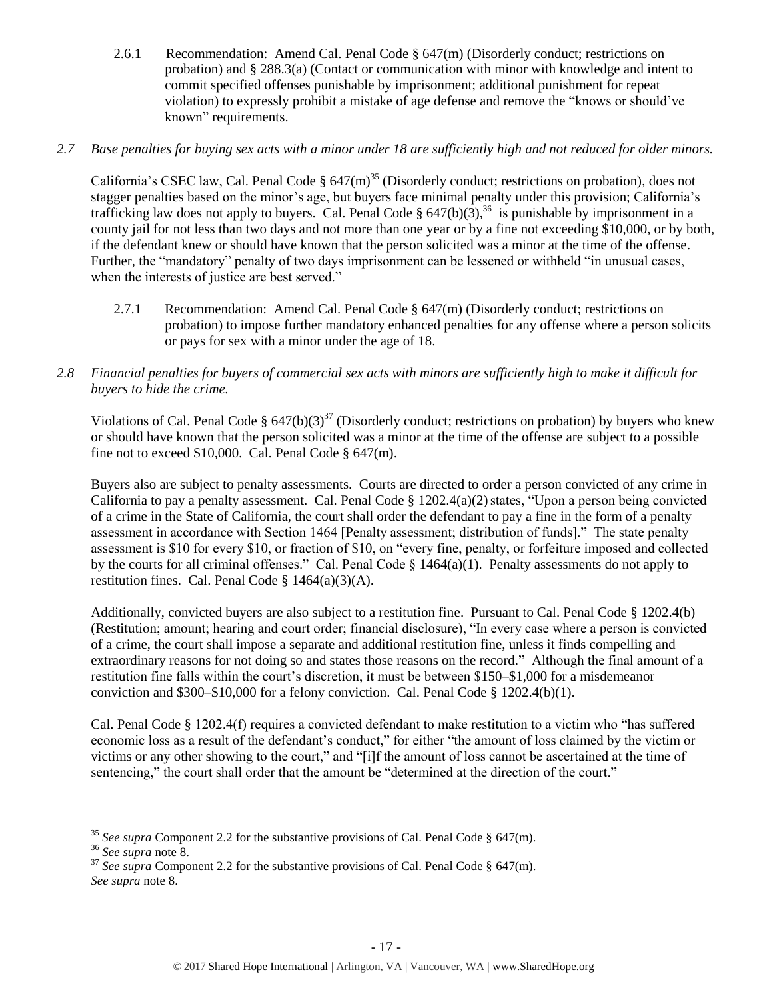2.6.1 Recommendation: Amend Cal. Penal Code  $\S$  647(m) (Disorderly conduct; restrictions on probation) and § 288.3(a) (Contact or communication with minor with knowledge and intent to commit specified offenses punishable by imprisonment; additional punishment for repeat violation) to expressly prohibit a mistake of age defense and remove the "knows or should've known" requirements.

# *2.7 Base penalties for buying sex acts with a minor under 18 are sufficiently high and not reduced for older minors.*

California's CSEC law, Cal. Penal Code  $\S 647(m)^{35}$  (Disorderly conduct; restrictions on probation), does not stagger penalties based on the minor's age, but buyers face minimal penalty under this provision; California's trafficking law does not apply to buyers. Cal. Penal Code §  $647(b)(3)$ ,<sup>36</sup> is punishable by imprisonment in a county jail for not less than two days and not more than one year or by a fine not exceeding \$10,000, or by both, if the defendant knew or should have known that the person solicited was a minor at the time of the offense. Further, the "mandatory" penalty of two days imprisonment can be lessened or withheld "in unusual cases, when the interests of justice are best served."

- 2.7.1 Recommendation: Amend Cal. Penal Code  $\S$  647(m) (Disorderly conduct; restrictions on probation) to impose further mandatory enhanced penalties for any offense where a person solicits or pays for sex with a minor under the age of 18.
- *2.8 Financial penalties for buyers of commercial sex acts with minors are sufficiently high to make it difficult for buyers to hide the crime.*

Violations of Cal. Penal Code §  $647(b)(3)^{37}$  (Disorderly conduct; restrictions on probation) by buyers who knew or should have known that the person solicited was a minor at the time of the offense are subject to a possible fine not to exceed \$10,000. Cal. Penal Code  $\S$  647(m).

Buyers also are subject to penalty assessments. Courts are directed to order a person convicted of any crime in California to pay a penalty assessment. Cal. Penal Code  $\S 1202.4(a)(2)$  states, "Upon a person being convicted of a crime in the State of California, the court shall order the defendant to pay a fine in the form of a penalty assessment in accordance with Section 1464 [Penalty assessment; distribution of funds]." The state penalty assessment is \$10 for every \$10, or fraction of \$10, on "every fine, penalty, or forfeiture imposed and collected by the courts for all criminal offenses." Cal. Penal Code  $\S$  1464(a)(1). Penalty assessments do not apply to restitution fines. Cal. Penal Code § 1464(a)(3)(A).

Additionally, convicted buyers are also subject to a restitution fine. Pursuant to Cal. Penal Code § 1202.4(b) (Restitution; amount; hearing and court order; financial disclosure), "In every case where a person is convicted of a crime, the court shall impose a separate and additional restitution fine, unless it finds compelling and extraordinary reasons for not doing so and states those reasons on the record." Although the final amount of a restitution fine falls within the court's discretion, it must be between \$150–\$1,000 for a misdemeanor conviction and  $$300–$10,000$  for a felony conviction. Cal. Penal Code § 1202.4(b)(1).

Cal. Penal Code § 1202.4(f) requires a convicted defendant to make restitution to a victim who "has suffered economic loss as a result of the defendant's conduct," for either "the amount of loss claimed by the victim or victims or any other showing to the court," and "[i]f the amount of loss cannot be ascertained at the time of sentencing," the court shall order that the amount be "determined at the direction of the court."

l

<sup>&</sup>lt;sup>35</sup> See supra Component 2.2 for the substantive provisions of Cal. Penal Code § 647(m).

<sup>36</sup> *See supra* note [8.](#page-2-0)

<sup>&</sup>lt;sup>37</sup> *See supra* Component 2.2 for the substantive provisions of Cal. Penal Code § 647(m). *See supra* note [8.](#page-2-0)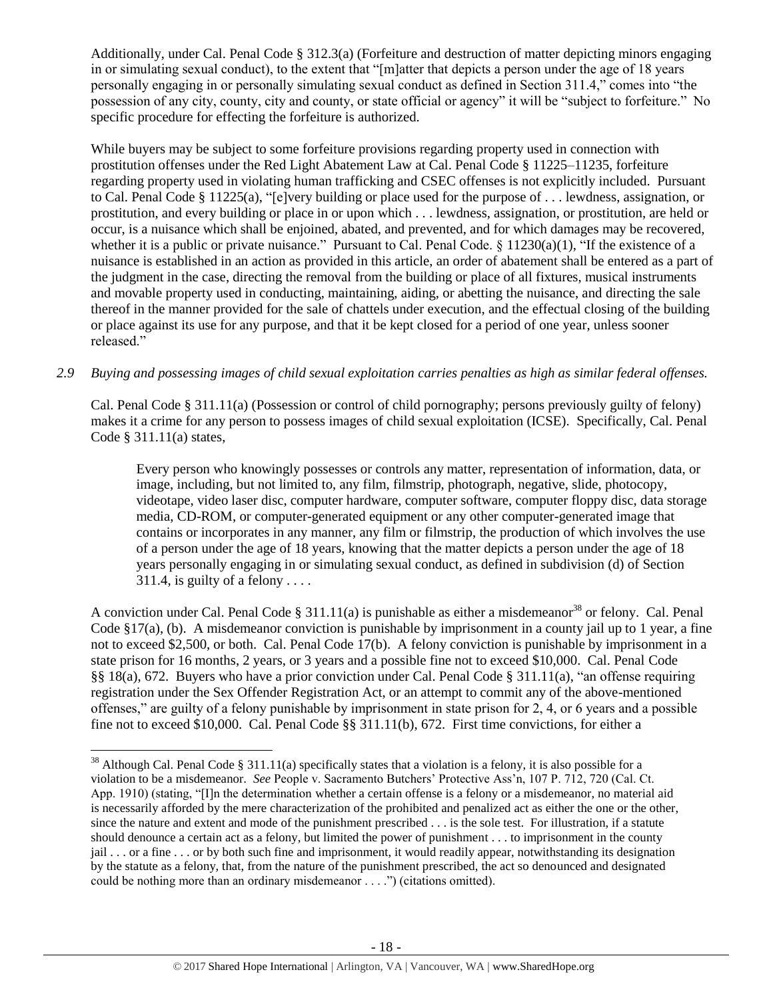Additionally, under Cal. Penal Code § 312.3(a) (Forfeiture and destruction of matter depicting minors engaging in or simulating sexual conduct), to the extent that "[m]atter that depicts a person under the age of 18 years personally engaging in or personally simulating sexual conduct as defined in Section 311.4," comes into "the possession of any city, county, city and county, or state official or agency" it will be "subject to forfeiture." No specific procedure for effecting the forfeiture is authorized.

While buyers may be subject to some forfeiture provisions regarding property used in connection with prostitution offenses under the Red Light Abatement Law at Cal. Penal Code § 11225–11235, forfeiture regarding property used in violating human trafficking and CSEC offenses is not explicitly included. Pursuant to Cal. Penal Code § 11225(a), "[e]very building or place used for the purpose of . . . lewdness, assignation, or prostitution, and every building or place in or upon which . . . lewdness, assignation, or prostitution, are held or occur, is a nuisance which shall be enjoined, abated, and prevented, and for which damages may be recovered, whether it is a public or private nuisance." Pursuant to Cal. Penal Code.  $\S$  11230(a)(1), "If the existence of a nuisance is established in an action as provided in this article, an order of abatement shall be entered as a part of the judgment in the case, directing the removal from the building or place of all fixtures, musical instruments and movable property used in conducting, maintaining, aiding, or abetting the nuisance, and directing the sale thereof in the manner provided for the sale of chattels under execution, and the effectual closing of the building or place against its use for any purpose, and that it be kept closed for a period of one year, unless sooner released."

## *2.9 Buying and possessing images of child sexual exploitation carries penalties as high as similar federal offenses.*

Cal. Penal Code § 311.11(a) (Possession or control of child pornography; persons previously guilty of felony) makes it a crime for any person to possess images of child sexual exploitation (ICSE). Specifically, Cal. Penal Code § 311.11(a) states,

<span id="page-17-0"></span>Every person who knowingly possesses or controls any matter, representation of information, data, or image, including, but not limited to, any film, filmstrip, photograph, negative, slide, photocopy, videotape, video laser disc, computer hardware, computer software, computer floppy disc, data storage media, CD-ROM, or computer-generated equipment or any other computer-generated image that contains or incorporates in any manner, any film or filmstrip, the production of which involves the use of a person under the age of 18 years, knowing that the matter depicts a person under the age of 18 years personally engaging in or simulating sexual conduct, as defined in subdivision (d) of Section 311.4, is guilty of a felony  $\ldots$ .

A conviction under Cal. Penal Code § 311.11(a) is punishable as either a misdemeanor<sup>38</sup> or felony. Cal. Penal Code §17(a), (b). A misdemeanor conviction is punishable by imprisonment in a county jail up to 1 year, a fine not to exceed \$2,500, or both. Cal. Penal Code 17(b). A felony conviction is punishable by imprisonment in a state prison for 16 months, 2 years, or 3 years and a possible fine not to exceed \$10,000. Cal. Penal Code §§ 18(a), 672. Buyers who have a prior conviction under Cal. Penal Code § 311.11(a), "an offense requiring registration under the Sex Offender Registration Act, or an attempt to commit any of the above-mentioned offenses," are guilty of a felony punishable by imprisonment in state prison for 2, 4, or 6 years and a possible fine not to exceed \$10,000. Cal. Penal Code §§ 311.11(b), 672. First time convictions, for either a

 $\overline{\phantom{a}}$ 

 $38$  Although Cal. Penal Code § 311.11(a) specifically states that a violation is a felony, it is also possible for a violation to be a misdemeanor. *See* People v. Sacramento Butchers' Protective Ass'n, 107 P. 712, 720 (Cal. Ct. App. 1910) (stating, "[I]n the determination whether a certain offense is a felony or a misdemeanor, no material aid is necessarily afforded by the mere characterization of the prohibited and penalized act as either the one or the other, since the nature and extent and mode of the punishment prescribed . . . is the sole test. For illustration, if a statute should denounce a certain act as a felony, but limited the power of punishment . . . to imprisonment in the county jail . . . or a fine . . . or by both such fine and imprisonment, it would readily appear, notwithstanding its designation by the statute as a felony, that, from the nature of the punishment prescribed, the act so denounced and designated could be nothing more than an ordinary misdemeanor . . . .") (citations omitted).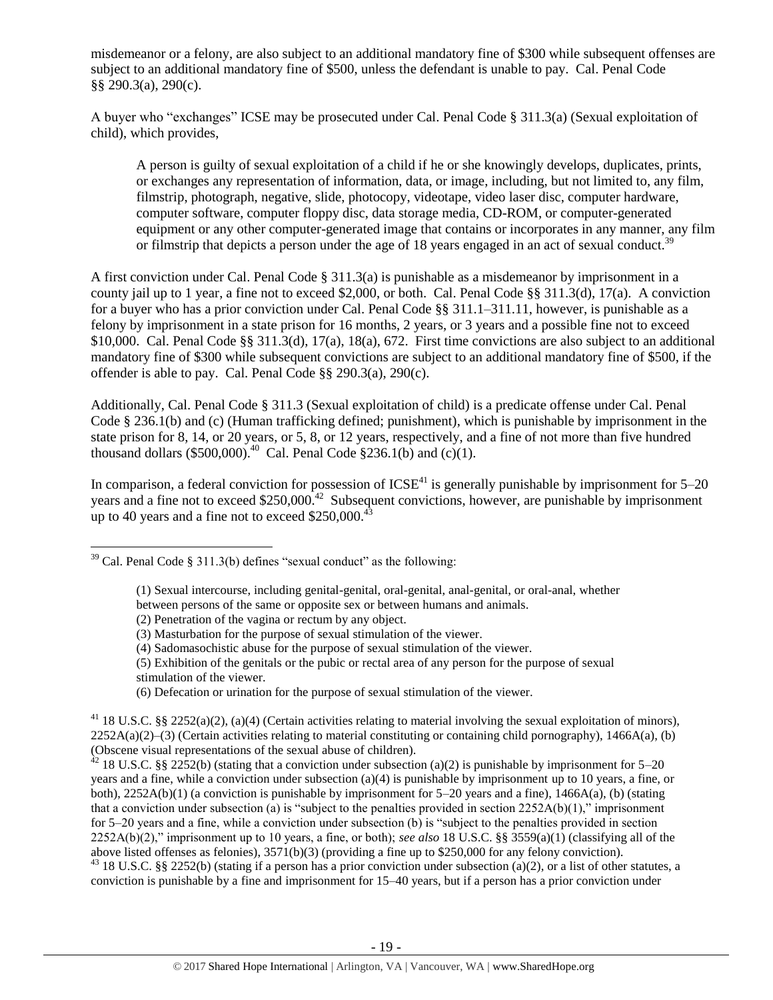misdemeanor or a felony, are also subject to an additional mandatory fine of \$300 while subsequent offenses are subject to an additional mandatory fine of \$500, unless the defendant is unable to pay. Cal. Penal Code §§ 290.3(a), 290(c).

A buyer who "exchanges" ICSE may be prosecuted under Cal. Penal Code § 311.3(a) (Sexual exploitation of child), which provides,

A person is guilty of sexual exploitation of a child if he or she knowingly develops, duplicates, prints, or exchanges any representation of information, data, or image, including, but not limited to, any film, filmstrip, photograph, negative, slide, photocopy, videotape, video laser disc, computer hardware, computer software, computer floppy disc, data storage media, CD-ROM, or computer-generated equipment or any other computer-generated image that contains or incorporates in any manner, any film or filmstrip that depicts a person under the age of 18 years engaged in an act of sexual conduct.<sup>39</sup>

A first conviction under Cal. Penal Code § 311.3(a) is punishable as a misdemeanor by imprisonment in a county jail up to 1 year, a fine not to exceed \$2,000, or both. Cal. Penal Code §§ 311.3(d), 17(a). A conviction for a buyer who has a prior conviction under Cal. Penal Code §§ 311.1–311.11, however, is punishable as a felony by imprisonment in a state prison for 16 months, 2 years, or 3 years and a possible fine not to exceed \$10,000. Cal. Penal Code §§ 311.3(d), 17(a), 18(a), 672. First time convictions are also subject to an additional mandatory fine of \$300 while subsequent convictions are subject to an additional mandatory fine of \$500, if the offender is able to pay. Cal. Penal Code §§ 290.3(a), 290(c).

Additionally, Cal. Penal Code § 311.3 (Sexual exploitation of child) is a predicate offense under Cal. Penal Code § 236.1(b) and (c) (Human trafficking defined; punishment), which is punishable by imprisonment in the state prison for 8, 14, or 20 years, or 5, 8, or 12 years, respectively, and a fine of not more than five hundred thousand dollars (\$500,000).<sup>40</sup> Cal. Penal Code §236.1(b) and (c)(1).

In comparison, a federal conviction for possession of  $ICSE<sup>41</sup>$  is generally punishable by imprisonment for  $5-20$ years and a fine not to exceed \$250,000.<sup>42</sup> Subsequent convictions, however, are punishable by imprisonment up to 40 years and a fine not to exceed  $$250,000.<sup>43</sup>$ 

l

(5) Exhibition of the genitals or the pubic or rectal area of any person for the purpose of sexual stimulation of the viewer.

(6) Defecation or urination for the purpose of sexual stimulation of the viewer.

 $42$  18 U.S.C. §§ 2252(b) (stating that a conviction under subsection (a)(2) is punishable by imprisonment for 5–20 years and a fine, while a conviction under subsection (a)(4) is punishable by imprisonment up to 10 years, a fine, or both),  $2252A(b)(1)$  (a conviction is punishable by imprisonment for  $5-20$  years and a fine),  $1466A(a)$ , (b) (stating that a conviction under subsection (a) is "subject to the penalties provided in section  $2252A(b)(1)$ ," imprisonment for 5–20 years and a fine, while a conviction under subsection (b) is "subject to the penalties provided in section 2252A(b)(2)," imprisonment up to 10 years, a fine, or both); *see also* 18 U.S.C. §§ 3559(a)(1) (classifying all of the above listed offenses as felonies), 3571(b)(3) (providing a fine up to \$250,000 for any felony conviction).

<sup>43</sup> 18 U.S.C. §§ 2252(b) (stating if a person has a prior conviction under subsection (a)(2), or a list of other statutes, a conviction is punishable by a fine and imprisonment for 15–40 years, but if a person has a prior conviction under

 $39$  Cal. Penal Code § 311.3(b) defines "sexual conduct" as the following:

<sup>(1)</sup> Sexual intercourse, including genital-genital, oral-genital, anal-genital, or oral-anal, whether

between persons of the same or opposite sex or between humans and animals.

<sup>(2)</sup> Penetration of the vagina or rectum by any object.

<sup>(3)</sup> Masturbation for the purpose of sexual stimulation of the viewer.

<sup>(4)</sup> Sadomasochistic abuse for the purpose of sexual stimulation of the viewer.

<sup>&</sup>lt;sup>41</sup> 18 U.S.C. §§ 2252(a)(2), (a)(4) (Certain activities relating to material involving the sexual exploitation of minors),  $2252A(a)(2)$ –(3) (Certain activities relating to material constituting or containing child pornography), 1466A(a), (b) (Obscene visual representations of the sexual abuse of children).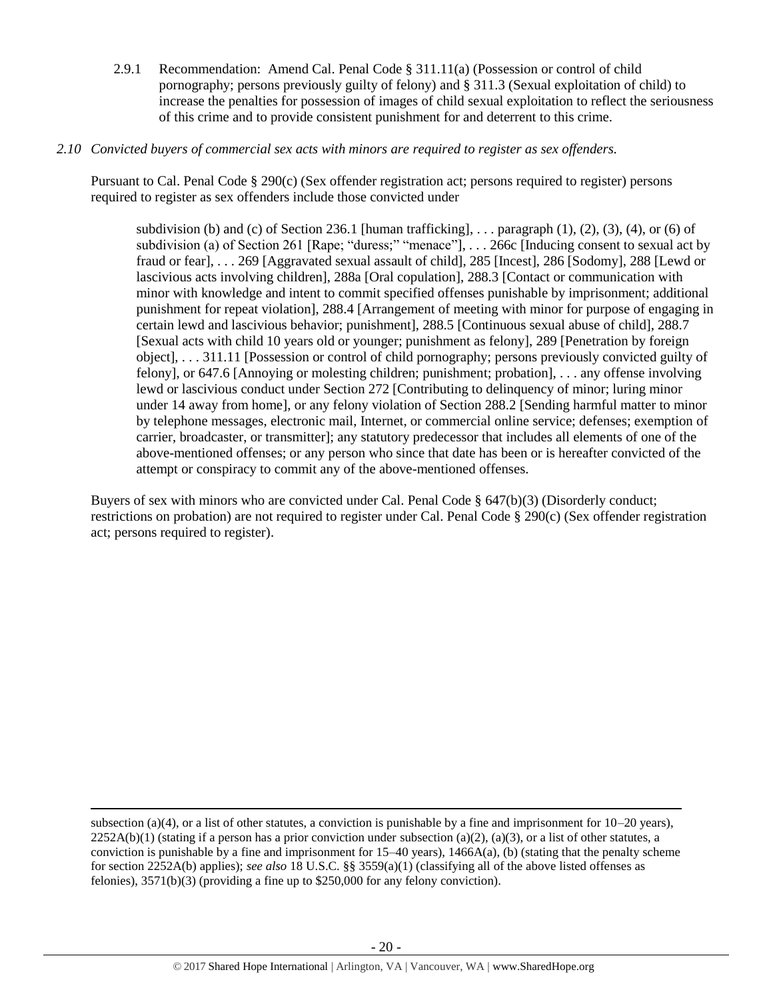2.9.1 Recommendation: Amend Cal. Penal Code § 311.11(a) (Possession or control of child pornography; persons previously guilty of felony) and § 311.3 (Sexual exploitation of child) to increase the penalties for possession of images of child sexual exploitation to reflect the seriousness of this crime and to provide consistent punishment for and deterrent to this crime.

### *2.10 Convicted buyers of commercial sex acts with minors are required to register as sex offenders.*

Pursuant to Cal. Penal Code § 290(c) (Sex offender registration act; persons required to register) persons required to register as sex offenders include those convicted under

subdivision (b) and (c) of Section 236.1 [human trafficking], ... paragraph  $(1)$ ,  $(2)$ ,  $(3)$ ,  $(4)$ , or  $(6)$  of subdivision (a) of Section 261 [Rape; "duress;" "menace"], . . . 266c [Inducing consent to sexual act by fraud or fear], . . . 269 [Aggravated sexual assault of child], 285 [Incest], 286 [Sodomy], 288 [Lewd or lascivious acts involving children], 288a [Oral copulation], 288.3 [Contact or communication with minor with knowledge and intent to commit specified offenses punishable by imprisonment; additional punishment for repeat violation], 288.4 [Arrangement of meeting with minor for purpose of engaging in certain lewd and lascivious behavior; punishment], 288.5 [Continuous sexual abuse of child], 288.7 [Sexual acts with child 10 years old or younger; punishment as felony], 289 [Penetration by foreign object], . . . 311.11 [Possession or control of child pornography; persons previously convicted guilty of felony], or 647.6 [Annoying or molesting children; punishment; probation], . . . any offense involving lewd or lascivious conduct under Section 272 [Contributing to delinquency of minor; luring minor under 14 away from home], or any felony violation of Section 288.2 [Sending harmful matter to minor by telephone messages, electronic mail, Internet, or commercial online service; defenses; exemption of carrier, broadcaster, or transmitter]; any statutory predecessor that includes all elements of one of the above-mentioned offenses; or any person who since that date has been or is hereafter convicted of the attempt or conspiracy to commit any of the above-mentioned offenses.

Buyers of sex with minors who are convicted under Cal. Penal Code § 647(b)(3) (Disorderly conduct; restrictions on probation) are not required to register under Cal. Penal Code § 290(c) (Sex offender registration act; persons required to register).

subsection (a)(4), or a list of other statutes, a conviction is punishable by a fine and imprisonment for  $10-20$  years),  $2252A(b)(1)$  (stating if a person has a prior conviction under subsection (a)(2), (a)(3), or a list of other statutes, a conviction is punishable by a fine and imprisonment for  $15-40$  years),  $1466A(a)$ , (b) (stating that the penalty scheme for section 2252A(b) applies); *see also* 18 U.S.C. §§ 3559(a)(1) (classifying all of the above listed offenses as felonies), 3571(b)(3) (providing a fine up to \$250,000 for any felony conviction).

 $\overline{\phantom{a}}$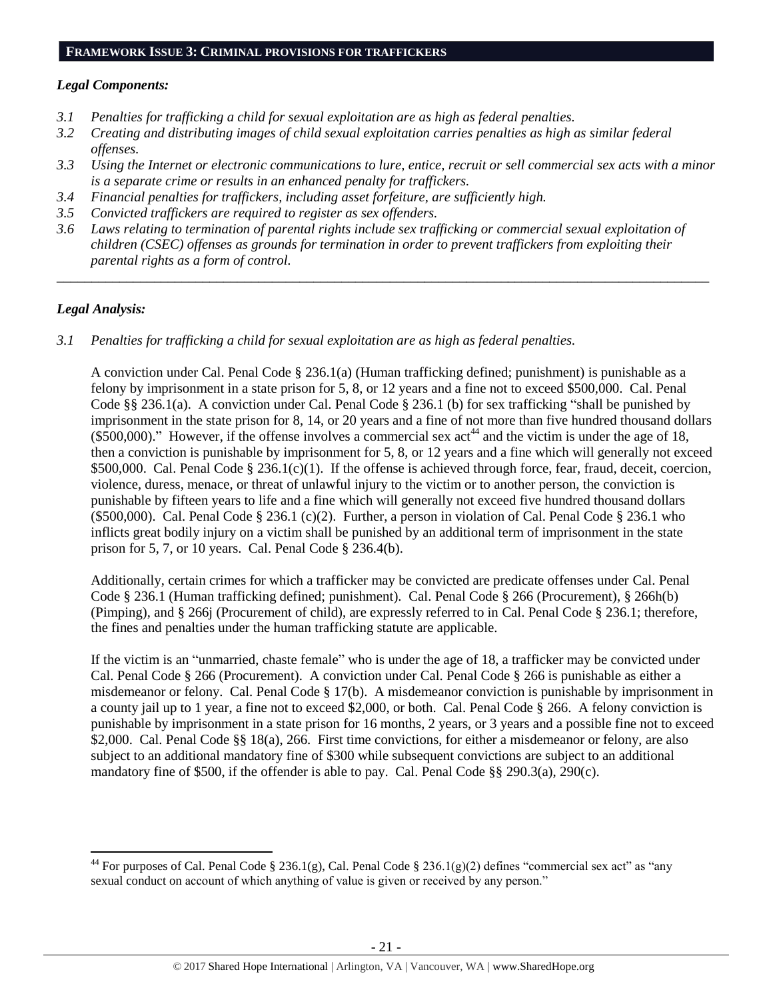### *Legal Components:*

- *3.1 Penalties for trafficking a child for sexual exploitation are as high as federal penalties.*
- *3.2 Creating and distributing images of child sexual exploitation carries penalties as high as similar federal offenses.*
- *3.3 Using the Internet or electronic communications to lure, entice, recruit or sell commercial sex acts with a minor is a separate crime or results in an enhanced penalty for traffickers.*
- *3.4 Financial penalties for traffickers, including asset forfeiture, are sufficiently high.*
- *3.5 Convicted traffickers are required to register as sex offenders.*
- *3.6 Laws relating to termination of parental rights include sex trafficking or commercial sexual exploitation of children (CSEC) offenses as grounds for termination in order to prevent traffickers from exploiting their parental rights as a form of control.*

*\_\_\_\_\_\_\_\_\_\_\_\_\_\_\_\_\_\_\_\_\_\_\_\_\_\_\_\_\_\_\_\_\_\_\_\_\_\_\_\_\_\_\_\_\_\_\_\_\_\_\_\_\_\_\_\_\_\_\_\_\_\_\_\_\_\_\_\_\_\_\_\_\_\_\_\_\_\_\_\_\_\_\_\_\_\_\_\_\_\_\_\_\_\_*

## *Legal Analysis:*

l

*3.1 Penalties for trafficking a child for sexual exploitation are as high as federal penalties.* 

A conviction under Cal. Penal Code § 236.1(a) (Human trafficking defined; punishment) is punishable as a felony by imprisonment in a state prison for 5, 8, or 12 years and a fine not to exceed \$500,000. Cal. Penal Code §§ 236.1(a). A conviction under Cal. Penal Code § 236.1 (b) for sex trafficking "shall be punished by imprisonment in the state prison for 8, 14, or 20 years and a fine of not more than five hundred thousand dollars  $(\$500,000)$ ." However, if the offense involves a commercial sex act<sup>44</sup> and the victim is under the age of 18, then a conviction is punishable by imprisonment for 5, 8, or 12 years and a fine which will generally not exceed \$500,000. Cal. Penal Code § 236.1(c)(1). If the offense is achieved through force, fear, fraud, deceit, coercion, violence, duress, menace, or threat of unlawful injury to the victim or to another person, the conviction is punishable by fifteen years to life and a fine which will generally not exceed five hundred thousand dollars (\$500,000). Cal. Penal Code § 236.1 (c)(2). Further, a person in violation of Cal. Penal Code § 236.1 who inflicts great bodily injury on a victim shall be punished by an additional term of imprisonment in the state prison for 5, 7, or 10 years. Cal. Penal Code § 236.4(b).

Additionally, certain crimes for which a trafficker may be convicted are predicate offenses under Cal. Penal Code § 236.1 (Human trafficking defined; punishment). Cal. Penal Code § 266 (Procurement), § 266h(b) (Pimping), and § 266j (Procurement of child), are expressly referred to in Cal. Penal Code § 236.1; therefore, the fines and penalties under the human trafficking statute are applicable.

If the victim is an "unmarried, chaste female" who is under the age of 18, a trafficker may be convicted under Cal. Penal Code § 266 (Procurement). A conviction under Cal. Penal Code § 266 is punishable as either a misdemeanor or felony. Cal. Penal Code § 17(b). A misdemeanor conviction is punishable by imprisonment in a county jail up to 1 year, a fine not to exceed \$2,000, or both. Cal. Penal Code § 266. A felony conviction is punishable by imprisonment in a state prison for 16 months, 2 years, or 3 years and a possible fine not to exceed \$2,000. Cal. Penal Code §§ 18(a), 266. First time convictions, for either a misdemeanor or felony, are also subject to an additional mandatory fine of \$300 while subsequent convictions are subject to an additional mandatory fine of \$500, if the offender is able to pay. Cal. Penal Code §§ 290.3(a), 290(c).

<sup>&</sup>lt;sup>44</sup> For purposes of Cal. Penal Code § 236.1(g), Cal. Penal Code § 236.1(g)(2) defines "commercial sex act" as "any sexual conduct on account of which anything of value is given or received by any person."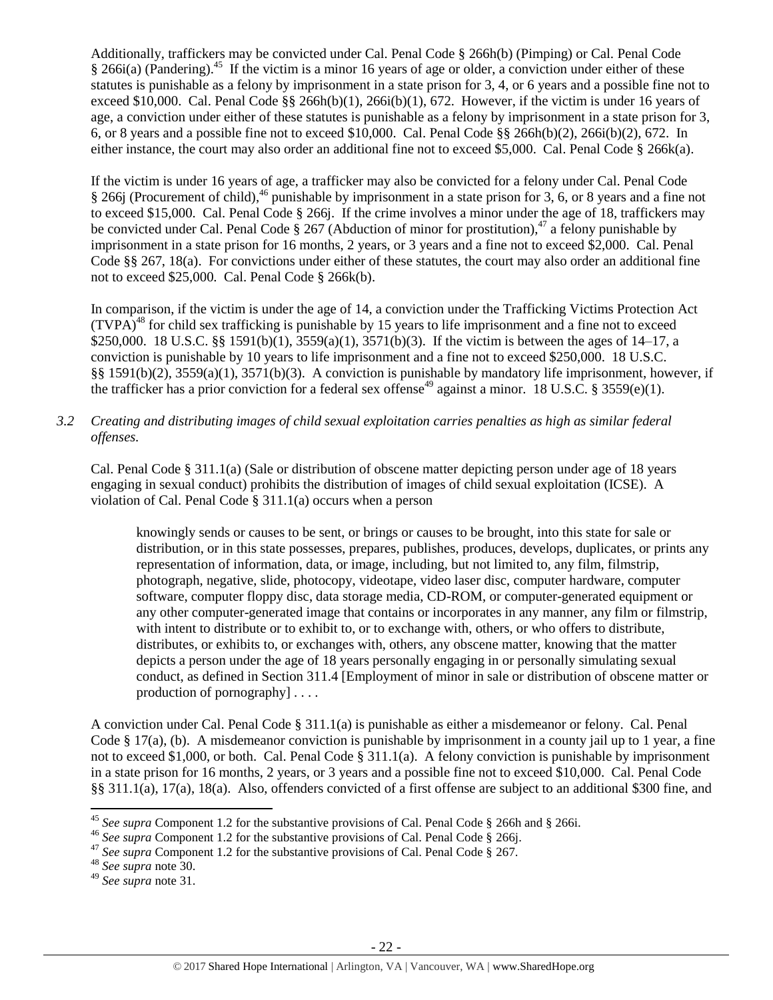Additionally, traffickers may be convicted under Cal. Penal Code § 266h(b) (Pimping) or Cal. Penal Code § 266i(a) (Pandering).<sup>45</sup> If the victim is a minor 16 years of age or older, a conviction under either of these statutes is punishable as a felony by imprisonment in a state prison for 3, 4, or 6 years and a possible fine not to exceed \$10,000. Cal. Penal Code  $\S$ § 266h(b)(1), 266i(b)(1), 672. However, if the victim is under 16 years of age, a conviction under either of these statutes is punishable as a felony by imprisonment in a state prison for 3, 6, or 8 years and a possible fine not to exceed \$10,000. Cal. Penal Code §§ 266h(b)(2), 266i(b)(2), 672. In either instance, the court may also order an additional fine not to exceed \$5,000. Cal. Penal Code § 266k(a).

If the victim is under 16 years of age, a trafficker may also be convicted for a felony under Cal. Penal Code § 266j (Procurement of child),<sup>46</sup> punishable by imprisonment in a state prison for 3, 6, or 8 years and a fine not to exceed \$15,000. Cal. Penal Code § 266j. If the crime involves a minor under the age of 18, traffickers may be convicted under Cal. Penal Code  $\S 267$  (Abduction of minor for prostitution),<sup>47</sup> a felony punishable by imprisonment in a state prison for 16 months, 2 years, or 3 years and a fine not to exceed \$2,000. Cal. Penal Code §§ 267, 18(a). For convictions under either of these statutes, the court may also order an additional fine not to exceed \$25,000. Cal. Penal Code § 266k(b).

In comparison, if the victim is under the age of 14, a conviction under the Trafficking Victims Protection Act  $(TVPA)<sup>48</sup>$  for child sex trafficking is punishable by 15 years to life imprisonment and a fine not to exceed \$250,000. 18 U.S.C. §§ 1591(b)(1), 3559(a)(1), 3571(b)(3). If the victim is between the ages of 14–17, a conviction is punishable by 10 years to life imprisonment and a fine not to exceed \$250,000. 18 U.S.C. §§ 1591(b)(2), 3559(a)(1), 3571(b)(3). A conviction is punishable by mandatory life imprisonment, however, if the trafficker has a prior conviction for a federal sex offense<sup>49</sup> against a minor. 18 U.S.C. § 3559(e)(1).

*3.2 Creating and distributing images of child sexual exploitation carries penalties as high as similar federal offenses.*

Cal. Penal Code § 311.1(a) (Sale or distribution of obscene matter depicting person under age of 18 years engaging in sexual conduct) prohibits the distribution of images of child sexual exploitation (ICSE). A violation of Cal. Penal Code § 311.1(a) occurs when a person

knowingly sends or causes to be sent, or brings or causes to be brought, into this state for sale or distribution, or in this state possesses, prepares, publishes, produces, develops, duplicates, or prints any representation of information, data, or image, including, but not limited to, any film, filmstrip, photograph, negative, slide, photocopy, videotape, video laser disc, computer hardware, computer software, computer floppy disc, data storage media, CD-ROM, or computer-generated equipment or any other computer-generated image that contains or incorporates in any manner, any film or filmstrip, with intent to distribute or to exhibit to, or to exchange with, others, or who offers to distribute, distributes, or exhibits to, or exchanges with, others, any obscene matter, knowing that the matter depicts a person under the age of 18 years personally engaging in or personally simulating sexual conduct, as defined in Section 311.4 [Employment of minor in sale or distribution of obscene matter or production of pornography] . . . .

A conviction under Cal. Penal Code § 311.1(a) is punishable as either a misdemeanor or felony. Cal. Penal Code § 17(a), (b). A misdemeanor conviction is punishable by imprisonment in a county jail up to 1 year, a fine not to exceed \$1,000, or both. Cal. Penal Code § 311.1(a). A felony conviction is punishable by imprisonment in a state prison for 16 months, 2 years, or 3 years and a possible fine not to exceed \$10,000. Cal. Penal Code §§ 311.1(a), 17(a), 18(a). Also, offenders convicted of a first offense are subject to an additional \$300 fine, and

 $\overline{\phantom{a}}$ 

<sup>45</sup> *See supra* Component 1.2 for the substantive provisions of Cal. Penal Code § 266h and § 266i.

<sup>46</sup> *See supra* Component 1.2 for the substantive provisions of Cal. Penal Code § 266j.

<sup>&</sup>lt;sup>47</sup> See supra Component 1.2 for the substantive provisions of Cal. Penal Code § 267.

<sup>48</sup> *See supra* note [30.](#page-14-0)

<sup>49</sup> *See supra* note [31.](#page-14-1)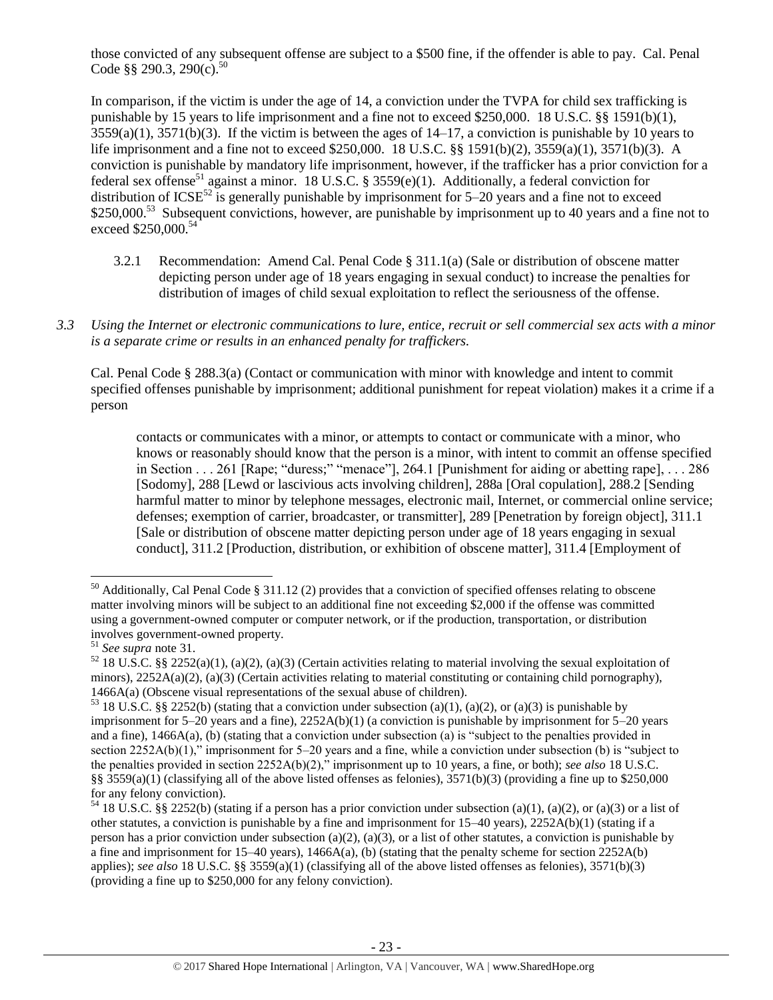those convicted of any subsequent offense are subject to a \$500 fine, if the offender is able to pay. Cal. Penal Code §§ 290.3, 290(c).<sup>50</sup>

In comparison, if the victim is under the age of 14, a conviction under the TVPA for child sex trafficking is punishable by 15 years to life imprisonment and a fine not to exceed \$250,000. 18 U.S.C. §§ 1591(b)(1),  $3559(a)(1)$ ,  $3571(b)(3)$ . If the victim is between the ages of  $14-17$ , a conviction is punishable by 10 years to life imprisonment and a fine not to exceed \$250,000. 18 U.S.C. §§ 1591(b)(2), 3559(a)(1), 3571(b)(3). A conviction is punishable by mandatory life imprisonment, however, if the trafficker has a prior conviction for a federal sex offense<sup>51</sup> against a minor. 18 U.S.C. § 3559(e)(1). Additionally, a federal conviction for distribution of  $ICSE<sup>52</sup>$  is generally punishable by imprisonment for 5–20 years and a fine not to exceed \$250,000.<sup>53</sup> Subsequent convictions, however, are punishable by imprisonment up to 40 years and a fine not to exceed \$250,000.<sup>54</sup>

- 3.2.1 Recommendation: Amend Cal. Penal Code § 311.1(a) (Sale or distribution of obscene matter depicting person under age of 18 years engaging in sexual conduct) to increase the penalties for distribution of images of child sexual exploitation to reflect the seriousness of the offense.
- *3.3 Using the Internet or electronic communications to lure, entice, recruit or sell commercial sex acts with a minor is a separate crime or results in an enhanced penalty for traffickers.*

Cal. Penal Code § 288.3(a) (Contact or communication with minor with knowledge and intent to commit specified offenses punishable by imprisonment; additional punishment for repeat violation) makes it a crime if a person

contacts or communicates with a minor, or attempts to contact or communicate with a minor, who knows or reasonably should know that the person is a minor, with intent to commit an offense specified in Section . . . 261 [Rape; "duress;" "menace"], 264.1 [Punishment for aiding or abetting rape], . . . 286 [Sodomy], 288 [Lewd or lascivious acts involving children], 288a [Oral copulation], 288.2 [Sending harmful matter to minor by telephone messages, electronic mail, Internet, or commercial online service; defenses; exemption of carrier, broadcaster, or transmitter], 289 [Penetration by foreign object], 311.1 [Sale or distribution of obscene matter depicting person under age of 18 years engaging in sexual conduct], 311.2 [Production, distribution, or exhibition of obscene matter], 311.4 [Employment of

 $\overline{\phantom{a}}$ 

<sup>50</sup> Additionally, Cal Penal Code § 311.12 (2) provides that a conviction of specified offenses relating to obscene matter involving minors will be subject to an additional fine not exceeding \$2,000 if the offense was committed using a government-owned computer or computer network, or if the production, transportation, or distribution involves government-owned property.

<sup>51</sup> *See supra* note [31.](#page-14-1)

 $52$  18 U.S.C. §§ 2252(a)(1), (a)(2), (a)(3) (Certain activities relating to material involving the sexual exploitation of minors),  $2252A(a)(2)$ ,  $(a)(3)$  (Certain activities relating to material constituting or containing child pornography), 1466A(a) (Obscene visual representations of the sexual abuse of children).

<sup>&</sup>lt;sup>53</sup> 18 U.S.C. §§ 2252(b) (stating that a conviction under subsection (a)(1), (a)(2), or (a)(3) is punishable by imprisonment for  $5-20$  years and a fine),  $2252A(b)(1)$  (a conviction is punishable by imprisonment for  $5-20$  years and a fine), 1466A(a), (b) (stating that a conviction under subsection (a) is "subject to the penalties provided in section 2252A(b)(1)," imprisonment for 5–20 years and a fine, while a conviction under subsection (b) is "subject to the penalties provided in section 2252A(b)(2)," imprisonment up to 10 years, a fine, or both); *see also* 18 U.S.C. §§ 3559(a)(1) (classifying all of the above listed offenses as felonies),  $3571(b)(3)$  (providing a fine up to \$250,000 for any felony conviction).

<sup>&</sup>lt;sup>54</sup> 18 U.S.C. §§ 2252(b) (stating if a person has a prior conviction under subsection (a)(1), (a)(2), or (a)(3) or a list of other statutes, a conviction is punishable by a fine and imprisonment for 15–40 years), 2252A(b)(1) (stating if a person has a prior conviction under subsection (a)(2), (a)(3), or a list of other statutes, a conviction is punishable by a fine and imprisonment for 15–40 years),  $1466A(a)$ , (b) (stating that the penalty scheme for section 2252A(b) applies); *see also* 18 U.S.C. §§ 3559(a)(1) (classifying all of the above listed offenses as felonies), 3571(b)(3) (providing a fine up to \$250,000 for any felony conviction).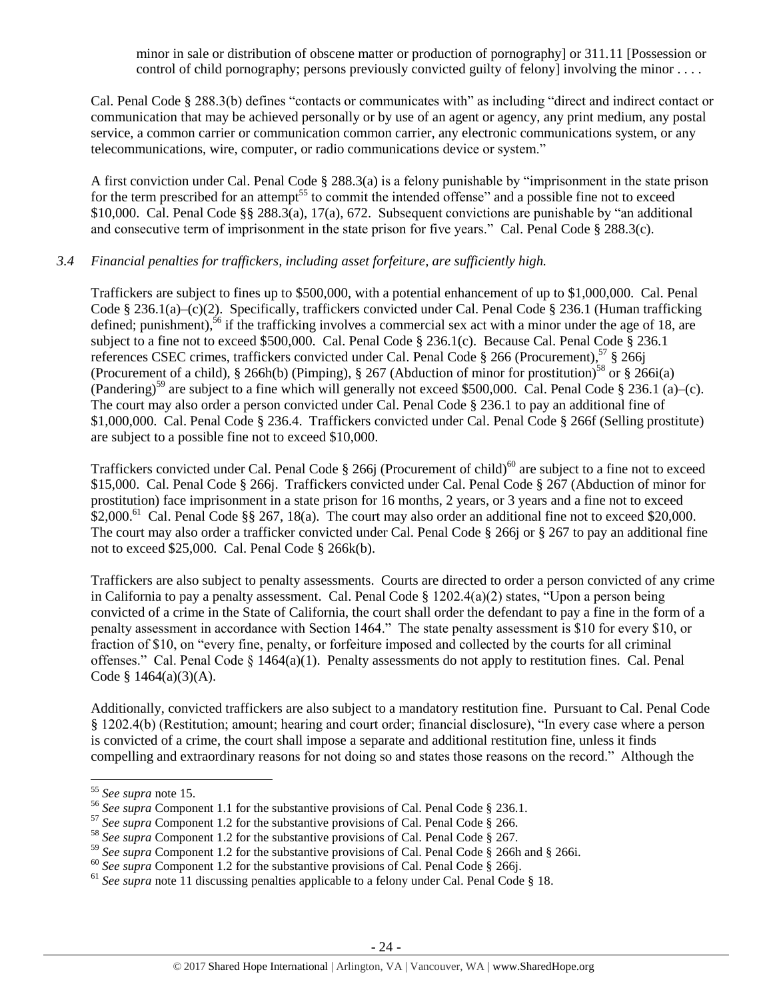minor in sale or distribution of obscene matter or production of pornography] or 311.11 [Possession or control of child pornography; persons previously convicted guilty of felony] involving the minor . . . .

Cal. Penal Code § 288.3(b) defines "contacts or communicates with" as including "direct and indirect contact or communication that may be achieved personally or by use of an agent or agency, any print medium, any postal service, a common carrier or communication common carrier, any electronic communications system, or any telecommunications, wire, computer, or radio communications device or system."

A first conviction under Cal. Penal Code § 288.3(a) is a felony punishable by "imprisonment in the state prison for the term prescribed for an attempt<sup>55</sup> to commit the intended offense" and a possible fine not to exceed \$10,000. Cal. Penal Code §§ 288.3(a), 17(a), 672. Subsequent convictions are punishable by "an additional and consecutive term of imprisonment in the state prison for five years." Cal. Penal Code § 288.3(c).

## *3.4 Financial penalties for traffickers, including asset forfeiture, are sufficiently high.*

Traffickers are subject to fines up to \$500,000, with a potential enhancement of up to \$1,000,000. Cal. Penal Code § 236.1(a)–(c)(2). Specifically, traffickers convicted under Cal. Penal Code § 236.1 (Human trafficking defined; punishment),<sup>56</sup> if the trafficking involves a commercial sex act with a minor under the age of 18, are subject to a fine not to exceed \$500,000. Cal. Penal Code § 236.1(c). Because Cal. Penal Code § 236.1 references CSEC crimes, traffickers convicted under Cal. Penal Code § 266 (Procurement),<sup>57</sup> § 266j (Procurement of a child), § 266h(b) (Pimping), § 267 (Abduction of minor for prostitution)<sup>58</sup> or § 266i(a) (Pandering)<sup>59</sup> are subject to a fine which will generally not exceed \$500,000. Cal. Penal Code § 236.1 (a)–(c). The court may also order a person convicted under Cal. Penal Code § 236.1 to pay an additional fine of \$1,000,000. Cal. Penal Code § 236.4. Traffickers convicted under Cal. Penal Code § 266f (Selling prostitute) are subject to a possible fine not to exceed \$10,000.

Traffickers convicted under Cal. Penal Code  $\S$  266j (Procurement of child)<sup>60</sup> are subject to a fine not to exceed \$15,000. Cal. Penal Code § 266j. Traffickers convicted under Cal. Penal Code § 267 (Abduction of minor for prostitution) face imprisonment in a state prison for 16 months, 2 years, or 3 years and a fine not to exceed  $$2,000$ .<sup>61</sup> Cal. Penal Code §§ 267, 18(a). The court may also order an additional fine not to exceed \$20,000. The court may also order a trafficker convicted under Cal. Penal Code § 266j or § 267 to pay an additional fine not to exceed \$25,000. Cal. Penal Code § 266k(b).

Traffickers are also subject to penalty assessments. Courts are directed to order a person convicted of any crime in California to pay a penalty assessment. Cal. Penal Code  $\S 1202.4(a)(2)$  states, "Upon a person being convicted of a crime in the State of California, the court shall order the defendant to pay a fine in the form of a penalty assessment in accordance with Section 1464." The state penalty assessment is \$10 for every \$10, or fraction of \$10, on "every fine, penalty, or forfeiture imposed and collected by the courts for all criminal offenses." Cal. Penal Code § 1464(a)(1). Penalty assessments do not apply to restitution fines. Cal. Penal Code § 1464(a)(3)(A).

Additionally, convicted traffickers are also subject to a mandatory restitution fine. Pursuant to Cal. Penal Code § 1202.4(b) (Restitution; amount; hearing and court order; financial disclosure), "In every case where a person is convicted of a crime, the court shall impose a separate and additional restitution fine, unless it finds compelling and extraordinary reasons for not doing so and states those reasons on the record." Although the

 $\overline{a}$ 

<sup>55</sup> *See supra* note [15.](#page-6-0) 

<sup>56</sup> *See supra* Component 1.1 for the substantive provisions of Cal. Penal Code § 236.1.

<sup>&</sup>lt;sup>57</sup> See supra Component 1.2 for the substantive provisions of Cal. Penal Code § 266.

<sup>58</sup> *See supra* Component 1.2 for the substantive provisions of Cal. Penal Code § 267.

<sup>59</sup> *See supra* Component 1.2 for the substantive provisions of Cal. Penal Code § 266h and § 266i.

<sup>&</sup>lt;sup>60</sup> See supra Component 1.2 for the substantive provisions of Cal. Penal Code § 266j.

<sup>&</sup>lt;sup>61</sup> See supra note [11](#page-4-0) discussing penalties applicable to a felony under Cal. Penal Code § 18.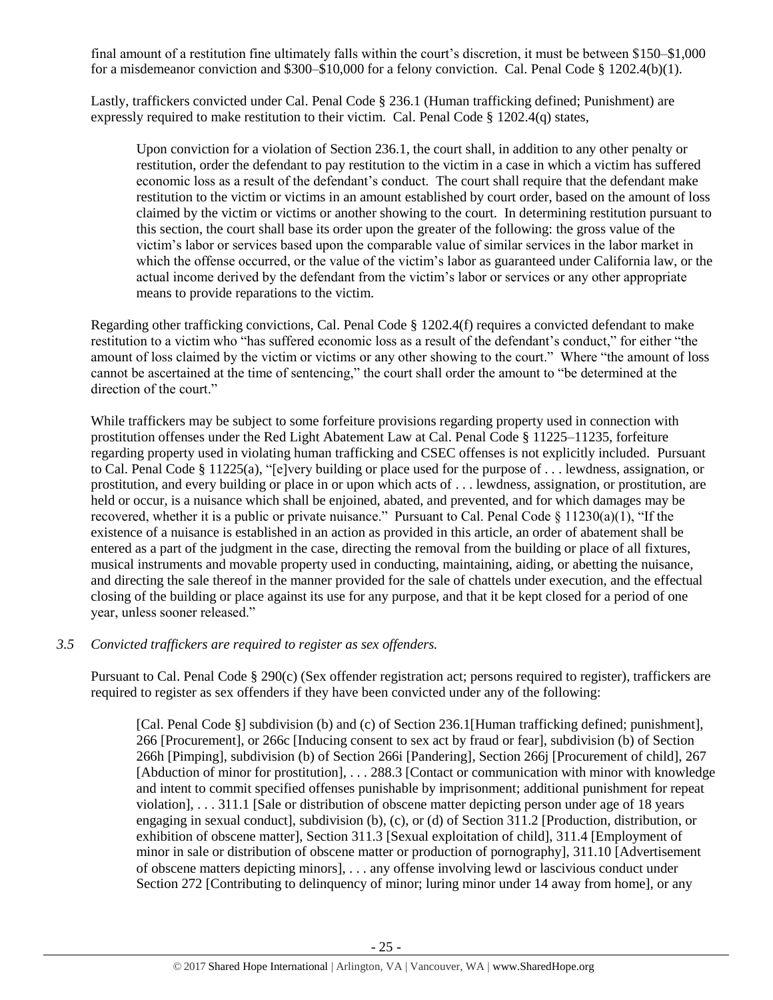final amount of a restitution fine ultimately falls within the court's discretion, it must be between \$150–\$1,000 for a misdemeanor conviction and \$300–\$10,000 for a felony conviction. Cal. Penal Code § 1202.4(b)(1).

Lastly, traffickers convicted under Cal. Penal Code § 236.1 (Human trafficking defined; Punishment) are expressly required to make restitution to their victim. Cal. Penal Code § 1202.4(q) states,

Upon conviction for a violation of Section 236.1, the court shall, in addition to any other penalty or restitution, order the defendant to pay restitution to the victim in a case in which a victim has suffered economic loss as a result of the defendant's conduct. The court shall require that the defendant make restitution to the victim or victims in an amount established by court order, based on the amount of loss claimed by the victim or victims or another showing to the court. In determining restitution pursuant to this section, the court shall base its order upon the greater of the following: the gross value of the victim's labor or services based upon the comparable value of similar services in the labor market in which the offense occurred, or the value of the victim's labor as guaranteed under California law, or the actual income derived by the defendant from the victim's labor or services or any other appropriate means to provide reparations to the victim.

Regarding other trafficking convictions, Cal. Penal Code § 1202.4(f) requires a convicted defendant to make restitution to a victim who "has suffered economic loss as a result of the defendant's conduct," for either "the amount of loss claimed by the victim or victims or any other showing to the court." Where "the amount of loss cannot be ascertained at the time of sentencing," the court shall order the amount to "be determined at the direction of the court."

While traffickers may be subject to some forfeiture provisions regarding property used in connection with prostitution offenses under the Red Light Abatement Law at Cal. Penal Code § 11225–11235, forfeiture regarding property used in violating human trafficking and CSEC offenses is not explicitly included. Pursuant to Cal. Penal Code § 11225(a), "[e]very building or place used for the purpose of . . . lewdness, assignation, or prostitution, and every building or place in or upon which acts of . . . lewdness, assignation, or prostitution, are held or occur, is a nuisance which shall be enjoined, abated, and prevented, and for which damages may be recovered, whether it is a public or private nuisance." Pursuant to Cal. Penal Code  $\S 11230(a)(1)$ , "If the existence of a nuisance is established in an action as provided in this article, an order of abatement shall be entered as a part of the judgment in the case, directing the removal from the building or place of all fixtures, musical instruments and movable property used in conducting, maintaining, aiding, or abetting the nuisance, and directing the sale thereof in the manner provided for the sale of chattels under execution, and the effectual closing of the building or place against its use for any purpose, and that it be kept closed for a period of one year, unless sooner released."

#### *3.5 Convicted traffickers are required to register as sex offenders.*

Pursuant to Cal. Penal Code § 290(c) (Sex offender registration act; persons required to register), traffickers are required to register as sex offenders if they have been convicted under any of the following:

[Cal. Penal Code §] subdivision (b) and (c) of Section 236.1[Human trafficking defined; punishment], 266 [Procurement], or 266c [Inducing consent to sex act by fraud or fear], subdivision (b) of Section 266h [Pimping], subdivision (b) of Section 266i [Pandering], Section 266j [Procurement of child], 267 [Abduction of minor for prostitution], . . . 288.3 [Contact or communication with minor with knowledge and intent to commit specified offenses punishable by imprisonment; additional punishment for repeat violation], . . . 311.1 [Sale or distribution of obscene matter depicting person under age of 18 years engaging in sexual conduct], subdivision (b), (c), or (d) of Section 311.2 [Production, distribution, or exhibition of obscene matter], Section 311.3 [Sexual exploitation of child], 311.4 [Employment of minor in sale or distribution of obscene matter or production of pornography], 311.10 [Advertisement of obscene matters depicting minors], . . . any offense involving lewd or lascivious conduct under Section 272 [Contributing to delinquency of minor; luring minor under 14 away from home], or any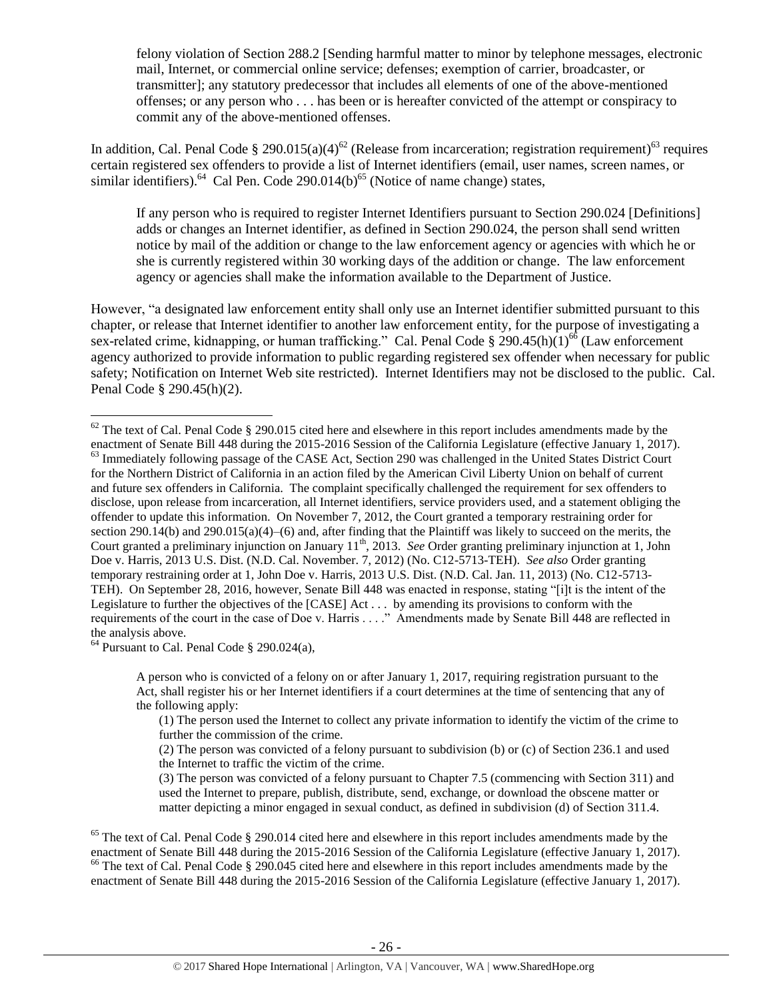felony violation of Section 288.2 [Sending harmful matter to minor by telephone messages, electronic mail, Internet, or commercial online service; defenses; exemption of carrier, broadcaster, or transmitter]; any statutory predecessor that includes all elements of one of the above-mentioned offenses; or any person who . . . has been or is hereafter convicted of the attempt or conspiracy to commit any of the above-mentioned offenses.

In addition, Cal. Penal Code § 290.015(a)(4)<sup>62</sup> (Release from incarceration; registration requirement)<sup>63</sup> requires certain registered sex offenders to provide a list of Internet identifiers (email, user names, screen names, or similar identifiers).<sup>64</sup> Cal Pen. Code 290.014(b)<sup>65</sup> (Notice of name change) states,

If any person who is required to register Internet Identifiers pursuant to Section 290.024 [Definitions] adds or changes an Internet identifier, as defined in Section 290.024, the person shall send written notice by mail of the addition or change to the law enforcement agency or agencies with which he or she is currently registered within 30 working days of the addition or change. The law enforcement agency or agencies shall make the information available to the Department of Justice.

However, "a designated law enforcement entity shall only use an Internet identifier submitted pursuant to this chapter, or release that Internet identifier to another law enforcement entity, for the purpose of investigating a sex-related crime, kidnapping, or human trafficking." Cal. Penal Code § 290.45(h)(1)<sup>66</sup> (Law enforcement agency authorized to provide information to public regarding registered sex offender when necessary for public safety; Notification on Internet Web site restricted). Internet Identifiers may not be disclosed to the public. Cal. Penal Code § 290.45(h)(2).

 $64$  Pursuant to Cal. Penal Code § 290.024(a),

A person who is convicted of a felony on or after January 1, 2017, requiring registration pursuant to the Act, shall register his or her Internet identifiers if a court determines at the time of sentencing that any of the following apply:

(1) The person used the Internet to collect any private information to identify the victim of the crime to further the commission of the crime.

(2) The person was convicted of a felony pursuant to subdivision (b) or (c) of Section 236.1 and used the Internet to traffic the victim of the crime.

(3) The person was convicted of a felony pursuant to Chapter 7.5 (commencing with Section 311) and used the Internet to prepare, publish, distribute, send, exchange, or download the obscene matter or matter depicting a minor engaged in sexual conduct, as defined in subdivision (d) of Section 311.4.

<sup>65</sup> The text of Cal. Penal Code  $\S$  290.014 cited here and elsewhere in this report includes amendments made by the enactment of Senate Bill 448 during the 2015-2016 Session of the California Legislature (effective January 1, 2017).  $66$  The text of Cal. Penal Code § 290.045 cited here and elsewhere in this report includes amendments made by the enactment of Senate Bill 448 during the 2015-2016 Session of the California Legislature (effective January 1, 2017).

 $\overline{\phantom{a}}$  $62$  The text of Cal. Penal Code § 290.015 cited here and elsewhere in this report includes amendments made by the enactment of Senate Bill 448 during the 2015-2016 Session of the California Legislature (effective January 1, 2017). <sup>63</sup> Immediately following passage of the CASE Act, Section 290 was challenged in the United States District Court for the Northern District of California in an action filed by the American Civil Liberty Union on behalf of current and future sex offenders in California. The complaint specifically challenged the requirement for sex offenders to disclose, upon release from incarceration, all Internet identifiers, service providers used, and a statement obliging the offender to update this information. On November 7, 2012, the Court granted a temporary restraining order for section 290.14(b) and 290.015(a)(4)–(6) and, after finding that the Plaintiff was likely to succeed on the merits, the Court granted a preliminary injunction on January 11<sup>th</sup>, 2013. *See* Order granting preliminary injunction at 1, John Doe v. Harris, 2013 U.S. Dist. (N.D. Cal. November. 7, 2012) (No. C12-5713-TEH). *See also* Order granting temporary restraining order at 1, John Doe v. Harris, 2013 U.S. Dist. (N.D. Cal. Jan. 11, 2013) (No. C12-5713- TEH). On September 28, 2016, however, Senate Bill 448 was enacted in response, stating "[i]t is the intent of the Legislature to further the objectives of the [CASE] Act . . . by amending its provisions to conform with the requirements of the court in the case of Doe v. Harris . . . ." Amendments made by Senate Bill 448 are reflected in the analysis above.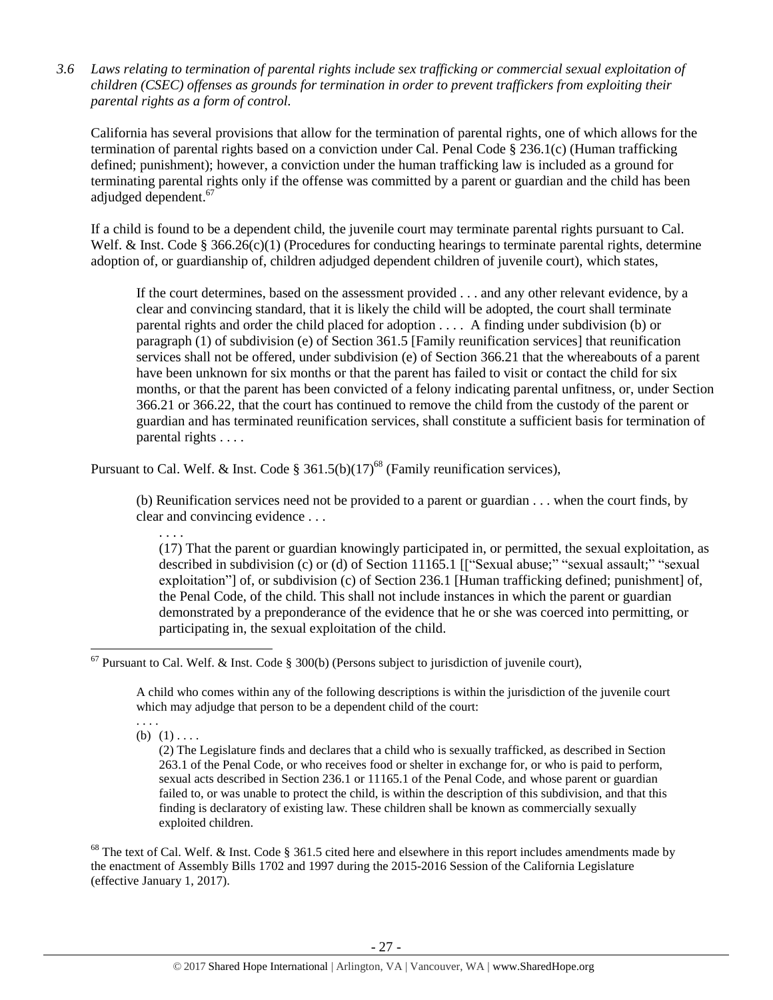*3.6 Laws relating to termination of parental rights include sex trafficking or commercial sexual exploitation of children (CSEC) offenses as grounds for termination in order to prevent traffickers from exploiting their parental rights as a form of control.* 

California has several provisions that allow for the termination of parental rights, one of which allows for the termination of parental rights based on a conviction under Cal. Penal Code § 236.1(c) (Human trafficking defined; punishment); however, a conviction under the human trafficking law is included as a ground for terminating parental rights only if the offense was committed by a parent or guardian and the child has been adjudged dependent. 67

If a child is found to be a dependent child, the juvenile court may terminate parental rights pursuant to Cal. Welf. & Inst. Code § 366.26(c)(1) (Procedures for conducting hearings to terminate parental rights, determine adoption of, or guardianship of, children adjudged dependent children of juvenile court), which states,

If the court determines, based on the assessment provided . . . and any other relevant evidence, by a clear and convincing standard, that it is likely the child will be adopted, the court shall terminate parental rights and order the child placed for adoption . . . . A finding under subdivision (b) or paragraph (1) of subdivision (e) of Section 361.5 [Family reunification services] that reunification services shall not be offered, under subdivision (e) of Section 366.21 that the whereabouts of a parent have been unknown for six months or that the parent has failed to visit or contact the child for six months, or that the parent has been convicted of a felony indicating parental unfitness, or, under Section 366.21 or 366.22, that the court has continued to remove the child from the custody of the parent or guardian and has terminated reunification services, shall constitute a sufficient basis for termination of parental rights . . . .

Pursuant to Cal. Welf. & Inst. Code § 361.5(b)(17)<sup>68</sup> (Family reunification services),

(b) Reunification services need not be provided to a parent or guardian . . . when the court finds, by clear and convincing evidence . . .

. . . .

(17) That the parent or guardian knowingly participated in, or permitted, the sexual exploitation, as described in subdivision (c) or (d) of Section 11165.1 [["Sexual abuse;" "sexual assault;" "sexual exploitation"] of, or subdivision (c) of Section 236.1 [Human trafficking defined; punishment] of, the Penal Code, of the child. This shall not include instances in which the parent or guardian demonstrated by a preponderance of the evidence that he or she was coerced into permitting, or participating in, the sexual exploitation of the child.

A child who comes within any of the following descriptions is within the jurisdiction of the juvenile court which may adjudge that person to be a dependent child of the court:

. . . . (b)  $(1)$ ....

 $\overline{a}$ 

(2) The Legislature finds and declares that a child who is sexually trafficked, as described in Section 263.1 of the Penal Code, or who receives food or shelter in exchange for, or who is paid to perform, sexual acts described in Section 236.1 or 11165.1 of the Penal Code, and whose parent or guardian failed to, or was unable to protect the child, is within the description of this subdivision, and that this finding is declaratory of existing law. These children shall be known as commercially sexually exploited children.

<sup>68</sup> The text of Cal. Welf. & Inst. Code § 361.5 cited here and elsewhere in this report includes amendments made by the enactment of Assembly Bills 1702 and 1997 during the 2015-2016 Session of the California Legislature (effective January 1, 2017).

 $67$  Pursuant to Cal. Welf. & Inst. Code § 300(b) (Persons subject to jurisdiction of juvenile court),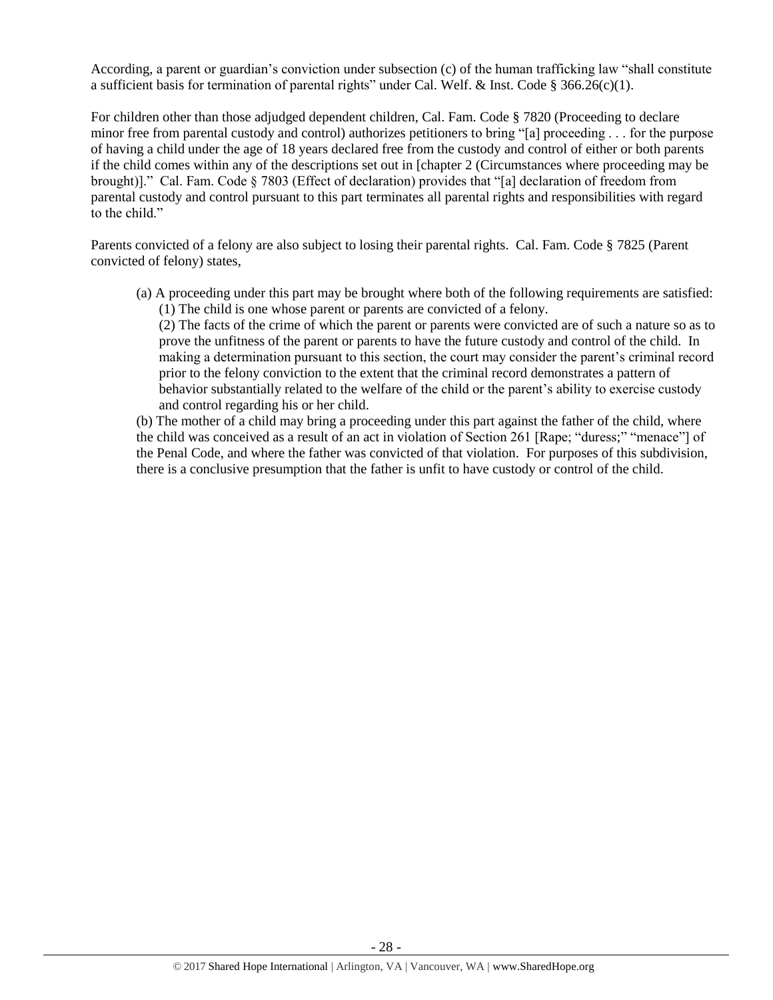According, a parent or guardian's conviction under subsection (c) of the human trafficking law "shall constitute a sufficient basis for termination of parental rights" under Cal. Welf. & Inst. Code § 366.26(c)(1).

For children other than those adjudged dependent children, Cal. Fam. Code § 7820 (Proceeding to declare minor free from parental custody and control) authorizes petitioners to bring "[a] proceeding . . . for the purpose of having a child under the age of 18 years declared free from the custody and control of either or both parents if the child comes within any of the descriptions set out in [chapter 2 (Circumstances where proceeding may be brought)]." Cal. Fam. Code § 7803 (Effect of declaration) provides that "[a] declaration of freedom from parental custody and control pursuant to this part terminates all parental rights and responsibilities with regard to the child."

Parents convicted of a felony are also subject to losing their parental rights. Cal. Fam. Code § 7825 (Parent convicted of felony) states,

(a) A proceeding under this part may be brought where both of the following requirements are satisfied: (1) The child is one whose parent or parents are convicted of a felony.

(2) The facts of the crime of which the parent or parents were convicted are of such a nature so as to prove the unfitness of the parent or parents to have the future custody and control of the child. In making a determination pursuant to this section, the court may consider the parent's criminal record prior to the felony conviction to the extent that the criminal record demonstrates a pattern of behavior substantially related to the welfare of the child or the parent's ability to exercise custody and control regarding his or her child.

(b) The mother of a child may bring a proceeding under this part against the father of the child, where the child was conceived as a result of an act in violation of Section 261 [Rape; "duress;" "menace"] of the Penal Code, and where the father was convicted of that violation. For purposes of this subdivision, there is a conclusive presumption that the father is unfit to have custody or control of the child.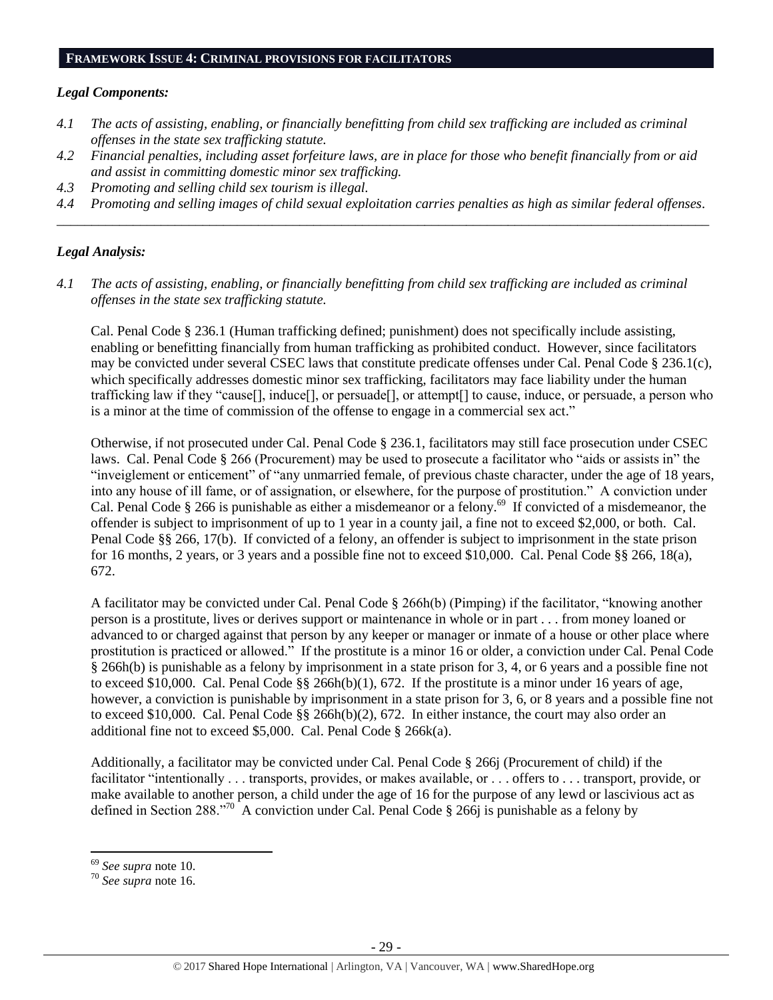#### **FRAMEWORK ISSUE 4: CRIMINAL PROVISIONS FOR FACILITATORS**

#### *Legal Components:*

- *4.1 The acts of assisting, enabling, or financially benefitting from child sex trafficking are included as criminal offenses in the state sex trafficking statute.*
- *4.2 Financial penalties, including asset forfeiture laws, are in place for those who benefit financially from or aid and assist in committing domestic minor sex trafficking.*
- *4.3 Promoting and selling child sex tourism is illegal.*
- *4.4 Promoting and selling images of child sexual exploitation carries penalties as high as similar federal offenses. \_\_\_\_\_\_\_\_\_\_\_\_\_\_\_\_\_\_\_\_\_\_\_\_\_\_\_\_\_\_\_\_\_\_\_\_\_\_\_\_\_\_\_\_\_\_\_\_\_\_\_\_\_\_\_\_\_\_\_\_\_\_\_\_\_\_\_\_\_\_\_\_\_\_\_\_\_\_\_\_\_\_\_\_\_\_\_\_\_\_\_\_\_\_*

#### *Legal Analysis:*

*4.1 The acts of assisting, enabling, or financially benefitting from child sex trafficking are included as criminal offenses in the state sex trafficking statute.*

Cal. Penal Code § 236.1 (Human trafficking defined; punishment) does not specifically include assisting, enabling or benefitting financially from human trafficking as prohibited conduct. However, since facilitators may be convicted under several CSEC laws that constitute predicate offenses under Cal. Penal Code § 236.1(c), which specifically addresses domestic minor sex trafficking, facilitators may face liability under the human trafficking law if they "cause[], induce[], or persuade[], or attempt[] to cause, induce, or persuade, a person who is a minor at the time of commission of the offense to engage in a commercial sex act."

Otherwise, if not prosecuted under Cal. Penal Code § 236.1, facilitators may still face prosecution under CSEC laws. Cal. Penal Code § 266 (Procurement) may be used to prosecute a facilitator who "aids or assists in" the "inveiglement or enticement" of "any unmarried female, of previous chaste character, under the age of 18 years, into any house of ill fame, or of assignation, or elsewhere, for the purpose of prostitution." A conviction under Cal. Penal Code § 266 is punishable as either a misdemeanor or a felony.<sup>69</sup> If convicted of a misdemeanor, the offender is subject to imprisonment of up to 1 year in a county jail, a fine not to exceed \$2,000, or both. Cal. Penal Code §§ 266, 17(b). If convicted of a felony, an offender is subject to imprisonment in the state prison for 16 months, 2 years, or 3 years and a possible fine not to exceed \$10,000. Cal. Penal Code §§ 266, 18(a), 672.

A facilitator may be convicted under Cal. Penal Code § 266h(b) (Pimping) if the facilitator, "knowing another person is a prostitute, lives or derives support or maintenance in whole or in part . . . from money loaned or advanced to or charged against that person by any keeper or manager or inmate of a house or other place where prostitution is practiced or allowed." If the prostitute is a minor 16 or older, a conviction under Cal. Penal Code § 266h(b) is punishable as a felony by imprisonment in a state prison for 3, 4, or 6 years and a possible fine not to exceed \$10,000. Cal. Penal Code  $\S$ § 266h(b)(1), 672. If the prostitute is a minor under 16 years of age, however, a conviction is punishable by imprisonment in a state prison for 3, 6, or 8 years and a possible fine not to exceed \$10,000. Cal. Penal Code §§ 266h(b)(2), 672. In either instance, the court may also order an additional fine not to exceed \$5,000. Cal. Penal Code § 266k(a).

Additionally, a facilitator may be convicted under Cal. Penal Code § 266j (Procurement of child) if the facilitator "intentionally . . . transports, provides, or makes available, or . . . offers to . . . transport, provide, or make available to another person, a child under the age of 16 for the purpose of any lewd or lascivious act as defined in Section 288.<sup>"70</sup> A conviction under Cal. Penal Code § 266j is punishable as a felony by

l

<sup>69</sup> *See supra* note [10.](#page-3-0) 

<sup>70</sup> *See supra* note [16.](#page-6-1)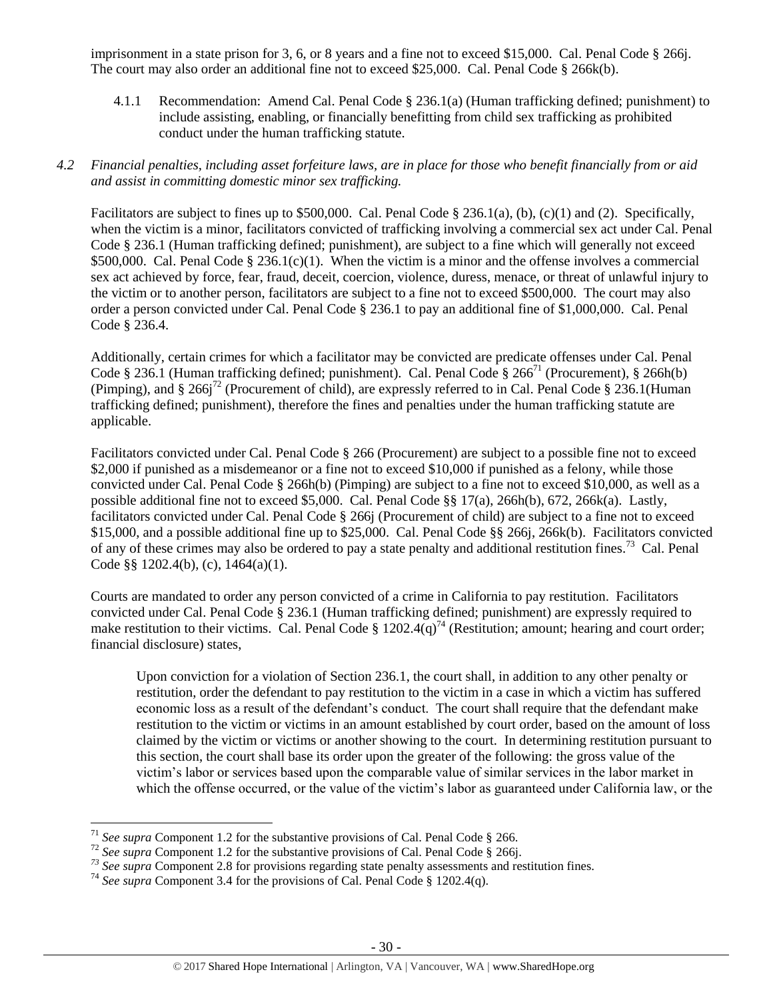imprisonment in a state prison for 3, 6, or 8 years and a fine not to exceed \$15,000. Cal. Penal Code § 266j. The court may also order an additional fine not to exceed \$25,000. Cal. Penal Code § 266k(b).

4.1.1 Recommendation: Amend Cal. Penal Code § 236.1(a) (Human trafficking defined; punishment) to include assisting, enabling, or financially benefitting from child sex trafficking as prohibited conduct under the human trafficking statute.

## *4.2 Financial penalties, including asset forfeiture laws, are in place for those who benefit financially from or aid and assist in committing domestic minor sex trafficking.*

Facilitators are subject to fines up to \$500,000. Cal. Penal Code § 236.1(a), (b), (c)(1) and (2). Specifically, when the victim is a minor, facilitators convicted of trafficking involving a commercial sex act under Cal. Penal Code § 236.1 (Human trafficking defined; punishment), are subject to a fine which will generally not exceed \$500,000. Cal. Penal Code  $\S 236.1(c)(1)$ . When the victim is a minor and the offense involves a commercial sex act achieved by force, fear, fraud, deceit, coercion, violence, duress, menace, or threat of unlawful injury to the victim or to another person, facilitators are subject to a fine not to exceed \$500,000. The court may also order a person convicted under Cal. Penal Code § 236.1 to pay an additional fine of \$1,000,000. Cal. Penal Code § 236.4.

Additionally, certain crimes for which a facilitator may be convicted are predicate offenses under Cal. Penal Code § 236.1 (Human trafficking defined; punishment). Cal. Penal Code § 266<sup>71</sup> (Procurement), § 266h(b) (Pimping), and  $\S 266j^{72}$  (Procurement of child), are expressly referred to in Cal. Penal Code  $\S 236.1$ (Human trafficking defined; punishment), therefore the fines and penalties under the human trafficking statute are applicable.

Facilitators convicted under Cal. Penal Code § 266 (Procurement) are subject to a possible fine not to exceed \$2,000 if punished as a misdemeanor or a fine not to exceed \$10,000 if punished as a felony, while those convicted under Cal. Penal Code § 266h(b) (Pimping) are subject to a fine not to exceed \$10,000, as well as a possible additional fine not to exceed \$5,000. Cal. Penal Code §§ 17(a), 266h(b), 672, 266k(a). Lastly, facilitators convicted under Cal. Penal Code § 266j (Procurement of child) are subject to a fine not to exceed \$15,000, and a possible additional fine up to \$25,000. Cal. Penal Code §§ 266j, 266k(b). Facilitators convicted of any of these crimes may also be ordered to pay a state penalty and additional restitution fines.<sup>73</sup> Cal. Penal Code §§ 1202.4(b), (c), 1464(a)(1).

Courts are mandated to order any person convicted of a crime in California to pay restitution. Facilitators convicted under Cal. Penal Code § 236.1 (Human trafficking defined; punishment) are expressly required to make restitution to their victims. Cal. Penal Code §  $1202.4(q)^{74}$  (Restitution; amount; hearing and court order; financial disclosure) states,

Upon conviction for a violation of Section 236.1, the court shall, in addition to any other penalty or restitution, order the defendant to pay restitution to the victim in a case in which a victim has suffered economic loss as a result of the defendant's conduct. The court shall require that the defendant make restitution to the victim or victims in an amount established by court order, based on the amount of loss claimed by the victim or victims or another showing to the court. In determining restitution pursuant to this section, the court shall base its order upon the greater of the following: the gross value of the victim's labor or services based upon the comparable value of similar services in the labor market in which the offense occurred, or the value of the victim's labor as guaranteed under California law, or the

l

<sup>71</sup> *See supra* Component 1.2 for the substantive provisions of Cal. Penal Code § 266.

<sup>&</sup>lt;sup>72</sup> See supra Component 1.2 for the substantive provisions of Cal. Penal Code § 266j.

*<sup>73</sup> See supra* Component 2.8 for provisions regarding state penalty assessments and restitution fines.

<sup>&</sup>lt;sup>74</sup> See supra Component 3.4 for the provisions of Cal. Penal Code § 1202.4(q).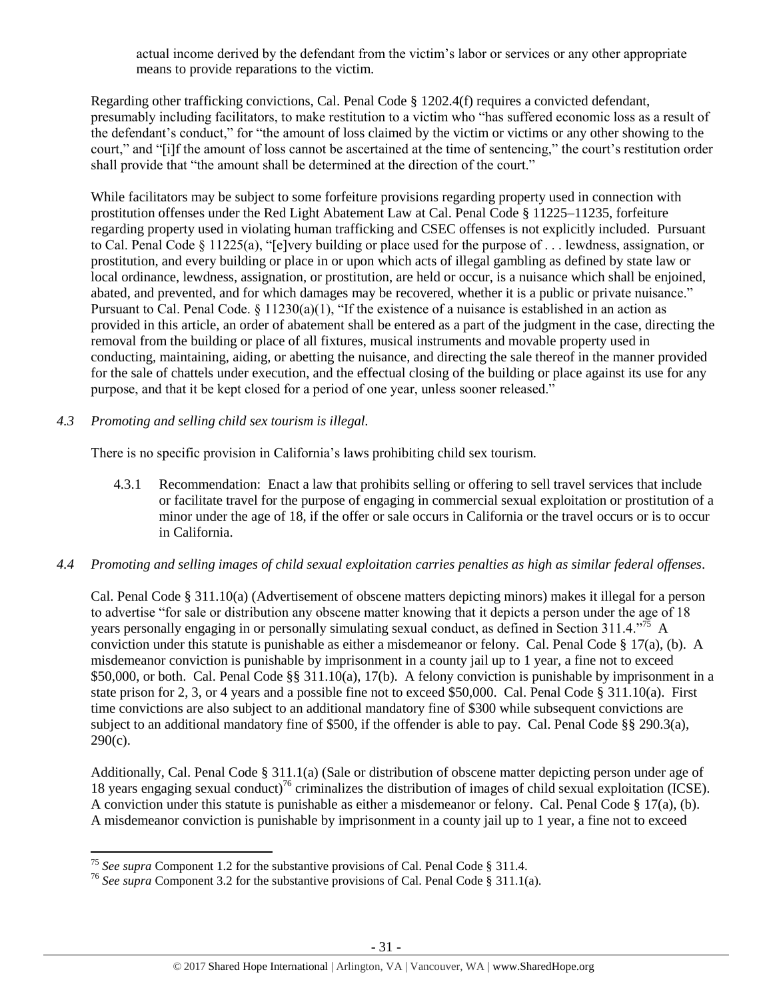actual income derived by the defendant from the victim's labor or services or any other appropriate means to provide reparations to the victim.

Regarding other trafficking convictions, Cal. Penal Code § 1202.4(f) requires a convicted defendant, presumably including facilitators, to make restitution to a victim who "has suffered economic loss as a result of the defendant's conduct," for "the amount of loss claimed by the victim or victims or any other showing to the court," and "[i]f the amount of loss cannot be ascertained at the time of sentencing," the court's restitution order shall provide that "the amount shall be determined at the direction of the court."

While facilitators may be subject to some forfeiture provisions regarding property used in connection with prostitution offenses under the Red Light Abatement Law at Cal. Penal Code § 11225–11235, forfeiture regarding property used in violating human trafficking and CSEC offenses is not explicitly included. Pursuant to Cal. Penal Code § 11225(a), "[e]very building or place used for the purpose of . . . lewdness, assignation, or prostitution, and every building or place in or upon which acts of illegal gambling as defined by state law or local ordinance, lewdness, assignation, or prostitution, are held or occur, is a nuisance which shall be enjoined, abated, and prevented, and for which damages may be recovered, whether it is a public or private nuisance." Pursuant to Cal. Penal Code.  $\S 11230(a)(1)$ , "If the existence of a nuisance is established in an action as provided in this article, an order of abatement shall be entered as a part of the judgment in the case, directing the removal from the building or place of all fixtures, musical instruments and movable property used in conducting, maintaining, aiding, or abetting the nuisance, and directing the sale thereof in the manner provided for the sale of chattels under execution, and the effectual closing of the building or place against its use for any purpose, and that it be kept closed for a period of one year, unless sooner released."

*4.3 Promoting and selling child sex tourism is illegal.*

There is no specific provision in California's laws prohibiting child sex tourism.

4.3.1 Recommendation: Enact a law that prohibits selling or offering to sell travel services that include or facilitate travel for the purpose of engaging in commercial sexual exploitation or prostitution of a minor under the age of 18, if the offer or sale occurs in California or the travel occurs or is to occur in California.

# *4.4 Promoting and selling images of child sexual exploitation carries penalties as high as similar federal offenses.*

Cal. Penal Code § 311.10(a) (Advertisement of obscene matters depicting minors) makes it illegal for a person to advertise "for sale or distribution any obscene matter knowing that it depicts a person under the age of 18 years personally engaging in or personally simulating sexual conduct, as defined in Section 311.4."<sup>75</sup> A conviction under this statute is punishable as either a misdemeanor or felony. Cal. Penal Code § 17(a), (b). A misdemeanor conviction is punishable by imprisonment in a county jail up to 1 year, a fine not to exceed \$50,000, or both. Cal. Penal Code §§ 311.10(a), 17(b). A felony conviction is punishable by imprisonment in a state prison for 2, 3, or 4 years and a possible fine not to exceed \$50,000. Cal. Penal Code § 311.10(a). First time convictions are also subject to an additional mandatory fine of \$300 while subsequent convictions are subject to an additional mandatory fine of \$500, if the offender is able to pay. Cal. Penal Code §§ 290.3(a),  $290(c)$ .

Additionally, Cal. Penal Code § 311.1(a) (Sale or distribution of obscene matter depicting person under age of 18 years engaging sexual conduct)<sup>76</sup> criminalizes the distribution of images of child sexual exploitation (ICSE). A conviction under this statute is punishable as either a misdemeanor or felony. Cal. Penal Code § 17(a), (b). A misdemeanor conviction is punishable by imprisonment in a county jail up to 1 year, a fine not to exceed

l <sup>75</sup> *See supra* Component 1.2 for the substantive provisions of Cal. Penal Code § 311.4.

<sup>76</sup> *See supra* Component 3.2 for the substantive provisions of Cal. Penal Code § 311.1(a).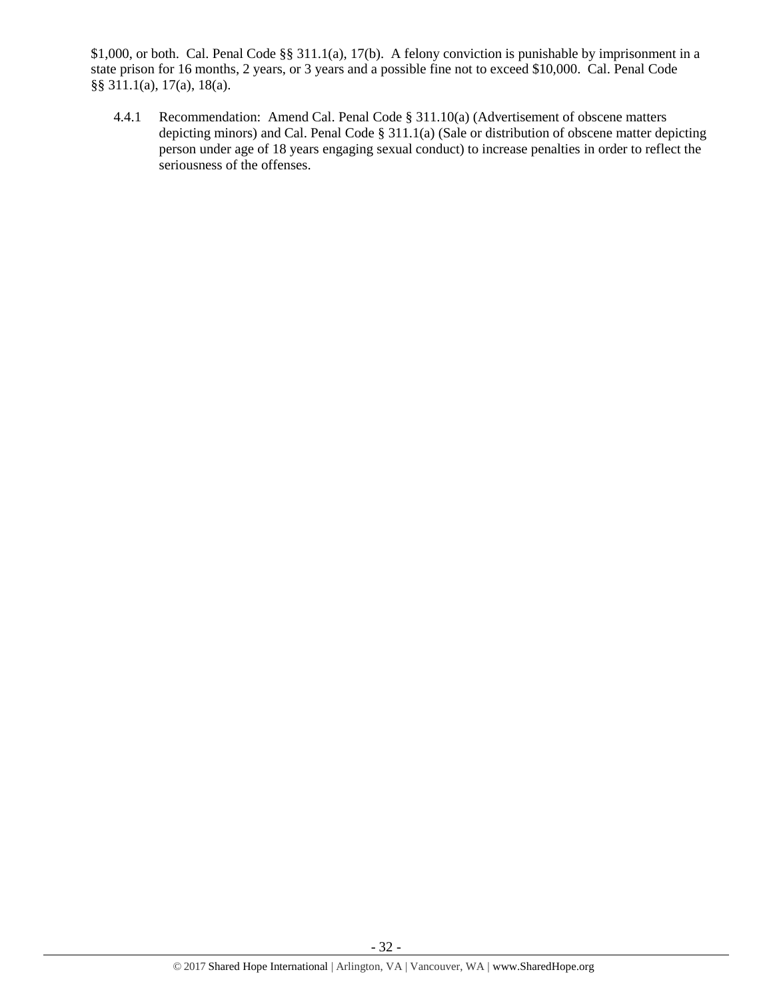\$1,000, or both. Cal. Penal Code §§ 311.1(a), 17(b). A felony conviction is punishable by imprisonment in a state prison for 16 months, 2 years, or 3 years and a possible fine not to exceed \$10,000. Cal. Penal Code §§ 311.1(a), 17(a), 18(a).

4.4.1 Recommendation: Amend Cal. Penal Code § 311.10(a) (Advertisement of obscene matters depicting minors) and Cal. Penal Code § 311.1(a) (Sale or distribution of obscene matter depicting person under age of 18 years engaging sexual conduct) to increase penalties in order to reflect the seriousness of the offenses.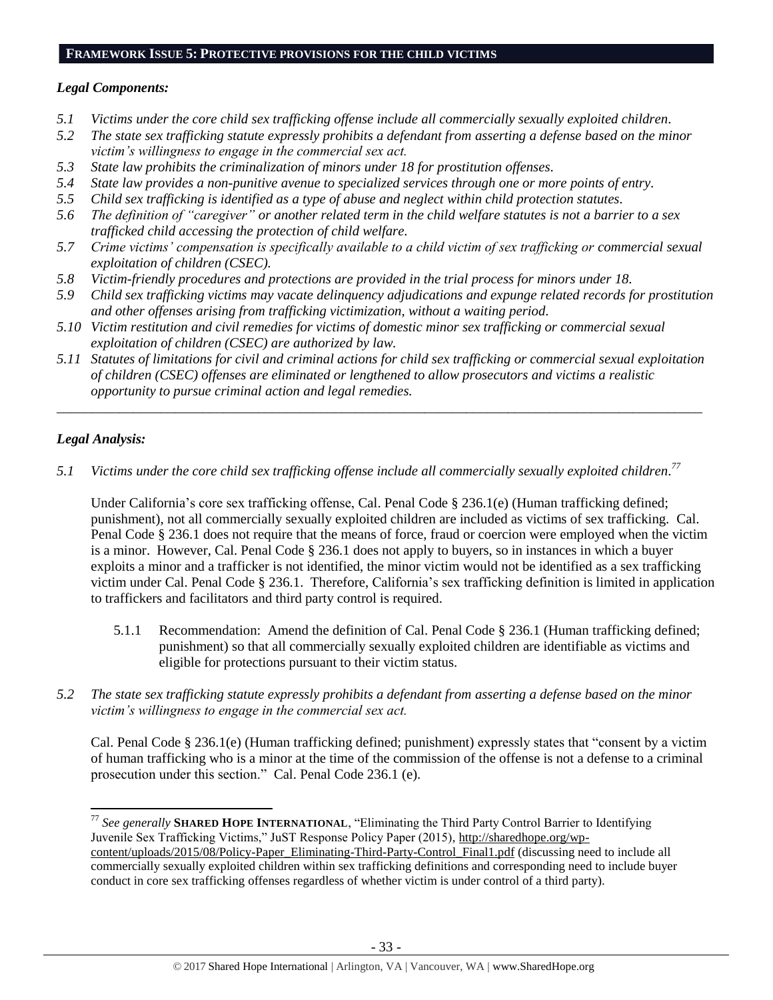#### **FRAMEWORK ISSUE 5: PROTECTIVE PROVISIONS FOR THE CHILD VICTIMS**

## *Legal Components:*

- *5.1 Victims under the core child sex trafficking offense include all commercially sexually exploited children.*
- *5.2 The state sex trafficking statute expressly prohibits a defendant from asserting a defense based on the minor victim's willingness to engage in the commercial sex act.*
- *5.3 State law prohibits the criminalization of minors under 18 for prostitution offenses.*
- *5.4 State law provides a non-punitive avenue to specialized services through one or more points of entry.*
- *5.5 Child sex trafficking is identified as a type of abuse and neglect within child protection statutes.*
- *5.6 The definition of "caregiver" or another related term in the child welfare statutes is not a barrier to a sex trafficked child accessing the protection of child welfare.*
- *5.7 Crime victims' compensation is specifically available to a child victim of sex trafficking or commercial sexual exploitation of children (CSEC).*
- *5.8 Victim-friendly procedures and protections are provided in the trial process for minors under 18.*
- *5.9 Child sex trafficking victims may vacate delinquency adjudications and expunge related records for prostitution and other offenses arising from trafficking victimization, without a waiting period.*
- *5.10 Victim restitution and civil remedies for victims of domestic minor sex trafficking or commercial sexual exploitation of children (CSEC) are authorized by law.*
- *5.11 Statutes of limitations for civil and criminal actions for child sex trafficking or commercial sexual exploitation of children (CSEC) offenses are eliminated or lengthened to allow prosecutors and victims a realistic opportunity to pursue criminal action and legal remedies.*

*\_\_\_\_\_\_\_\_\_\_\_\_\_\_\_\_\_\_\_\_\_\_\_\_\_\_\_\_\_\_\_\_\_\_\_\_\_\_\_\_\_\_\_\_\_\_\_\_\_\_\_\_\_\_\_\_\_\_\_\_\_\_\_\_\_\_\_\_\_\_\_\_\_\_\_\_\_\_\_\_\_\_\_\_\_\_\_\_\_\_\_\_\_*

# *Legal Analysis:*

 $\overline{\phantom{a}}$ 

*5.1 Victims under the core child sex trafficking offense include all commercially sexually exploited children. 77*

Under California's core sex trafficking offense, Cal. Penal Code § 236.1(e) (Human trafficking defined; punishment), not all commercially sexually exploited children are included as victims of sex trafficking. Cal. Penal Code § 236.1 does not require that the means of force, fraud or coercion were employed when the victim is a minor. However, Cal. Penal Code § 236.1 does not apply to buyers, so in instances in which a buyer exploits a minor and a trafficker is not identified, the minor victim would not be identified as a sex trafficking victim under Cal. Penal Code § 236.1. Therefore, California's sex trafficking definition is limited in application to traffickers and facilitators and third party control is required.

- 5.1.1 Recommendation: Amend the definition of Cal. Penal Code § 236.1 (Human trafficking defined; punishment) so that all commercially sexually exploited children are identifiable as victims and eligible for protections pursuant to their victim status.
- *5.2 The state sex trafficking statute expressly prohibits a defendant from asserting a defense based on the minor victim's willingness to engage in the commercial sex act.*

Cal. Penal Code § 236.1(e) (Human trafficking defined; punishment) expressly states that "consent by a victim of human trafficking who is a minor at the time of the commission of the offense is not a defense to a criminal prosecution under this section." Cal. Penal Code 236.1 (e).

<sup>77</sup> *See generally* **SHARED HOPE INTERNATIONAL**, "Eliminating the Third Party Control Barrier to Identifying Juvenile Sex Trafficking Victims," JuST Response Policy Paper (2015), [http://sharedhope.org/wp](http://sharedhope.org/wp-content/uploads/2015/08/Policy-Paper_Eliminating-Third-Party-Control_Final1.pdf)[content/uploads/2015/08/Policy-Paper\\_Eliminating-Third-Party-Control\\_Final1.pdf](http://sharedhope.org/wp-content/uploads/2015/08/Policy-Paper_Eliminating-Third-Party-Control_Final1.pdf) (discussing need to include all commercially sexually exploited children within sex trafficking definitions and corresponding need to include buyer conduct in core sex trafficking offenses regardless of whether victim is under control of a third party).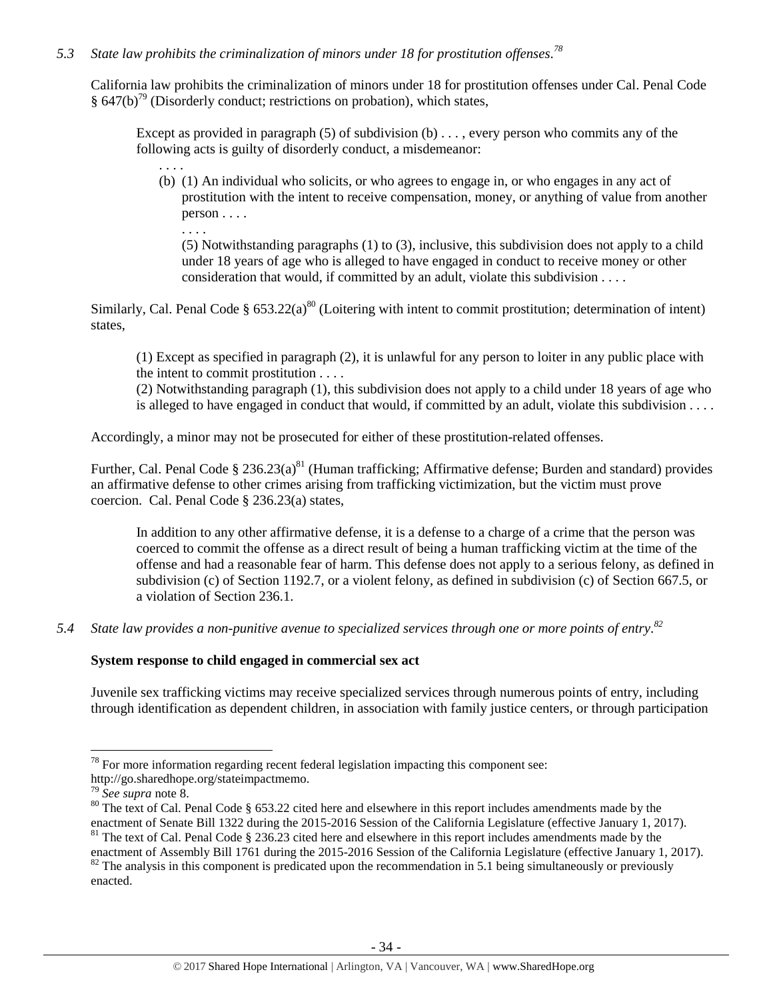## *5.3 State law prohibits the criminalization of minors under 18 for prostitution offenses. 78*

California law prohibits the criminalization of minors under 18 for prostitution offenses under Cal. Penal Code  $§ 647(b)<sup>79</sup>$  (Disorderly conduct; restrictions on probation), which states,

Except as provided in paragraph  $(5)$  of subdivision  $(b) \ldots$ , every person who commits any of the following acts is guilty of disorderly conduct, a misdemeanor:

(b) (1) An individual who solicits, or who agrees to engage in, or who engages in any act of prostitution with the intent to receive compensation, money, or anything of value from another person . . . .

(5) Notwithstanding paragraphs (1) to (3), inclusive, this subdivision does not apply to a child under 18 years of age who is alleged to have engaged in conduct to receive money or other consideration that would, if committed by an adult, violate this subdivision . . . .

Similarly, Cal. Penal Code  $\S 653.22(a)^{80}$  (Loitering with intent to commit prostitution; determination of intent) states,

(1) Except as specified in paragraph (2), it is unlawful for any person to loiter in any public place with the intent to commit prostitution . . . .

(2) Notwithstanding paragraph (1), this subdivision does not apply to a child under 18 years of age who is alleged to have engaged in conduct that would, if committed by an adult, violate this subdivision . . . .

Accordingly, a minor may not be prosecuted for either of these prostitution-related offenses.

Further, Cal. Penal Code § 236.23(a)<sup>81</sup> (Human trafficking; Affirmative defense; Burden and standard) provides an affirmative defense to other crimes arising from trafficking victimization, but the victim must prove coercion. Cal. Penal Code § 236.23(a) states,

<span id="page-33-0"></span>In addition to any other affirmative defense, it is a defense to a charge of a crime that the person was coerced to commit the offense as a direct result of being a human trafficking victim at the time of the offense and had a reasonable fear of harm. This defense does not apply to a serious felony, as defined in subdivision (c) of Section 1192.7, or a violent felony, as defined in subdivision (c) of Section 667.5, or a violation of Section 236.1.

*5.4 State law provides a non-punitive avenue to specialized services through one or more points of entry. 82*

#### **System response to child engaged in commercial sex act**

Juvenile sex trafficking victims may receive specialized services through numerous points of entry, including through identification as dependent children, in association with family justice centers, or through participation

 $\overline{\phantom{a}}$ 

. . . .

. . . .

 $78$  For more information regarding recent federal legislation impacting this component see: http://go.sharedhope.org/stateimpactmemo.

<sup>79</sup> *See supra* note [8.](#page-2-0)

<sup>&</sup>lt;sup>80</sup> The text of Cal. Penal Code § 653.22 cited here and elsewhere in this report includes amendments made by the enactment of Senate Bill 1322 during the 2015-2016 Session of the California Legislature (effective January 1, 2017). <sup>81</sup> The text of Cal. Penal Code  $\S$  236.23 cited here and elsewhere in this report includes amendments made by the

enactment of Assembly Bill 1761 during the 2015-2016 Session of the California Legislature (effective January 1, 2017).  $82$  The analysis in this component is predicated upon the recommendation in 5.1 being simultaneously or previously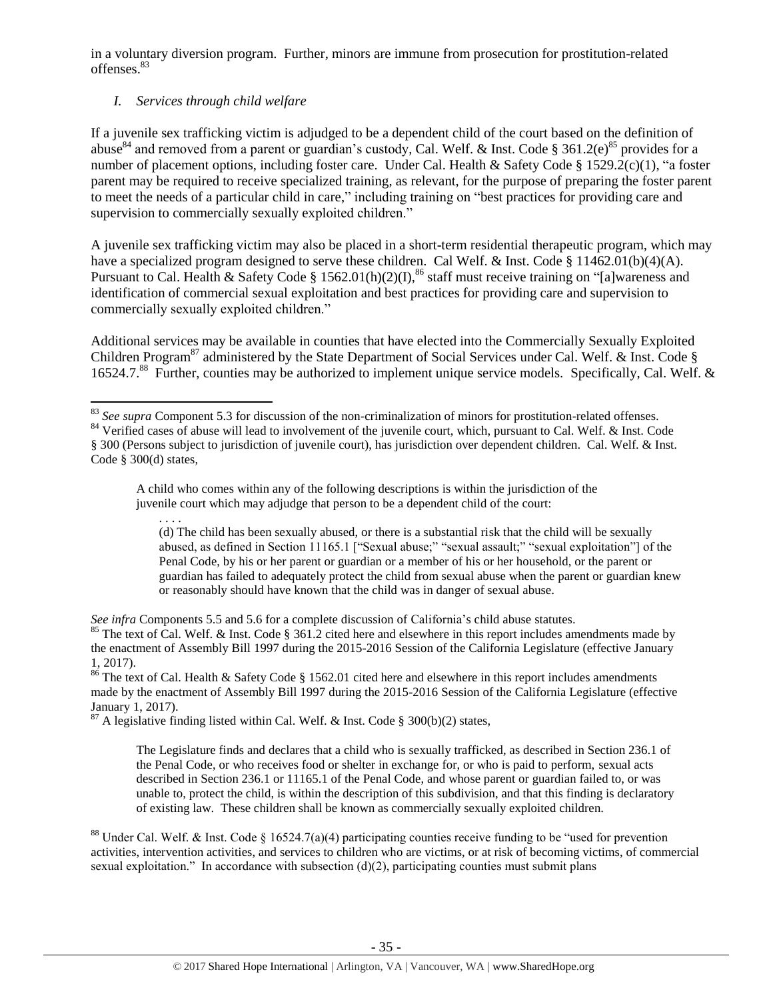in a voluntary diversion program. Further, minors are immune from prosecution for prostitution-related offenses.<sup>83</sup>

# *I. Services through child welfare*

If a juvenile sex trafficking victim is adjudged to be a dependent child of the court based on the definition of abuse<sup>84</sup> and removed from a parent or guardian's custody, Cal. Welf. & Inst. Code § 361.2(e)<sup>85</sup> provides for a number of placement options, including foster care. Under Cal. Health & Safety Code § 1529.2(c)(1), "a foster parent may be required to receive specialized training, as relevant, for the purpose of preparing the foster parent to meet the needs of a particular child in care," including training on "best practices for providing care and supervision to commercially sexually exploited children."

A juvenile sex trafficking victim may also be placed in a short-term residential therapeutic program, which may have a specialized program designed to serve these children. Cal Welf. & Inst. Code § 11462.01(b)(4)(A). Pursuant to Cal. Health & Safety Code § 1562.01(h)(2)(I),<sup>86</sup> staff must receive training on "[a]wareness and identification of commercial sexual exploitation and best practices for providing care and supervision to commercially sexually exploited children."

Additional services may be available in counties that have elected into the Commercially Sexually Exploited Children Program<sup>87</sup> administered by the State Department of Social Services under Cal. Welf. & Inst. Code § 16524.7.<sup>88</sup> Further, counties may be authorized to implement unique service models. Specifically, Cal. Welf. &

A child who comes within any of the following descriptions is within the jurisdiction of the juvenile court which may adjudge that person to be a dependent child of the court:

. . . . (d) The child has been sexually abused, or there is a substantial risk that the child will be sexually abused, as defined in Section 11165.1 ["Sexual abuse;" "sexual assault;" "sexual exploitation"] of the Penal Code, by his or her parent or guardian or a member of his or her household, or the parent or guardian has failed to adequately protect the child from sexual abuse when the parent or guardian knew or reasonably should have known that the child was in danger of sexual abuse.

*See infra* Components 5.5 and 5.6 for a complete discussion of California's child abuse statutes.

<sup>85</sup> The text of Cal. Welf. & Inst. Code § 361.2 cited here and elsewhere in this report includes amendments made by the enactment of Assembly Bill 1997 during the 2015-2016 Session of the California Legislature (effective January 1, 2017).

<sup>86</sup> The text of Cal. Health & Safety Code § 1562.01 cited here and elsewhere in this report includes amendments made by the enactment of Assembly Bill 1997 during the 2015-2016 Session of the California Legislature (effective January 1, 2017).

 $87$  A legislative finding listed within Cal. Welf. & Inst. Code § 300(b)(2) states,

The Legislature finds and declares that a child who is sexually trafficked, as described in Section 236.1 of the Penal Code, or who receives food or shelter in exchange for, or who is paid to perform, sexual acts described in Section 236.1 or 11165.1 of the Penal Code, and whose parent or guardian failed to, or was unable to, protect the child, is within the description of this subdivision, and that this finding is declaratory of existing law. These children shall be known as commercially sexually exploited children.

<sup>88</sup> Under Cal. Welf. & Inst. Code § 16524.7(a)(4) participating counties receive funding to be "used for prevention activities, intervention activities, and services to children who are victims, or at risk of becoming victims, of commercial sexual exploitation." In accordance with subsection  $(d)(2)$ , participating counties must submit plans

 $\overline{\phantom{a}}$ <sup>83</sup> See supra Component 5.3 for discussion of the non-criminalization of minors for prostitution-related offenses.

<sup>&</sup>lt;sup>84</sup> Verified cases of abuse will lead to involvement of the juvenile court, which, pursuant to Cal. Welf. & Inst. Code § 300 (Persons subject to jurisdiction of juvenile court), has jurisdiction over dependent children. Cal. Welf. & Inst. Code § 300(d) states,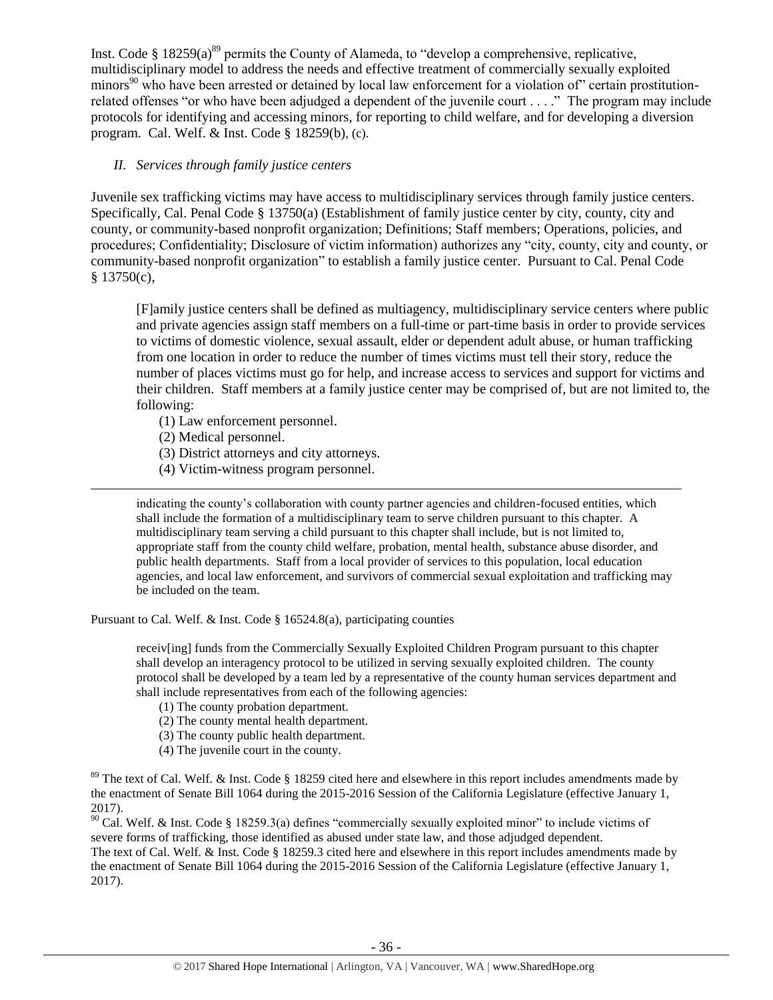Inst. Code  $\S$  18259(a)<sup>89</sup> permits the County of Alameda, to "develop a comprehensive, replicative, multidisciplinary model to address the needs and effective treatment of commercially sexually exploited minors<sup>90</sup> who have been arrested or detained by local law enforcement for a violation of certain prostitutionrelated offenses "or who have been adjudged a dependent of the juvenile court . . . ." The program may include protocols for identifying and accessing minors, for reporting to child welfare, and for developing a diversion program. Cal. Welf. & Inst. Code § 18259(b), (c).

## *II. Services through family justice centers*

Juvenile sex trafficking victims may have access to multidisciplinary services through family justice centers. Specifically, Cal. Penal Code § 13750(a) (Establishment of family justice center by city, county, city and county, or community-based nonprofit organization; Definitions; Staff members; Operations, policies, and procedures; Confidentiality; Disclosure of victim information) authorizes any "city, county, city and county, or community-based nonprofit organization" to establish a family justice center. Pursuant to Cal. Penal Code § 13750(c),

[F]amily justice centers shall be defined as multiagency, multidisciplinary service centers where public and private agencies assign staff members on a full-time or part-time basis in order to provide services to victims of domestic violence, sexual assault, elder or dependent adult abuse, or human trafficking from one location in order to reduce the number of times victims must tell their story, reduce the number of places victims must go for help, and increase access to services and support for victims and their children. Staff members at a family justice center may be comprised of, but are not limited to, the following:

(1) Law enforcement personnel.

(2) Medical personnel.

 $\overline{\phantom{a}}$ 

- (3) District attorneys and city attorneys.
- (4) Victim-witness program personnel.

indicating the county's collaboration with county partner agencies and children-focused entities, which shall include the formation of a multidisciplinary team to serve children pursuant to this chapter. A multidisciplinary team serving a child pursuant to this chapter shall include, but is not limited to, appropriate staff from the county child welfare, probation, mental health, substance abuse disorder, and public health departments. Staff from a local provider of services to this population, local education agencies, and local law enforcement, and survivors of commercial sexual exploitation and trafficking may be included on the team.

Pursuant to Cal. Welf. & Inst. Code § 16524.8(a), participating counties

receiv[ing] funds from the Commercially Sexually Exploited Children Program pursuant to this chapter shall develop an interagency protocol to be utilized in serving sexually exploited children. The county protocol shall be developed by a team led by a representative of the county human services department and shall include representatives from each of the following agencies:

- (1) The county probation department.
- (2) The county mental health department.
- (3) The county public health department.
- (4) The juvenile court in the county.

<sup>89</sup> The text of Cal. Welf. & Inst. Code § 18259 cited here and elsewhere in this report includes amendments made by the enactment of Senate Bill 1064 during the 2015-2016 Session of the California Legislature (effective January 1, 2017).

 $90$  Cal. Welf. & Inst. Code § 18259.3(a) defines "commercially sexually exploited minor" to include victims of severe forms of trafficking, those identified as abused under state law, and those adjudged dependent. The text of Cal. Welf. & Inst. Code § 18259.3 cited here and elsewhere in this report includes amendments made by the enactment of Senate Bill 1064 during the 2015-2016 Session of the California Legislature (effective January 1, 2017).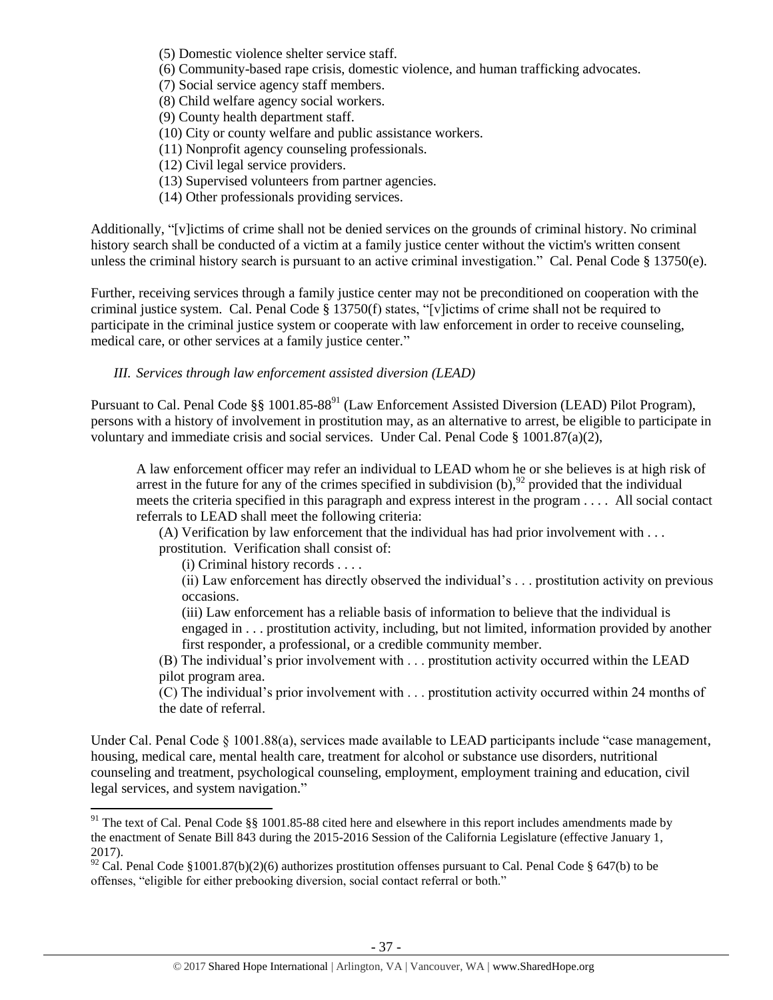- (5) Domestic violence shelter service staff.
- (6) Community-based rape crisis, domestic violence, and human trafficking advocates.
- (7) Social service agency staff members.
- (8) Child welfare agency social workers.
- (9) County health department staff.
- (10) City or county welfare and public assistance workers.
- (11) Nonprofit agency counseling professionals.
- (12) Civil legal service providers.
- (13) Supervised volunteers from partner agencies.
- (14) Other professionals providing services.

Additionally, "[v]ictims of crime shall not be denied services on the grounds of criminal history. No criminal history search shall be conducted of a victim at a family justice center without the victim's written consent unless the criminal history search is pursuant to an active criminal investigation." Cal. Penal Code § 13750(e).

Further, receiving services through a family justice center may not be preconditioned on cooperation with the criminal justice system. Cal. Penal Code § 13750(f) states, "[v]ictims of crime shall not be required to participate in the criminal justice system or cooperate with law enforcement in order to receive counseling, medical care, or other services at a family justice center."

*III. Services through law enforcement assisted diversion (LEAD)*

Pursuant to Cal. Penal Code §§ 1001.85-88<sup>91</sup> (Law Enforcement Assisted Diversion (LEAD) Pilot Program), persons with a history of involvement in prostitution may, as an alternative to arrest, be eligible to participate in voluntary and immediate crisis and social services. Under Cal. Penal Code  $\S$  1001.87(a)(2),

A law enforcement officer may refer an individual to LEAD whom he or she believes is at high risk of arrest in the future for any of the crimes specified in subdivision  $(b)$ ,  $^{92}$  provided that the individual meets the criteria specified in this paragraph and express interest in the program . . . . All social contact referrals to LEAD shall meet the following criteria:

(A) Verification by law enforcement that the individual has had prior involvement with . . . prostitution. Verification shall consist of:

(i) Criminal history records . . . .

(ii) Law enforcement has directly observed the individual's . . . prostitution activity on previous occasions.

(iii) Law enforcement has a reliable basis of information to believe that the individual is engaged in . . . prostitution activity, including, but not limited, information provided by another first responder, a professional, or a credible community member.

(B) The individual's prior involvement with . . . prostitution activity occurred within the LEAD pilot program area.

(C) The individual's prior involvement with . . . prostitution activity occurred within 24 months of the date of referral.

Under Cal. Penal Code § 1001.88(a), services made available to LEAD participants include "case management, housing, medical care, mental health care, treatment for alcohol or substance use disorders, nutritional counseling and treatment, psychological counseling, employment, employment training and education, civil legal services, and system navigation."

 $\overline{\phantom{a}}$ <sup>91</sup> The text of Cal. Penal Code  $\S$ § 1001.85-88 cited here and elsewhere in this report includes amendments made by the enactment of Senate Bill 843 during the 2015-2016 Session of the California Legislature (effective January 1, 2017).

<sup>&</sup>lt;sup>92</sup> Cal. Penal Code §1001.87(b)(2)(6) authorizes prostitution offenses pursuant to Cal. Penal Code § 647(b) to be offenses, "eligible for either prebooking diversion, social contact referral or both."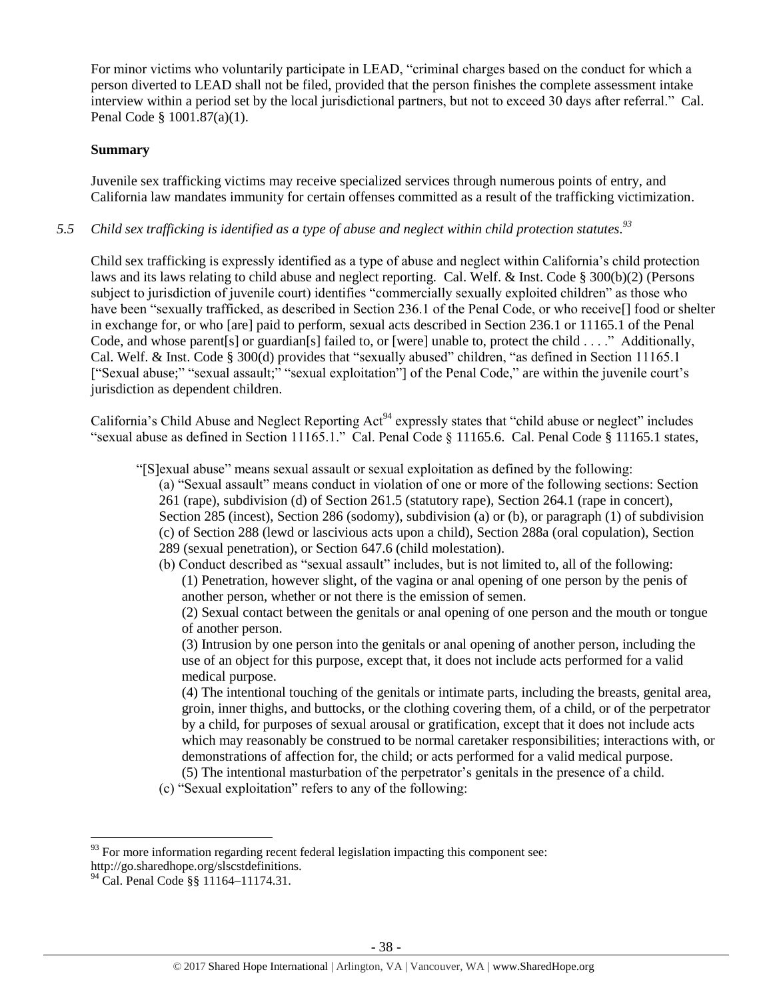For minor victims who voluntarily participate in LEAD, "criminal charges based on the conduct for which a person diverted to LEAD shall not be filed, provided that the person finishes the complete assessment intake interview within a period set by the local jurisdictional partners, but not to exceed 30 days after referral." Cal. Penal Code § 1001.87(a)(1).

### **Summary**

Juvenile sex trafficking victims may receive specialized services through numerous points of entry, and California law mandates immunity for certain offenses committed as a result of the trafficking victimization.

# *5.5 Child sex trafficking is identified as a type of abuse and neglect within child protection statutes. 93*

Child sex trafficking is expressly identified as a type of abuse and neglect within California's child protection laws and its laws relating to child abuse and neglect reporting. Cal. Welf. & Inst. Code § 300(b)(2) (Persons subject to jurisdiction of juvenile court) identifies "commercially sexually exploited children" as those who have been "sexually trafficked, as described in Section 236.1 of the Penal Code, or who receive<sup>[]</sup> food or shelter in exchange for, or who [are] paid to perform, sexual acts described in Section 236.1 or 11165.1 of the Penal Code, and whose parent [s] or guardian [s] failed to, or [were] unable to, protect the child . . . ." Additionally, Cal. Welf. & Inst. Code § 300(d) provides that "sexually abused" children, "as defined in Section 11165.1 ["Sexual abuse;" "sexual assault;" "sexual exploitation"] of the Penal Code," are within the juvenile court's jurisdiction as dependent children.

California's Child Abuse and Neglect Reporting Act<sup>94</sup> expressly states that "child abuse or neglect" includes "sexual abuse as defined in Section 11165.1." Cal. Penal Code § 11165.6. Cal. Penal Code § 11165.1 states,

"[S]exual abuse" means sexual assault or sexual exploitation as defined by the following:

- (a) "Sexual assault" means conduct in violation of one or more of the following sections: Section 261 (rape), subdivision (d) of Section 261.5 (statutory rape), Section 264.1 (rape in concert), Section 285 (incest), Section 286 (sodomy), subdivision (a) or (b), or paragraph (1) of subdivision (c) of Section 288 (lewd or lascivious acts upon a child), Section 288a (oral copulation), Section 289 (sexual penetration), or Section 647.6 (child molestation).
- (b) Conduct described as "sexual assault" includes, but is not limited to, all of the following: (1) Penetration, however slight, of the vagina or anal opening of one person by the penis of another person, whether or not there is the emission of semen.

(2) Sexual contact between the genitals or anal opening of one person and the mouth or tongue of another person.

(3) Intrusion by one person into the genitals or anal opening of another person, including the use of an object for this purpose, except that, it does not include acts performed for a valid medical purpose.

(4) The intentional touching of the genitals or intimate parts, including the breasts, genital area, groin, inner thighs, and buttocks, or the clothing covering them, of a child, or of the perpetrator by a child, for purposes of sexual arousal or gratification, except that it does not include acts which may reasonably be construed to be normal caretaker responsibilities; interactions with, or demonstrations of affection for, the child; or acts performed for a valid medical purpose. (5) The intentional masturbation of the perpetrator's genitals in the presence of a child.

(c) "Sexual exploitation" refers to any of the following:

 $\overline{\phantom{a}}$  $93$  For more information regarding recent federal legislation impacting this component see: http://go.sharedhope.org/slscstdefinitions.

<sup>&</sup>lt;sup>94</sup> Cal. Penal Code §§ 11164–11174.31.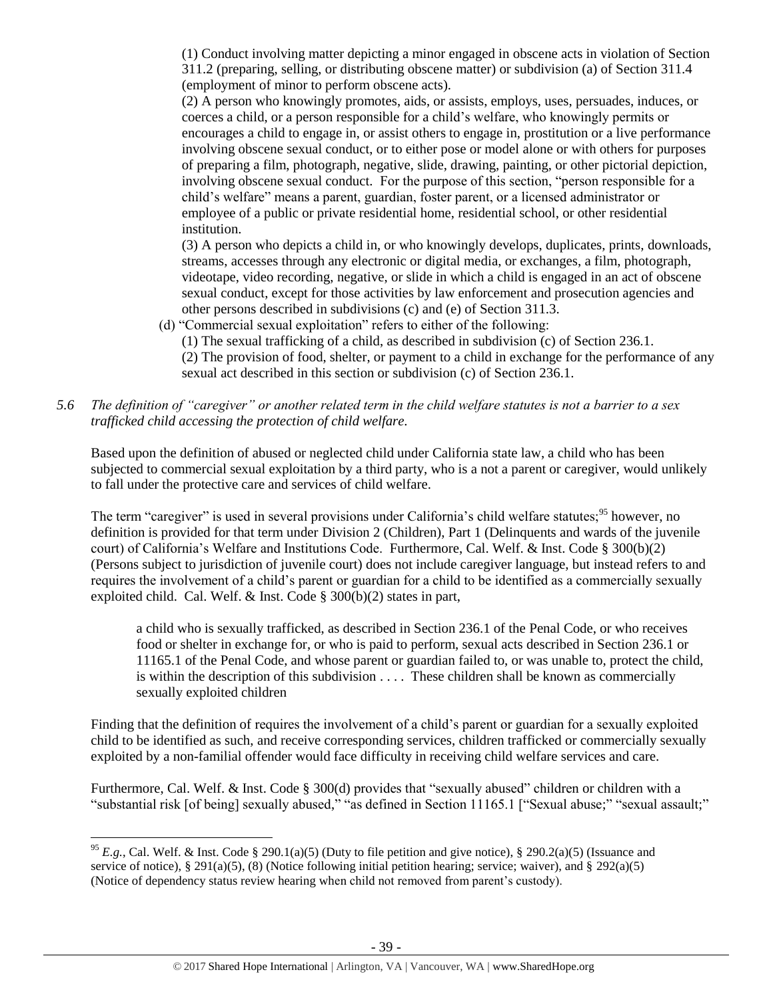(1) Conduct involving matter depicting a minor engaged in obscene acts in violation of Section 311.2 (preparing, selling, or distributing obscene matter) or subdivision (a) of Section 311.4 (employment of minor to perform obscene acts).

(2) A person who knowingly promotes, aids, or assists, employs, uses, persuades, induces, or coerces a child, or a person responsible for a child's welfare, who knowingly permits or encourages a child to engage in, or assist others to engage in, prostitution or a live performance involving obscene sexual conduct, or to either pose or model alone or with others for purposes of preparing a film, photograph, negative, slide, drawing, painting, or other pictorial depiction, involving obscene sexual conduct. For the purpose of this section, "person responsible for a child's welfare" means a parent, guardian, foster parent, or a licensed administrator or employee of a public or private residential home, residential school, or other residential institution.

(3) A person who depicts a child in, or who knowingly develops, duplicates, prints, downloads, streams, accesses through any electronic or digital media, or exchanges, a film, photograph, videotape, video recording, negative, or slide in which a child is engaged in an act of obscene sexual conduct, except for those activities by law enforcement and prosecution agencies and other persons described in subdivisions (c) and (e) of Section 311.3.

- (d) "Commercial sexual exploitation" refers to either of the following:
	- (1) The sexual trafficking of a child, as described in subdivision (c) of Section 236.1.

(2) The provision of food, shelter, or payment to a child in exchange for the performance of any sexual act described in this section or subdivision (c) of Section 236.1.

*5.6 The definition of "caregiver" or another related term in the child welfare statutes is not a barrier to a sex trafficked child accessing the protection of child welfare.*

Based upon the definition of abused or neglected child under California state law, a child who has been subjected to commercial sexual exploitation by a third party, who is a not a parent or caregiver, would unlikely to fall under the protective care and services of child welfare.

The term "caregiver" is used in several provisions under California's child welfare statutes;<sup>95</sup> however, no definition is provided for that term under Division 2 (Children), Part 1 (Delinquents and wards of the juvenile court) of California's Welfare and Institutions Code. Furthermore, Cal. Welf. & Inst. Code § 300(b)(2) (Persons subject to jurisdiction of juvenile court) does not include caregiver language, but instead refers to and requires the involvement of a child's parent or guardian for a child to be identified as a commercially sexually exploited child. Cal. Welf. & Inst. Code § 300(b)(2) states in part,

a child who is sexually trafficked, as described in Section 236.1 of the Penal Code, or who receives food or shelter in exchange for, or who is paid to perform, sexual acts described in Section 236.1 or 11165.1 of the Penal Code, and whose parent or guardian failed to, or was unable to, protect the child, is within the description of this subdivision . . . . These children shall be known as commercially sexually exploited children

Finding that the definition of requires the involvement of a child's parent or guardian for a sexually exploited child to be identified as such, and receive corresponding services, children trafficked or commercially sexually exploited by a non-familial offender would face difficulty in receiving child welfare services and care.

Furthermore, Cal. Welf. & Inst. Code § 300(d) provides that "sexually abused" children or children with a "substantial risk [of being] sexually abused," "as defined in Section 11165.1 ["Sexual abuse;" "sexual assault;"

 $\overline{\phantom{a}}$ 

<sup>&</sup>lt;sup>95</sup> *E.g.*, Cal. Welf. & Inst. Code § 290.1(a)(5) (Duty to file petition and give notice), § 290.2(a)(5) (Issuance and service of notice), § 291(a)(5), (8) (Notice following initial petition hearing; service; waiver), and § 292(a)(5) (Notice of dependency status review hearing when child not removed from parent's custody).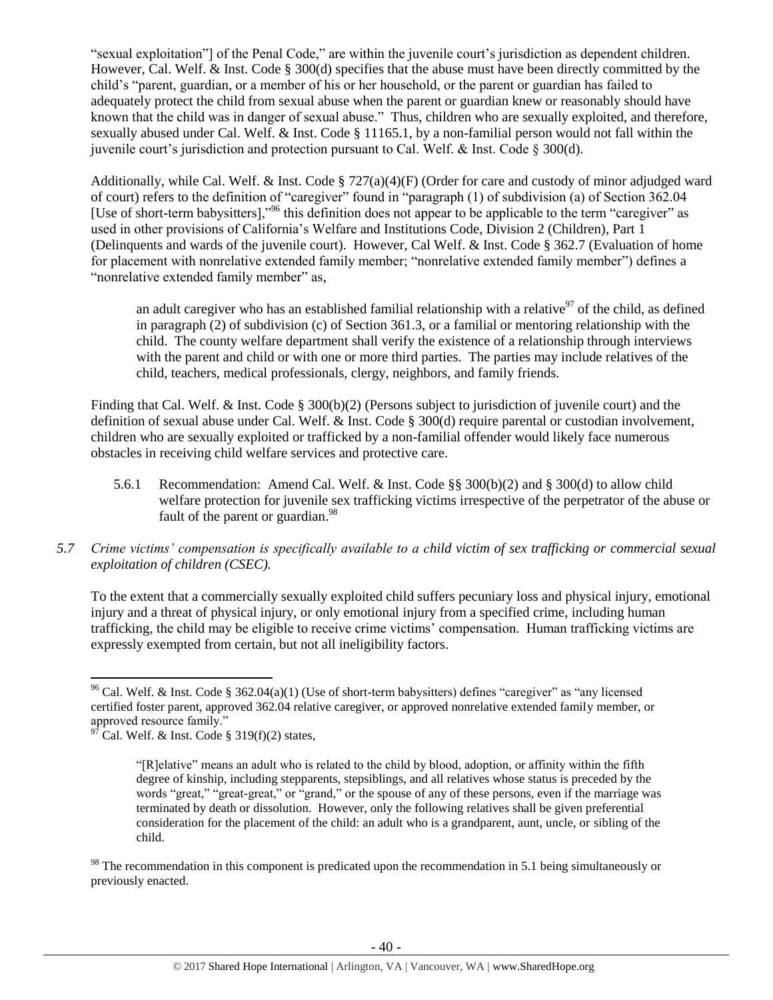"sexual exploitation"] of the Penal Code," are within the juvenile court's jurisdiction as dependent children. However, Cal. Welf. & Inst. Code § 300(d) specifies that the abuse must have been directly committed by the child's "parent, guardian, or a member of his or her household, or the parent or guardian has failed to adequately protect the child from sexual abuse when the parent or guardian knew or reasonably should have known that the child was in danger of sexual abuse." Thus, children who are sexually exploited, and therefore, sexually abused under Cal. Welf. & Inst. Code § 11165.1, by a non-familial person would not fall within the juvenile court's jurisdiction and protection pursuant to Cal. Welf. & Inst. Code § 300(d).

Additionally, while Cal. Welf. & Inst. Code § 727(a)(4)(F) (Order for care and custody of minor adjudged ward of court) refers to the definition of "caregiver" found in "paragraph (1) of subdivision (a) of Section 362.04 [Use of short-term babysitters],"<sup>96</sup> this definition does not appear to be applicable to the term "caregiver" as used in other provisions of California's Welfare and Institutions Code, Division 2 (Children), Part 1 (Delinquents and wards of the juvenile court). However, Cal Welf. & Inst. Code § 362.7 (Evaluation of home for placement with nonrelative extended family member; "nonrelative extended family member") defines a "nonrelative extended family member" as,

an adult caregiver who has an established familial relationship with a relative $97$  of the child, as defined in paragraph (2) of subdivision (c) of Section 361.3, or a familial or mentoring relationship with the child. The county welfare department shall verify the existence of a relationship through interviews with the parent and child or with one or more third parties. The parties may include relatives of the child, teachers, medical professionals, clergy, neighbors, and family friends.

Finding that Cal. Welf. & Inst. Code § 300(b)(2) (Persons subject to jurisdiction of juvenile court) and the definition of sexual abuse under Cal. Welf. & Inst. Code § 300(d) require parental or custodian involvement, children who are sexually exploited or trafficked by a non-familial offender would likely face numerous obstacles in receiving child welfare services and protective care.

- 5.6.1 Recommendation: Amend Cal. Welf. & Inst. Code §§ 300(b)(2) and § 300(d) to allow child welfare protection for juvenile sex trafficking victims irrespective of the perpetrator of the abuse or fault of the parent or guardian.<sup>98</sup>
- *5.7 Crime victims' compensation is specifically available to a child victim of sex trafficking or commercial sexual exploitation of children (CSEC).*

To the extent that a commercially sexually exploited child suffers pecuniary loss and physical injury, emotional injury and a threat of physical injury, or only emotional injury from a specified crime, including human trafficking, the child may be eligible to receive crime victims' compensation. Human trafficking victims are expressly exempted from certain, but not all ineligibility factors.

 $98$  The recommendation in this component is predicated upon the recommendation in 5.1 being simultaneously or previously enacted.

 $\overline{\phantom{a}}$ <sup>96</sup> Cal. Welf. & Inst. Code § 362.04(a)(1) (Use of short-term babysitters) defines "caregiver" as "any licensed certified foster parent, approved 362.04 relative caregiver, or approved nonrelative extended family member, or approved resource family."

Cal. Welf. & Inst. Code §  $319(f)(2)$  states,

<sup>&</sup>quot;[R]elative" means an adult who is related to the child by blood, adoption, or affinity within the fifth degree of kinship, including stepparents, stepsiblings, and all relatives whose status is preceded by the words "great," "great-great," or "grand," or the spouse of any of these persons, even if the marriage was terminated by death or dissolution. However, only the following relatives shall be given preferential consideration for the placement of the child: an adult who is a grandparent, aunt, uncle, or sibling of the child.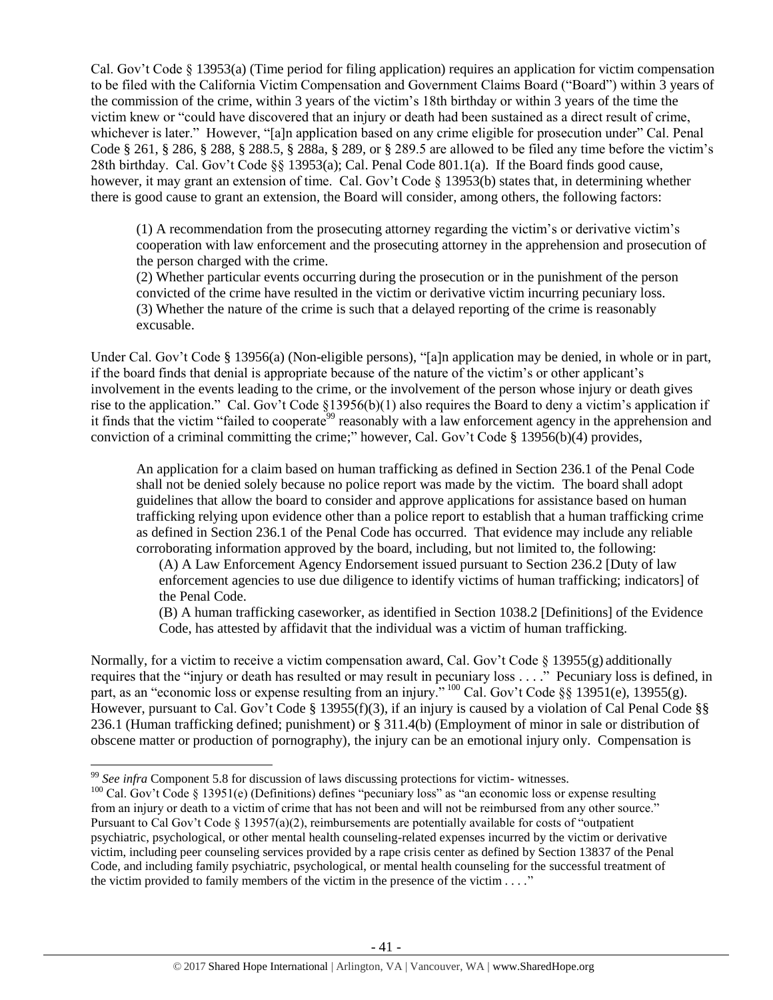Cal. Gov't Code  $\S$  13953(a) (Time period for filing application) requires an application for victim compensation to be filed with the California Victim Compensation and Government Claims Board ("Board") within 3 years of the commission of the crime, within 3 years of the victim's 18th birthday or within 3 years of the time the victim knew or "could have discovered that an injury or death had been sustained as a direct result of crime, whichever is later." However, "[a]n application based on any crime eligible for prosecution under" Cal. Penal Code § 261, § 286, § 288, § 288.5, § 288a, § 289, or § 289.5 are allowed to be filed any time before the victim's 28th birthday. Cal. Gov't Code §§ 13953(a); Cal. Penal Code 801.1(a). If the Board finds good cause, however, it may grant an extension of time. Cal. Gov't Code § 13953(b) states that, in determining whether there is good cause to grant an extension, the Board will consider, among others, the following factors:

(1) A recommendation from the prosecuting attorney regarding the victim's or derivative victim's cooperation with law enforcement and the prosecuting attorney in the apprehension and prosecution of the person charged with the crime.

(2) Whether particular events occurring during the prosecution or in the punishment of the person convicted of the crime have resulted in the victim or derivative victim incurring pecuniary loss. (3) Whether the nature of the crime is such that a delayed reporting of the crime is reasonably excusable.

Under Cal. Gov't Code § 13956(a) (Non-eligible persons), "[a]n application may be denied, in whole or in part, if the board finds that denial is appropriate because of the nature of the victim's or other applicant's involvement in the events leading to the crime, or the involvement of the person whose injury or death gives rise to the application." Cal. Gov't Code §13956(b)(1) also requires the Board to deny a victim's application if it finds that the victim "failed to cooperate<sup>99</sup> reasonably with a law enforcement agency in the apprehension and conviction of a criminal committing the crime;" however, Cal. Gov't Code § 13956(b)(4) provides,

An application for a claim based on human trafficking as defined in Section 236.1 of the Penal Code shall not be denied solely because no police report was made by the victim. The board shall adopt guidelines that allow the board to consider and approve applications for assistance based on human trafficking relying upon evidence other than a police report to establish that a human trafficking crime as defined in Section 236.1 of the Penal Code has occurred. That evidence may include any reliable corroborating information approved by the board, including, but not limited to, the following:

(A) A Law Enforcement Agency Endorsement issued pursuant to Section 236.2 [Duty of law enforcement agencies to use due diligence to identify victims of human trafficking; indicators] of the Penal Code.

(B) A human trafficking caseworker, as identified in Section 1038.2 [Definitions] of the Evidence Code, has attested by affidavit that the individual was a victim of human trafficking.

Normally, for a victim to receive a victim compensation award, Cal. Gov't Code  $\S$  13955(g) additionally requires that the "injury or death has resulted or may result in pecuniary loss . . . ." Pecuniary loss is defined, in part, as an "economic loss or expense resulting from an injury." <sup>100</sup> Cal. Gov't Code §§ 13951(e), 13955(g). However, pursuant to Cal. Gov't Code § 13955(f)(3), if an injury is caused by a violation of Cal Penal Code §§ 236.1 (Human trafficking defined; punishment) or § 311.4(b) (Employment of minor in sale or distribution of obscene matter or production of pornography), the injury can be an emotional injury only. Compensation is

l

<sup>&</sup>lt;sup>99</sup> See infra Component 5.8 for discussion of laws discussing protections for victim- witnesses.

<sup>&</sup>lt;sup>100</sup> Cal. Gov't Code § 13951(e) (Definitions) defines "pecuniary loss" as "an economic loss or expense resulting from an injury or death to a victim of crime that has not been and will not be reimbursed from any other source." Pursuant to Cal Gov't Code § 13957(a)(2), reimbursements are potentially available for costs of "outpatient psychiatric, psychological, or other mental health counseling-related expenses incurred by the victim or derivative victim, including peer counseling services provided by a rape crisis center as defined by Section 13837 of the Penal Code, and including family psychiatric, psychological, or mental health counseling for the successful treatment of the victim provided to family members of the victim in the presence of the victim  $\dots$ ."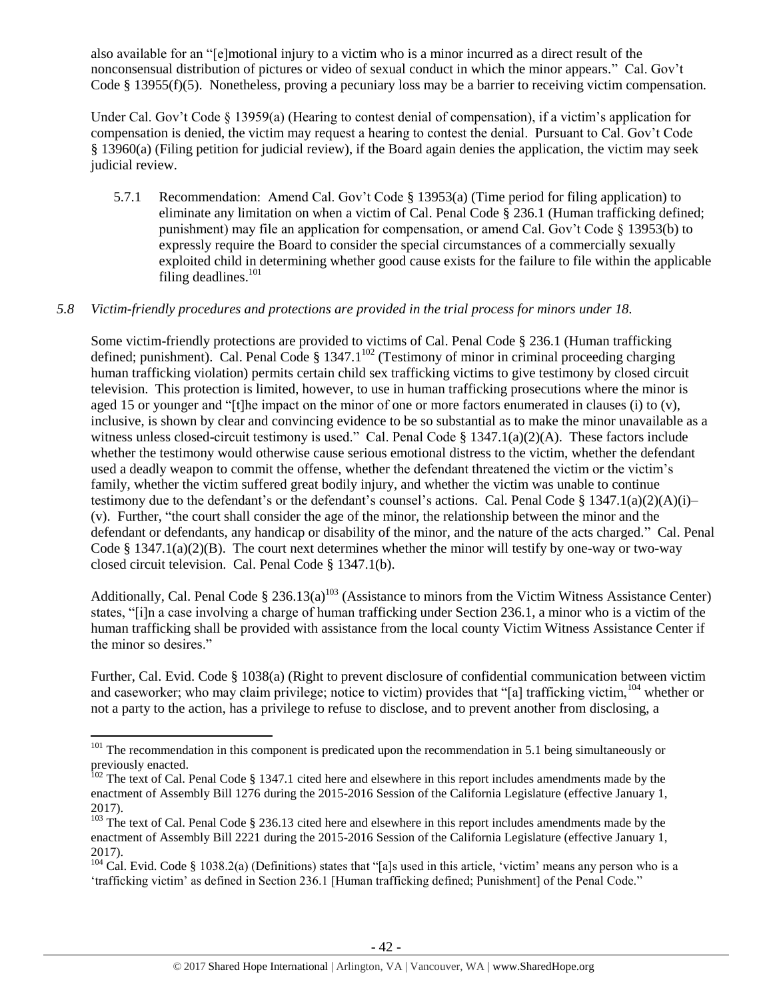also available for an "[e]motional injury to a victim who is a minor incurred as a direct result of the nonconsensual distribution of pictures or video of sexual conduct in which the minor appears." Cal. Gov't Code § 13955(f)(5). Nonetheless, proving a pecuniary loss may be a barrier to receiving victim compensation.

Under Cal. Gov't Code § 13959(a) (Hearing to contest denial of compensation), if a victim's application for compensation is denied, the victim may request a hearing to contest the denial. Pursuant to Cal. Gov't Code § 13960(a) (Filing petition for judicial review), if the Board again denies the application, the victim may seek judicial review.

5.7.1 Recommendation: Amend Cal. Gov't Code § 13953(a) (Time period for filing application) to eliminate any limitation on when a victim of Cal. Penal Code § 236.1 (Human trafficking defined; punishment) may file an application for compensation, or amend Cal. Gov't Code § 13953(b) to expressly require the Board to consider the special circumstances of a commercially sexually exploited child in determining whether good cause exists for the failure to file within the applicable filing deadlines. $101$ 

## *5.8 Victim-friendly procedures and protections are provided in the trial process for minors under 18.*

Some victim-friendly protections are provided to victims of Cal. Penal Code § 236.1 (Human trafficking defined; punishment). Cal. Penal Code  $\S 1347.1^{102}$  (Testimony of minor in criminal proceeding charging human trafficking violation) permits certain child sex trafficking victims to give testimony by closed circuit television. This protection is limited, however, to use in human trafficking prosecutions where the minor is aged 15 or younger and "[t]he impact on the minor of one or more factors enumerated in clauses (i) to (v), inclusive, is shown by clear and convincing evidence to be so substantial as to make the minor unavailable as a witness unless closed-circuit testimony is used." Cal. Penal Code § 1347.1(a)(2)(A). These factors include whether the testimony would otherwise cause serious emotional distress to the victim, whether the defendant used a deadly weapon to commit the offense, whether the defendant threatened the victim or the victim's family, whether the victim suffered great bodily injury, and whether the victim was unable to continue testimony due to the defendant's or the defendant's counsel's actions. Cal. Penal Code § 1347.1(a)(2)(A)(i)– (v). Further, "the court shall consider the age of the minor, the relationship between the minor and the defendant or defendants, any handicap or disability of the minor, and the nature of the acts charged." Cal. Penal Code § 1347.1(a)(2)(B). The court next determines whether the minor will testify by one-way or two-way closed circuit television. Cal. Penal Code § 1347.1(b).

Additionally, Cal. Penal Code  $\S 236.13(a)^{103}$  (Assistance to minors from the Victim Witness Assistance Center) states, "[i]n a case involving a charge of human trafficking under Section 236.1, a minor who is a victim of the human trafficking shall be provided with assistance from the local county Victim Witness Assistance Center if the minor so desires."

Further, Cal. Evid. Code § 1038(a) (Right to prevent disclosure of confidential communication between victim and caseworker; who may claim privilege; notice to victim) provides that "[a] trafficking victim, <sup>104</sup> whether or not a party to the action, has a privilege to refuse to disclose, and to prevent another from disclosing, a

 $\overline{a}$ 

<sup>&</sup>lt;sup>101</sup> The recommendation in this component is predicated upon the recommendation in 5.1 being simultaneously or previously enacted.

 $102$  The text of Cal. Penal Code § 1347.1 cited here and elsewhere in this report includes amendments made by the enactment of Assembly Bill 1276 during the 2015-2016 Session of the California Legislature (effective January 1, 2017).

 $\frac{103}{103}$  The text of Cal. Penal Code § 236.13 cited here and elsewhere in this report includes amendments made by the enactment of Assembly Bill 2221 during the 2015-2016 Session of the California Legislature (effective January 1, 2017).

 $104$  Cal. Evid. Code § 1038.2(a) (Definitions) states that "[a]s used in this article, 'victim' means any person who is a 'trafficking victim' as defined in Section 236.1 [Human trafficking defined; Punishment] of the Penal Code."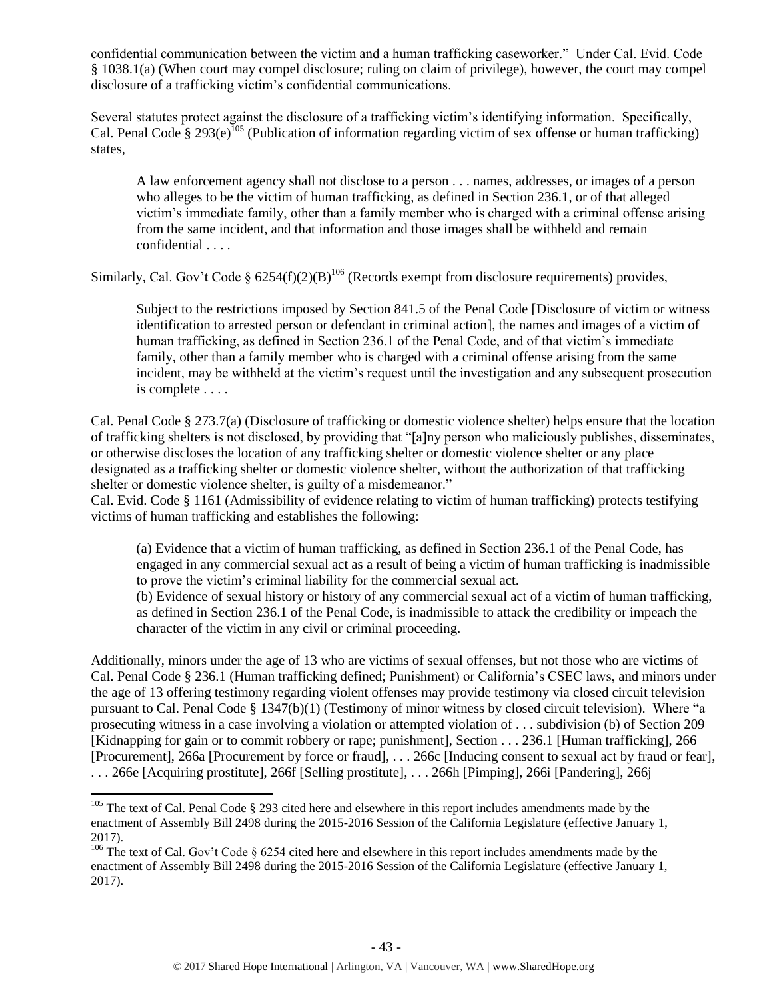confidential communication between the victim and a human trafficking caseworker." Under Cal. Evid. Code § 1038.1(a) (When court may compel disclosure; ruling on claim of privilege), however, the court may compel disclosure of a trafficking victim's confidential communications.

Several statutes protect against the disclosure of a trafficking victim's identifying information. Specifically, Cal. Penal Code § 293(e)<sup>105</sup> (Publication of information regarding victim of sex offense or human trafficking) states,

A law enforcement agency shall not disclose to a person . . . names, addresses, or images of a person who alleges to be the victim of human trafficking, as defined in Section 236.1, or of that alleged victim's immediate family, other than a family member who is charged with a criminal offense arising from the same incident, and that information and those images shall be withheld and remain confidential . . . .

Similarly, Cal. Gov't Code §  $6254(f)(2)(B)^{106}$  (Records exempt from disclosure requirements) provides,

Subject to the restrictions imposed by Section 841.5 of the Penal Code [Disclosure of victim or witness identification to arrested person or defendant in criminal action], the names and images of a victim of human trafficking, as defined in Section 236.1 of the Penal Code, and of that victim's immediate family, other than a family member who is charged with a criminal offense arising from the same incident, may be withheld at the victim's request until the investigation and any subsequent prosecution is complete . . . .

Cal. Penal Code § 273.7(a) (Disclosure of trafficking or domestic violence shelter) helps ensure that the location of trafficking shelters is not disclosed, by providing that "[a]ny person who maliciously publishes, disseminates, or otherwise discloses the location of any trafficking shelter or domestic violence shelter or any place designated as a trafficking shelter or domestic violence shelter, without the authorization of that trafficking shelter or domestic violence shelter, is guilty of a misdemeanor."

Cal. Evid. Code § 1161 (Admissibility of evidence relating to victim of human trafficking) protects testifying victims of human trafficking and establishes the following:

(a) Evidence that a victim of human trafficking, as defined in Section 236.1 of the Penal Code, has engaged in any commercial sexual act as a result of being a victim of human trafficking is inadmissible to prove the victim's criminal liability for the commercial sexual act.

(b) Evidence of sexual history or history of any commercial sexual act of a victim of human trafficking, as defined in Section 236.1 of the Penal Code, is inadmissible to attack the credibility or impeach the character of the victim in any civil or criminal proceeding.

Additionally, minors under the age of 13 who are victims of sexual offenses, but not those who are victims of Cal. Penal Code § 236.1 (Human trafficking defined; Punishment) or California's CSEC laws, and minors under the age of 13 offering testimony regarding violent offenses may provide testimony via closed circuit television pursuant to Cal. Penal Code § 1347(b)(1) (Testimony of minor witness by closed circuit television). Where "a prosecuting witness in a case involving a violation or attempted violation of . . . subdivision (b) of Section 209 [Kidnapping for gain or to commit robbery or rape; punishment], Section . . . 236.1 [Human trafficking], 266 [Procurement], 266a [Procurement by force or fraud], . . . 266c [Inducing consent to sexual act by fraud or fear], . . . 266e [Acquiring prostitute], 266f [Selling prostitute], . . . 266h [Pimping], 266i [Pandering], 266j

 $\overline{\phantom{a}}$ 

 $105$  The text of Cal. Penal Code § 293 cited here and elsewhere in this report includes amendments made by the enactment of Assembly Bill 2498 during the 2015-2016 Session of the California Legislature (effective January 1, 2017).

<sup>&</sup>lt;sup>106</sup> The text of Cal. Gov't Code  $\S$  6254 cited here and elsewhere in this report includes amendments made by the enactment of Assembly Bill 2498 during the 2015-2016 Session of the California Legislature (effective January 1, 2017).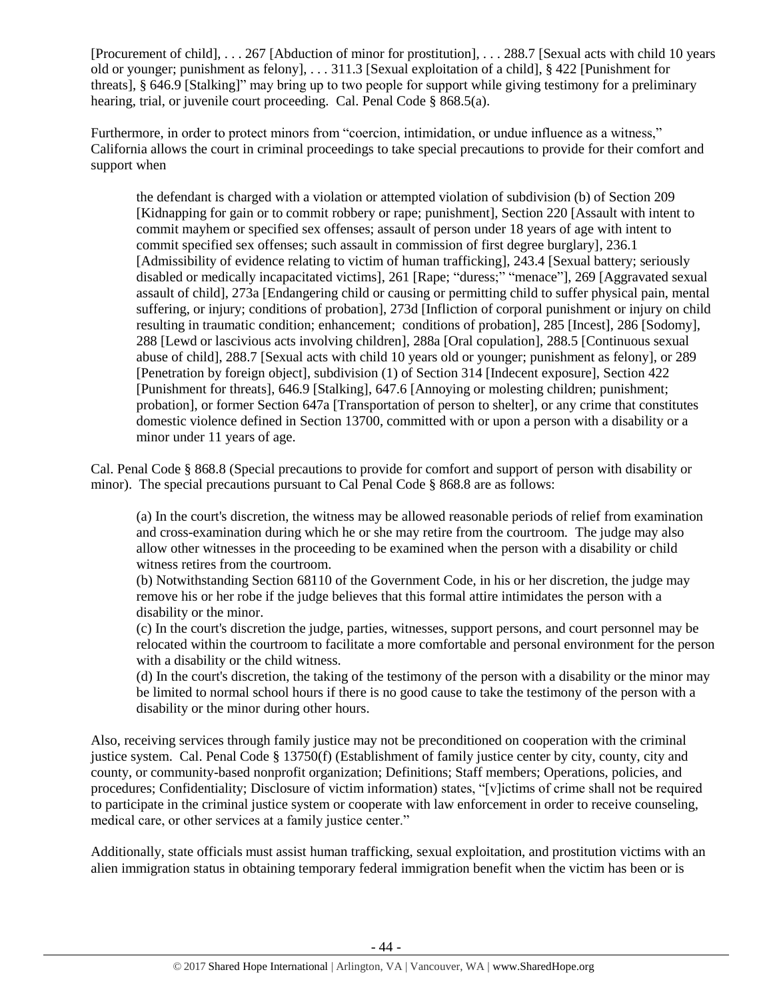[Procurement of child], . . . 267 [Abduction of minor for prostitution], . . . 288.7 [Sexual acts with child 10 years old or younger; punishment as felony], . . . 311.3 [Sexual exploitation of a child], § 422 [Punishment for threats], § 646.9 [Stalking]" may bring up to two people for support while giving testimony for a preliminary hearing, trial, or juvenile court proceeding. Cal. Penal Code § 868.5(a).

Furthermore, in order to protect minors from "coercion, intimidation, or undue influence as a witness," California allows the court in criminal proceedings to take special precautions to provide for their comfort and support when

the defendant is charged with a violation or attempted violation of subdivision (b) of Section 209 [Kidnapping for gain or to commit robbery or rape; punishment], Section 220 [Assault with intent to commit mayhem or specified sex offenses; assault of person under 18 years of age with intent to commit specified sex offenses; such assault in commission of first degree burglary], 236.1 [Admissibility of evidence relating to victim of human trafficking], 243.4 [Sexual battery; seriously disabled or medically incapacitated victims], 261 [Rape; "duress;" "menace"], 269 [Aggravated sexual assault of child], 273a [Endangering child or causing or permitting child to suffer physical pain, mental suffering, or injury; conditions of probation], 273d [Infliction of corporal punishment or injury on child resulting in traumatic condition; enhancement; conditions of probation], 285 [Incest], 286 [Sodomy], 288 [Lewd or lascivious acts involving children], 288a [Oral copulation], 288.5 [Continuous sexual abuse of child], 288.7 [Sexual acts with child 10 years old or younger; punishment as felony], or 289 [Penetration by foreign object], subdivision (1) of Section 314 [Indecent exposure], Section 422 [Punishment for threats], 646.9 [Stalking], 647.6 [Annoying or molesting children; punishment; probation], or former Section 647a [Transportation of person to shelter], or any crime that constitutes domestic violence defined in Section 13700, committed with or upon a person with a disability or a minor under 11 years of age.

Cal. Penal Code § 868.8 (Special precautions to provide for comfort and support of person with disability or minor). The special precautions pursuant to Cal Penal Code § 868.8 are as follows:

(a) In the court's discretion, the witness may be allowed reasonable periods of relief from examination and cross-examination during which he or she may retire from the courtroom. The judge may also allow other witnesses in the proceeding to be examined when the person with a disability or child witness retires from the courtroom.

(b) Notwithstanding Section 68110 of the Government Code, in his or her discretion, the judge may remove his or her robe if the judge believes that this formal attire intimidates the person with a disability or the minor.

(c) In the court's discretion the judge, parties, witnesses, support persons, and court personnel may be relocated within the courtroom to facilitate a more comfortable and personal environment for the person with a disability or the child witness.

(d) In the court's discretion, the taking of the testimony of the person with a disability or the minor may be limited to normal school hours if there is no good cause to take the testimony of the person with a disability or the minor during other hours.

Also, receiving services through family justice may not be preconditioned on cooperation with the criminal justice system. Cal. Penal Code § 13750(f) (Establishment of family justice center by city, county, city and county, or community-based nonprofit organization; Definitions; Staff members; Operations, policies, and procedures; Confidentiality; Disclosure of victim information) states, "[v]ictims of crime shall not be required to participate in the criminal justice system or cooperate with law enforcement in order to receive counseling, medical care, or other services at a family justice center."

Additionally, state officials must assist human trafficking, sexual exploitation, and prostitution victims with an alien immigration status in obtaining temporary federal immigration benefit when the victim has been or is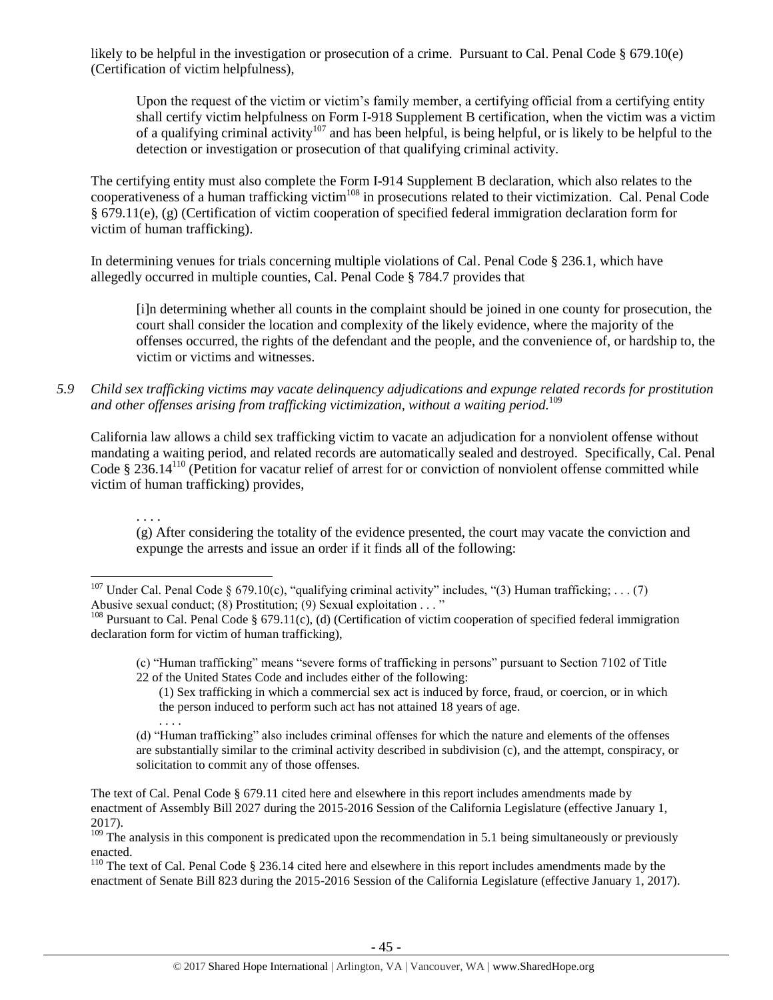likely to be helpful in the investigation or prosecution of a crime. Pursuant to Cal. Penal Code § 679.10(e) (Certification of victim helpfulness),

Upon the request of the victim or victim's family member, a certifying official from a certifying entity shall certify victim helpfulness on Form I-918 Supplement B certification, when the victim was a victim of a qualifying criminal activity<sup>107</sup> and has been helpful, is being helpful, or is likely to be helpful to the detection or investigation or prosecution of that qualifying criminal activity.

The certifying entity must also complete the Form I-914 Supplement B declaration, which also relates to the cooperativeness of a human trafficking victim<sup>108</sup> in prosecutions related to their victimization. Cal. Penal Code § 679.11(e), (g) (Certification of victim cooperation of specified federal immigration declaration form for victim of human trafficking).

In determining venues for trials concerning multiple violations of Cal. Penal Code § 236.1, which have allegedly occurred in multiple counties, Cal. Penal Code § 784.7 provides that

[i]n determining whether all counts in the complaint should be joined in one county for prosecution, the court shall consider the location and complexity of the likely evidence, where the majority of the offenses occurred, the rights of the defendant and the people, and the convenience of, or hardship to, the victim or victims and witnesses.

*5.9 Child sex trafficking victims may vacate delinquency adjudications and expunge related records for prostitution and other offenses arising from trafficking victimization, without a waiting period.* 109

California law allows a child sex trafficking victim to vacate an adjudication for a nonviolent offense without mandating a waiting period, and related records are automatically sealed and destroyed. Specifically, Cal. Penal Code  $\S 236.14^{110}$  (Petition for vacatur relief of arrest for or conviction of nonviolent offense committed while victim of human trafficking) provides,

(g) After considering the totality of the evidence presented, the court may vacate the conviction and expunge the arrests and issue an order if it finds all of the following:

. . . .

(1) Sex trafficking in which a commercial sex act is induced by force, fraud, or coercion, or in which the person induced to perform such act has not attained 18 years of age.

 $\overline{\phantom{a}}$ <sup>107</sup> Under Cal. Penal Code § 679.10(c), "qualifying criminal activity" includes, "(3) Human trafficking; . . . (7) Abusive sexual conduct; (8) Prostitution; (9) Sexual exploitation . . . "

 $108$  Pursuant to Cal. Penal Code § 679.11(c), (d) (Certification of victim cooperation of specified federal immigration declaration form for victim of human trafficking),

<sup>(</sup>c) "Human trafficking" means "severe forms of trafficking in persons" pursuant to Section 7102 of Title 22 of the United States Code and includes either of the following:

<sup>. . . .</sup> (d) "Human trafficking" also includes criminal offenses for which the nature and elements of the offenses are substantially similar to the criminal activity described in subdivision (c), and the attempt, conspiracy, or solicitation to commit any of those offenses.

The text of Cal. Penal Code § 679.11 cited here and elsewhere in this report includes amendments made by enactment of Assembly Bill 2027 during the 2015-2016 Session of the California Legislature (effective January 1, 2017).

 $109$  The analysis in this component is predicated upon the recommendation in 5.1 being simultaneously or previously enacted.

 $110$  The text of Cal. Penal Code § 236.14 cited here and elsewhere in this report includes amendments made by the enactment of Senate Bill 823 during the 2015-2016 Session of the California Legislature (effective January 1, 2017).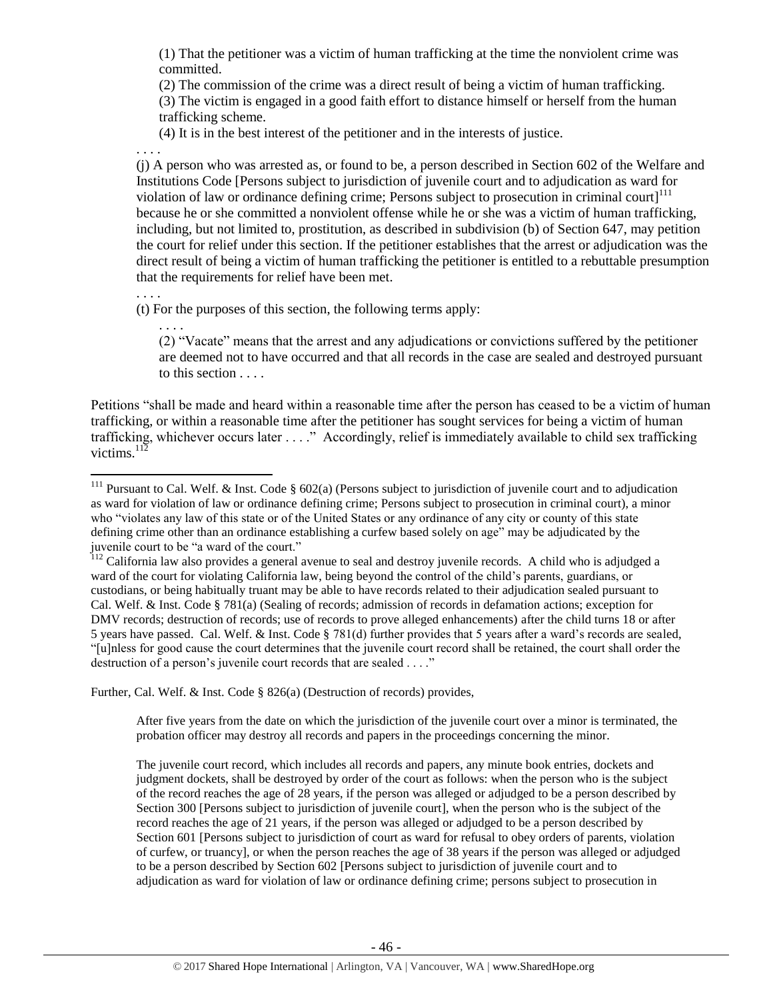(1) That the petitioner was a victim of human trafficking at the time the nonviolent crime was committed.

(2) The commission of the crime was a direct result of being a victim of human trafficking. (3) The victim is engaged in a good faith effort to distance himself or herself from the human trafficking scheme.

(4) It is in the best interest of the petitioner and in the interests of justice.

. . . .

(j) A person who was arrested as, or found to be, a person described in Section 602 of the Welfare and Institutions Code [Persons subject to jurisdiction of juvenile court and to adjudication as ward for violation of law or ordinance defining crime; Persons subject to prosecution in criminal court $1^{111}$ because he or she committed a nonviolent offense while he or she was a victim of human trafficking, including, but not limited to, prostitution, as described in subdivision (b) of Section 647, may petition the court for relief under this section. If the petitioner establishes that the arrest or adjudication was the direct result of being a victim of human trafficking the petitioner is entitled to a rebuttable presumption that the requirements for relief have been met.

. . . .

 $\overline{a}$ 

(t) For the purposes of this section, the following terms apply:

. . . .

(2) "Vacate" means that the arrest and any adjudications or convictions suffered by the petitioner are deemed not to have occurred and that all records in the case are sealed and destroyed pursuant to this section . . . .

Petitions "shall be made and heard within a reasonable time after the person has ceased to be a victim of human trafficking, or within a reasonable time after the petitioner has sought services for being a victim of human trafficking, whichever occurs later . . . ." Accordingly, relief is immediately available to child sex trafficking victims. $^{112}$ 

Further, Cal. Welf. & Inst. Code § 826(a) (Destruction of records) provides,

After five years from the date on which the jurisdiction of the juvenile court over a minor is terminated, the probation officer may destroy all records and papers in the proceedings concerning the minor.

The juvenile court record, which includes all records and papers, any minute book entries, dockets and judgment dockets, shall be destroyed by order of the court as follows: when the person who is the subject of the record reaches the age of 28 years, if the person was alleged or adjudged to be a person described by Section 300 [Persons subject to jurisdiction of juvenile court], when the person who is the subject of the record reaches the age of 21 years, if the person was alleged or adjudged to be a person described by Section 601 [Persons subject to jurisdiction of court as ward for refusal to obey orders of parents, violation of curfew, or truancy], or when the person reaches the age of 38 years if the person was alleged or adjudged to be a person described by Section 602 [Persons subject to jurisdiction of juvenile court and to adjudication as ward for violation of law or ordinance defining crime; persons subject to prosecution in

<sup>&</sup>lt;sup>111</sup> Pursuant to Cal. Welf. & Inst. Code § 602(a) (Persons subject to jurisdiction of juvenile court and to adjudication as ward for violation of law or ordinance defining crime; Persons subject to prosecution in criminal court), a minor who "violates any law of this state or of the United States or any ordinance of any city or county of this state defining crime other than an ordinance establishing a curfew based solely on age" may be adjudicated by the juvenile court to be "a ward of the court."

<sup>&</sup>lt;sup>112</sup> California law also provides a general avenue to seal and destroy juvenile records. A child who is adjudged a ward of the court for violating California law, being beyond the control of the child's parents, guardians, or custodians, or being habitually truant may be able to have records related to their adjudication sealed pursuant to Cal. Welf. & Inst. Code § 781(a) (Sealing of records; admission of records in defamation actions; exception for DMV records; destruction of records; use of records to prove alleged enhancements) after the child turns 18 or after 5 years have passed. Cal. Welf. & Inst. Code § 781(d) further provides that 5 years after a ward's records are sealed, "[u]nless for good cause the court determines that the juvenile court record shall be retained, the court shall order the destruction of a person's juvenile court records that are sealed . . . ."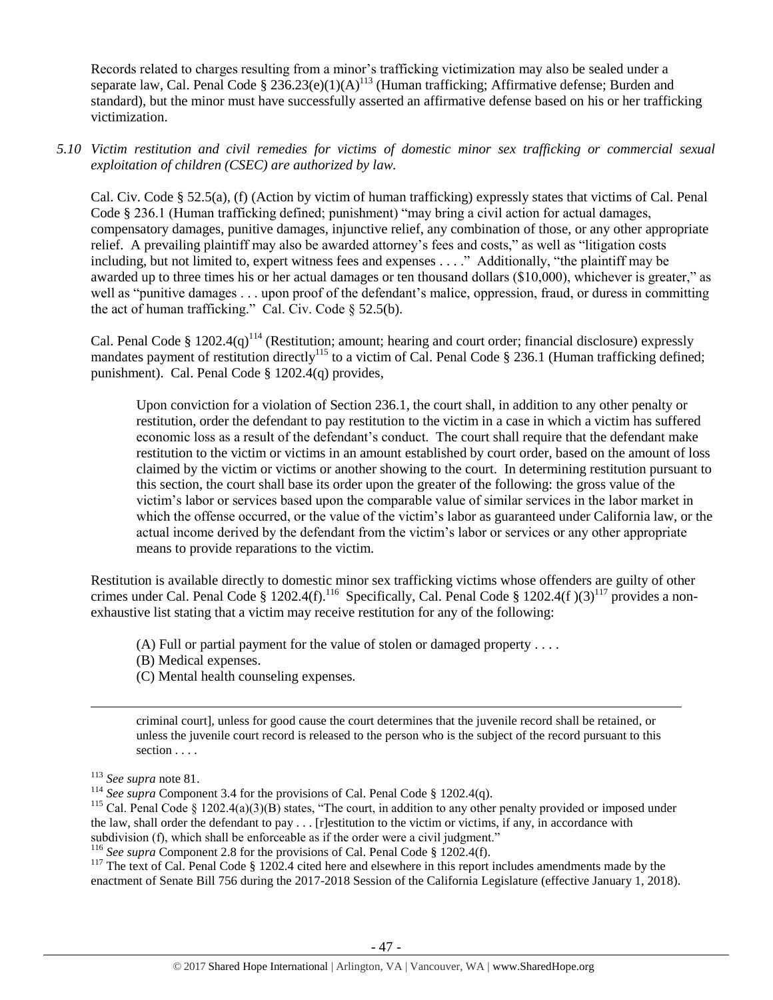Records related to charges resulting from a minor's trafficking victimization may also be sealed under a separate law, Cal. Penal Code  $\S 236.23(e)(1)(A)^{113}$  (Human trafficking; Affirmative defense; Burden and standard), but the minor must have successfully asserted an affirmative defense based on his or her trafficking victimization.

*5.10 Victim restitution and civil remedies for victims of domestic minor sex trafficking or commercial sexual exploitation of children (CSEC) are authorized by law.* 

Cal. Civ. Code § 52.5(a), (f) (Action by victim of human trafficking) expressly states that victims of Cal. Penal Code § 236.1 (Human trafficking defined; punishment) "may bring a civil action for actual damages, compensatory damages, punitive damages, injunctive relief, any combination of those, or any other appropriate relief. A prevailing plaintiff may also be awarded attorney's fees and costs," as well as "litigation costs including, but not limited to, expert witness fees and expenses . . . ." Additionally, "the plaintiff may be awarded up to three times his or her actual damages or ten thousand dollars (\$10,000), whichever is greater," as well as "punitive damages . . . upon proof of the defendant's malice, oppression, fraud, or duress in committing the act of human trafficking." Cal. Civ. Code  $\S$  52.5(b).

Cal. Penal Code § 1202.4(q)<sup>114</sup> (Restitution; amount; hearing and court order; financial disclosure) expressly mandates payment of restitution directly<sup>115</sup> to a victim of Cal. Penal Code § 236.1 (Human trafficking defined; punishment). Cal. Penal Code § 1202.4(q) provides,

Upon conviction for a violation of Section 236.1, the court shall, in addition to any other penalty or restitution, order the defendant to pay restitution to the victim in a case in which a victim has suffered economic loss as a result of the defendant's conduct. The court shall require that the defendant make restitution to the victim or victims in an amount established by court order, based on the amount of loss claimed by the victim or victims or another showing to the court. In determining restitution pursuant to this section, the court shall base its order upon the greater of the following: the gross value of the victim's labor or services based upon the comparable value of similar services in the labor market in which the offense occurred, or the value of the victim's labor as guaranteed under California law, or the actual income derived by the defendant from the victim's labor or services or any other appropriate means to provide reparations to the victim.

Restitution is available directly to domestic minor sex trafficking victims whose offenders are guilty of other crimes under Cal. Penal Code § 1202.4(f).<sup>116</sup> Specifically, Cal. Penal Code § 1202.4(f)(3)<sup>117</sup> provides a nonexhaustive list stating that a victim may receive restitution for any of the following:

- (A) Full or partial payment for the value of stolen or damaged property . . . .
- (B) Medical expenses.
- (C) Mental health counseling expenses.

criminal court], unless for good cause the court determines that the juvenile record shall be retained, or unless the juvenile court record is released to the person who is the subject of the record pursuant to this section . . . .

 $\overline{\phantom{a}}$ 

<sup>117</sup> The text of Cal. Penal Code § 1202.4 cited here and elsewhere in this report includes amendments made by the enactment of Senate Bill 756 during the 2017-2018 Session of the California Legislature (effective January 1, 2018).

<sup>113</sup> *See supra* not[e 81.](#page-33-0)

<sup>&</sup>lt;sup>114</sup> See supra Component 3.4 for the provisions of Cal. Penal Code § 1202.4(q).

<sup>&</sup>lt;sup>115</sup> Cal. Penal Code § 1202.4(a)(3)(B) states, "The court, in addition to any other penalty provided or imposed under the law, shall order the defendant to pay  $\dots$ . [r]estitution to the victim or victims, if any, in accordance with subdivision (f), which shall be enforceable as if the order were a civil judgment."

<sup>116</sup> *See supra* Component 2.8 for the provisions of Cal. Penal Code § 1202.4(f).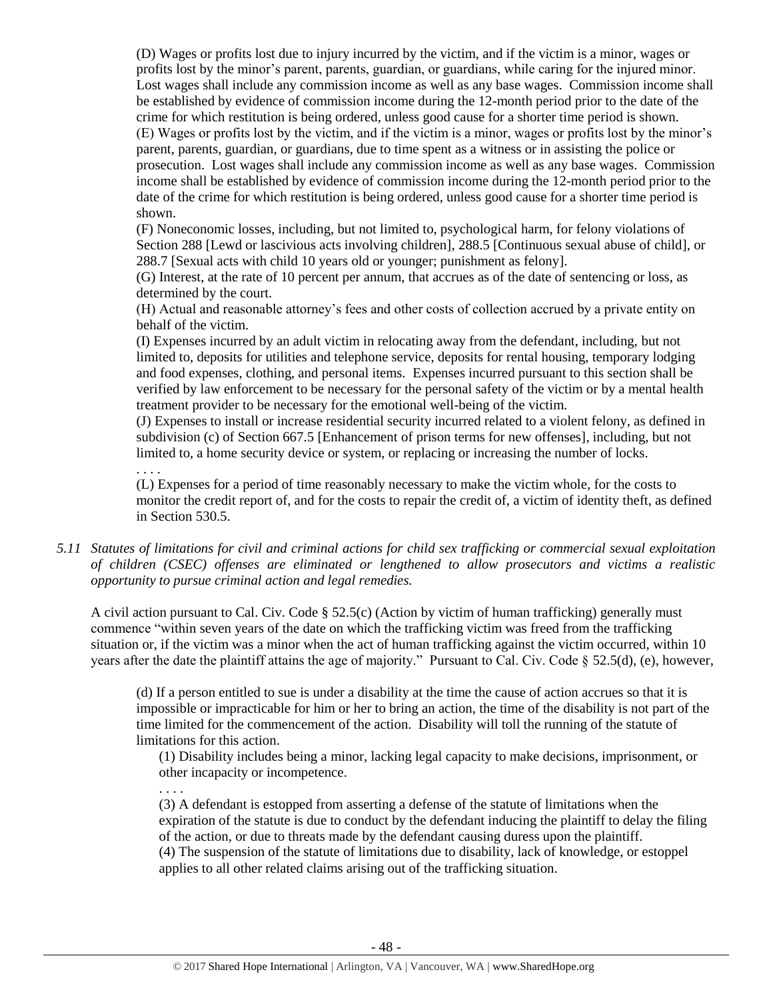(D) Wages or profits lost due to injury incurred by the victim, and if the victim is a minor, wages or profits lost by the minor's parent, parents, guardian, or guardians, while caring for the injured minor. Lost wages shall include any commission income as well as any base wages. Commission income shall be established by evidence of commission income during the 12-month period prior to the date of the crime for which restitution is being ordered, unless good cause for a shorter time period is shown. (E) Wages or profits lost by the victim, and if the victim is a minor, wages or profits lost by the minor's parent, parents, guardian, or guardians, due to time spent as a witness or in assisting the police or prosecution. Lost wages shall include any commission income as well as any base wages. Commission income shall be established by evidence of commission income during the 12-month period prior to the date of the crime for which restitution is being ordered, unless good cause for a shorter time period is shown.

(F) Noneconomic losses, including, but not limited to, psychological harm, for felony violations of Section 288 [Lewd or lascivious acts involving children], 288.5 [Continuous sexual abuse of child], or 288.7 [Sexual acts with child 10 years old or younger; punishment as felony].

(G) Interest, at the rate of 10 percent per annum, that accrues as of the date of sentencing or loss, as determined by the court.

(H) Actual and reasonable attorney's fees and other costs of collection accrued by a private entity on behalf of the victim.

(I) Expenses incurred by an adult victim in relocating away from the defendant, including, but not limited to, deposits for utilities and telephone service, deposits for rental housing, temporary lodging and food expenses, clothing, and personal items. Expenses incurred pursuant to this section shall be verified by law enforcement to be necessary for the personal safety of the victim or by a mental health treatment provider to be necessary for the emotional well-being of the victim.

(J) Expenses to install or increase residential security incurred related to a violent felony, as defined in subdivision (c) of Section 667.5 [Enhancement of prison terms for new offenses], including, but not limited to, a home security device or system, or replacing or increasing the number of locks.

. . . .

(L) Expenses for a period of time reasonably necessary to make the victim whole, for the costs to monitor the credit report of, and for the costs to repair the credit of, a victim of identity theft, as defined in Section 530.5.

*5.11 Statutes of limitations for civil and criminal actions for child sex trafficking or commercial sexual exploitation of children (CSEC) offenses are eliminated or lengthened to allow prosecutors and victims a realistic opportunity to pursue criminal action and legal remedies.*

A civil action pursuant to Cal. Civ. Code § 52.5(c) (Action by victim of human trafficking) generally must commence "within seven years of the date on which the trafficking victim was freed from the trafficking situation or, if the victim was a minor when the act of human trafficking against the victim occurred, within 10 years after the date the plaintiff attains the age of majority." Pursuant to Cal. Civ. Code § 52.5(d), (e), however,

(d) If a person entitled to sue is under a disability at the time the cause of action accrues so that it is impossible or impracticable for him or her to bring an action, the time of the disability is not part of the time limited for the commencement of the action. Disability will toll the running of the statute of limitations for this action.

(1) Disability includes being a minor, lacking legal capacity to make decisions, imprisonment, or other incapacity or incompetence.

. . . .

(3) A defendant is estopped from asserting a defense of the statute of limitations when the expiration of the statute is due to conduct by the defendant inducing the plaintiff to delay the filing of the action, or due to threats made by the defendant causing duress upon the plaintiff. (4) The suspension of the statute of limitations due to disability, lack of knowledge, or estoppel applies to all other related claims arising out of the trafficking situation.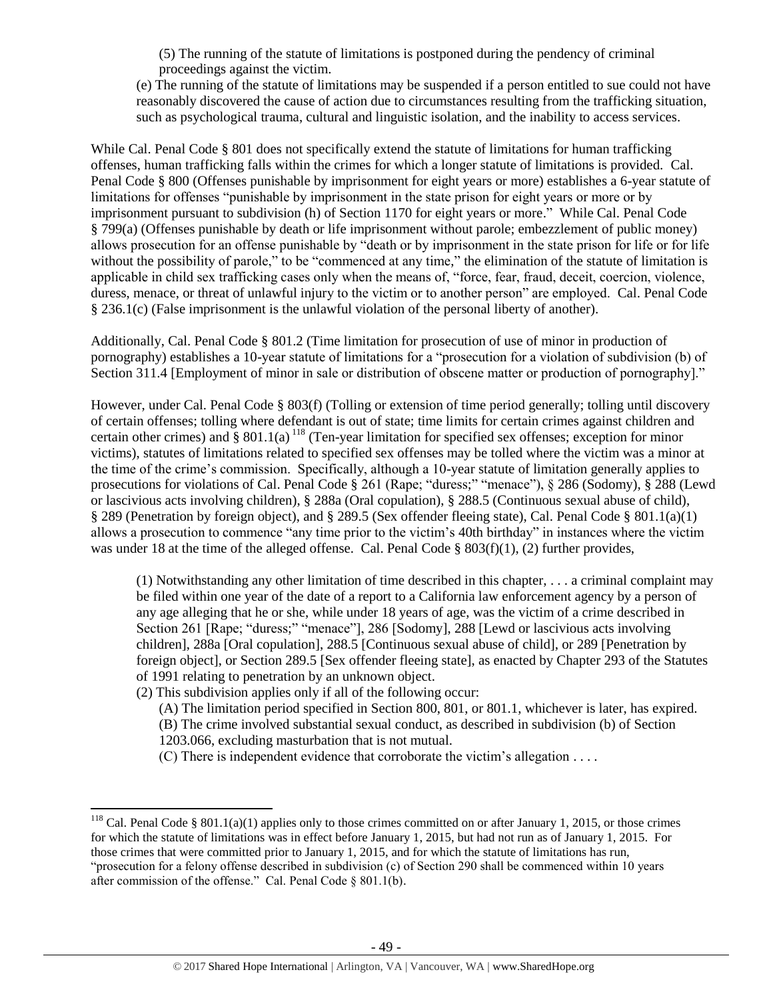(5) The running of the statute of limitations is postponed during the pendency of criminal proceedings against the victim.

(e) The running of the statute of limitations may be suspended if a person entitled to sue could not have reasonably discovered the cause of action due to circumstances resulting from the trafficking situation, such as psychological trauma, cultural and linguistic isolation, and the inability to access services.

While Cal. Penal Code § 801 does not specifically extend the statute of limitations for human trafficking offenses, human trafficking falls within the crimes for which a longer statute of limitations is provided. Cal. Penal Code § 800 (Offenses punishable by imprisonment for eight years or more) establishes a 6-year statute of limitations for offenses "punishable by imprisonment in the state prison for eight years or more or by imprisonment pursuant to subdivision (h) of Section 1170 for eight years or more." While Cal. Penal Code § 799(a) (Offenses punishable by death or life imprisonment without parole; embezzlement of public money) allows prosecution for an offense punishable by "death or by imprisonment in the state prison for life or for life without the possibility of parole," to be "commenced at any time," the elimination of the statute of limitation is applicable in child sex trafficking cases only when the means of, "force, fear, fraud, deceit, coercion, violence, duress, menace, or threat of unlawful injury to the victim or to another person" are employed. Cal. Penal Code § 236.1(c) (False imprisonment is the unlawful violation of the personal liberty of another).

Additionally, Cal. Penal Code § 801.2 (Time limitation for prosecution of use of minor in production of pornography) establishes a 10-year statute of limitations for a "prosecution for a violation of subdivision (b) of Section 311.4 [Employment of minor in sale or distribution of obscene matter or production of pornography]."

However, under Cal. Penal Code § 803(f) (Tolling or extension of time period generally; tolling until discovery of certain offenses; tolling where defendant is out of state; time limits for certain crimes against children and certain other crimes) and  $\S 801.1(a)$  <sup>118</sup> (Ten-year limitation for specified sex offenses; exception for minor victims), statutes of limitations related to specified sex offenses may be tolled where the victim was a minor at the time of the crime's commission. Specifically, although a 10-year statute of limitation generally applies to prosecutions for violations of Cal. Penal Code § 261 (Rape; "duress;" "menace"), § 286 (Sodomy), § 288 (Lewd or lascivious acts involving children), § 288a (Oral copulation), § 288.5 (Continuous sexual abuse of child), § 289 (Penetration by foreign object), and § 289.5 (Sex offender fleeing state), Cal. Penal Code § 801.1(a)(1) allows a prosecution to commence "any time prior to the victim's 40th birthday" in instances where the victim was under 18 at the time of the alleged offense. Cal. Penal Code § 803(f)(1), (2) further provides,

(1) Notwithstanding any other limitation of time described in this chapter, . . . a criminal complaint may be filed within one year of the date of a report to a California law enforcement agency by a person of any age alleging that he or she, while under 18 years of age, was the victim of a crime described in Section 261 [Rape; "duress;" "menace"], 286 [Sodomy], 288 [Lewd or lascivious acts involving children], 288a [Oral copulation], 288.5 [Continuous sexual abuse of child], or 289 [Penetration by foreign object], or Section 289.5 [Sex offender fleeing state], as enacted by Chapter 293 of the Statutes of 1991 relating to penetration by an unknown object.

(2) This subdivision applies only if all of the following occur:

 $\overline{\phantom{a}}$ 

- (A) The limitation period specified in Section 800, 801, or 801.1, whichever is later, has expired. (B) The crime involved substantial sexual conduct, as described in subdivision (b) of Section 1203.066, excluding masturbation that is not mutual.
- (C) There is independent evidence that corroborate the victim's allegation . . . .

<sup>&</sup>lt;sup>118</sup> Cal. Penal Code § 801.1(a)(1) applies only to those crimes committed on or after January 1, 2015, or those crimes for which the statute of limitations was in effect before January 1, 2015, but had not run as of January 1, 2015. For those crimes that were committed prior to January 1, 2015, and for which the statute of limitations has run, "prosecution for a felony offense described in subdivision (c) of Section 290 shall be commenced within 10 years after commission of the offense." Cal. Penal Code § 801.1(b).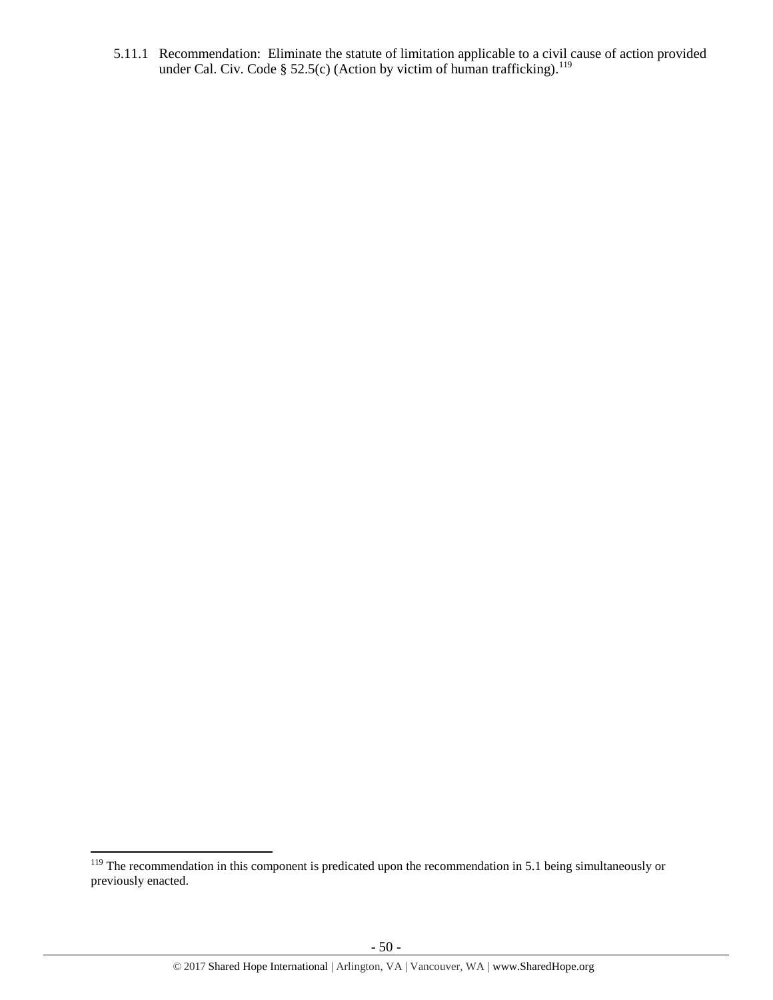5.11.1 Recommendation: Eliminate the statute of limitation applicable to a civil cause of action provided under Cal. Civ. Code § 52.5(c) (Action by victim of human trafficking).<sup>119</sup>

l

<sup>&</sup>lt;sup>119</sup> The recommendation in this component is predicated upon the recommendation in 5.1 being simultaneously or previously enacted.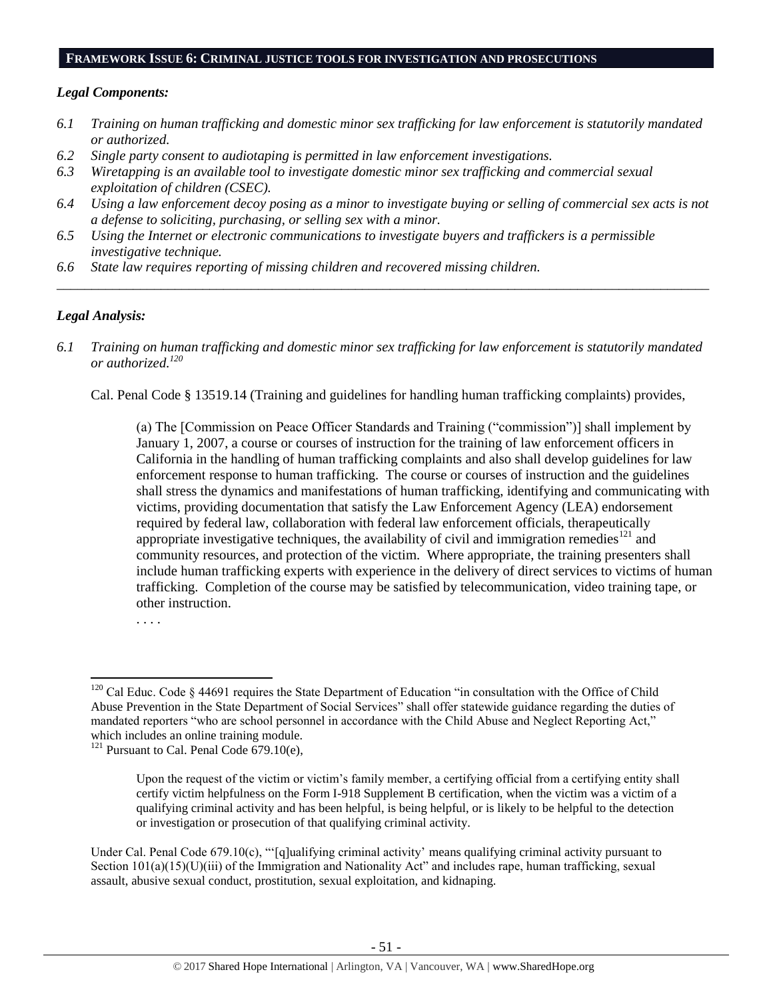#### **FRAMEWORK ISSUE 6: CRIMINAL JUSTICE TOOLS FOR INVESTIGATION AND PROSECUTIONS**

#### *Legal Components:*

- *6.1 Training on human trafficking and domestic minor sex trafficking for law enforcement is statutorily mandated or authorized.*
- *6.2 Single party consent to audiotaping is permitted in law enforcement investigations.*
- *6.3 Wiretapping is an available tool to investigate domestic minor sex trafficking and commercial sexual exploitation of children (CSEC).*
- *6.4 Using a law enforcement decoy posing as a minor to investigate buying or selling of commercial sex acts is not a defense to soliciting, purchasing, or selling sex with a minor.*

*\_\_\_\_\_\_\_\_\_\_\_\_\_\_\_\_\_\_\_\_\_\_\_\_\_\_\_\_\_\_\_\_\_\_\_\_\_\_\_\_\_\_\_\_\_\_\_\_\_\_\_\_\_\_\_\_\_\_\_\_\_\_\_\_\_\_\_\_\_\_\_\_\_\_\_\_\_\_\_\_\_\_\_\_\_\_\_\_\_\_\_\_\_\_*

- *6.5 Using the Internet or electronic communications to investigate buyers and traffickers is a permissible investigative technique.*
- *6.6 State law requires reporting of missing children and recovered missing children.*

## *Legal Analysis:*

*6.1 Training on human trafficking and domestic minor sex trafficking for law enforcement is statutorily mandated or authorized. 120*

Cal. Penal Code § 13519.14 (Training and guidelines for handling human trafficking complaints) provides,

(a) The [Commission on Peace Officer Standards and Training ("commission")] shall implement by January 1, 2007, a course or courses of instruction for the training of law enforcement officers in California in the handling of human trafficking complaints and also shall develop guidelines for law enforcement response to human trafficking. The course or courses of instruction and the guidelines shall stress the dynamics and manifestations of human trafficking, identifying and communicating with victims, providing documentation that satisfy the Law Enforcement Agency (LEA) endorsement required by federal law, collaboration with federal law enforcement officials, therapeutically appropriate investigative techniques, the availability of civil and immigration remedies<sup>121</sup> and community resources, and protection of the victim. Where appropriate, the training presenters shall include human trafficking experts with experience in the delivery of direct services to victims of human trafficking. Completion of the course may be satisfied by telecommunication, video training tape, or other instruction.

. . . .

Under Cal. Penal Code 679.10(c), "'[q]ualifying criminal activity' means qualifying criminal activity pursuant to Section 101(a)(15)(U)(iii) of the Immigration and Nationality Act" and includes rape, human trafficking, sexual assault, abusive sexual conduct, prostitution, sexual exploitation, and kidnaping.

 $\overline{\phantom{a}}$  $120$  Cal Educ. Code § 44691 requires the State Department of Education "in consultation with the Office of Child Abuse Prevention in the State Department of Social Services" shall offer statewide guidance regarding the duties of mandated reporters "who are school personnel in accordance with the Child Abuse and Neglect Reporting Act," which includes an online training module.

<sup>&</sup>lt;sup>121</sup> Pursuant to Cal. Penal Code  $\overline{679.10}$ (e),

Upon the request of the victim or victim's family member, a certifying official from a certifying entity shall certify victim helpfulness on the Form I-918 Supplement B certification, when the victim was a victim of a qualifying criminal activity and has been helpful, is being helpful, or is likely to be helpful to the detection or investigation or prosecution of that qualifying criminal activity.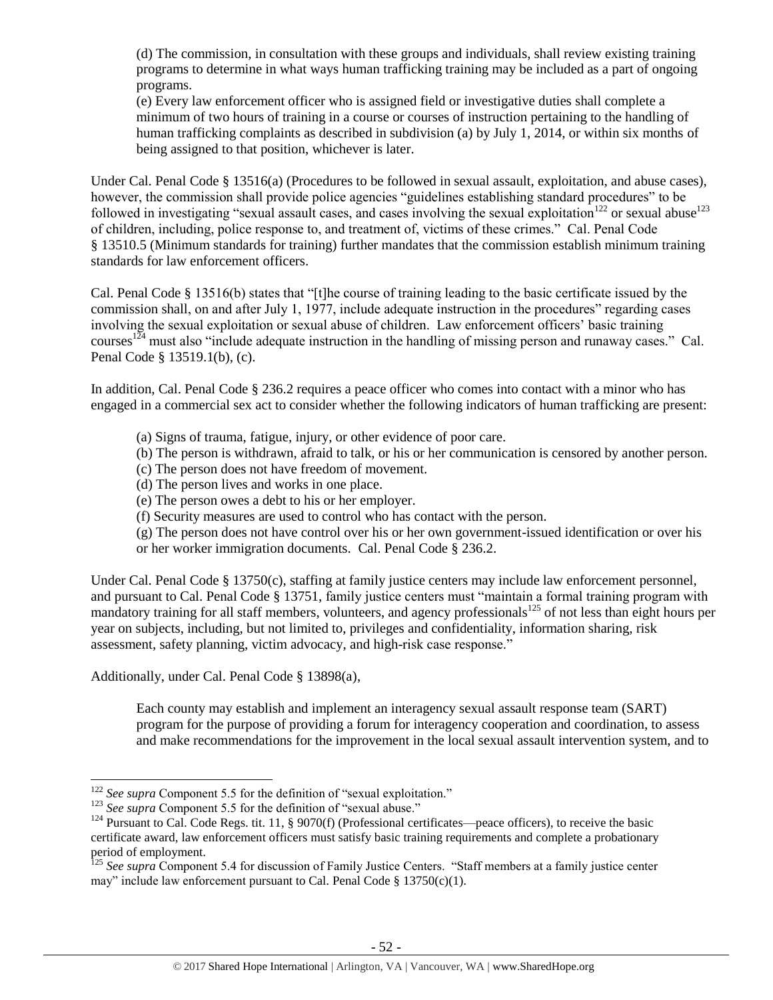(d) The commission, in consultation with these groups and individuals, shall review existing training programs to determine in what ways human trafficking training may be included as a part of ongoing programs.

(e) Every law enforcement officer who is assigned field or investigative duties shall complete a minimum of two hours of training in a course or courses of instruction pertaining to the handling of human trafficking complaints as described in subdivision (a) by July 1, 2014, or within six months of being assigned to that position, whichever is later.

Under Cal. Penal Code § 13516(a) (Procedures to be followed in sexual assault, exploitation, and abuse cases), however, the commission shall provide police agencies "guidelines establishing standard procedures" to be followed in investigating "sexual assault cases, and cases involving the sexual exploitation<sup>122</sup> or sexual abuse<sup>123</sup> of children, including, police response to, and treatment of, victims of these crimes." Cal. Penal Code § 13510.5 (Minimum standards for training) further mandates that the commission establish minimum training standards for law enforcement officers.

Cal. Penal Code § 13516(b) states that "[t]he course of training leading to the basic certificate issued by the commission shall, on and after July 1, 1977, include adequate instruction in the procedures" regarding cases involving the sexual exploitation or sexual abuse of children. Law enforcement officers' basic training courses<sup>124</sup> must also "include adequate instruction in the handling of missing person and runaway cases." Cal. Penal Code § 13519.1(b), (c).

In addition, Cal. Penal Code § 236.2 requires a peace officer who comes into contact with a minor who has engaged in a commercial sex act to consider whether the following indicators of human trafficking are present:

- (a) Signs of trauma, fatigue, injury, or other evidence of poor care.
- (b) The person is withdrawn, afraid to talk, or his or her communication is censored by another person.
- (c) The person does not have freedom of movement.
- (d) The person lives and works in one place.
- (e) The person owes a debt to his or her employer.
- (f) Security measures are used to control who has contact with the person.
- (g) The person does not have control over his or her own government-issued identification or over his or her worker immigration documents. Cal. Penal Code § 236.2.

Under Cal. Penal Code § 13750(c), staffing at family justice centers may include law enforcement personnel, and pursuant to Cal. Penal Code § 13751, family justice centers must "maintain a formal training program with mandatory training for all staff members, volunteers, and agency professionals<sup>125</sup> of not less than eight hours per year on subjects, including, but not limited to, privileges and confidentiality, information sharing, risk assessment, safety planning, victim advocacy, and high-risk case response."

Additionally, under Cal. Penal Code § 13898(a),

 $\overline{a}$ 

Each county may establish and implement an interagency sexual assault response team (SART) program for the purpose of providing a forum for interagency cooperation and coordination, to assess and make recommendations for the improvement in the local sexual assault intervention system, and to

<sup>&</sup>lt;sup>122</sup> See supra Component 5.5 for the definition of "sexual exploitation."

<sup>&</sup>lt;sup>123</sup> See supra Component 5.5 for the definition of "sexual abuse."

<sup>&</sup>lt;sup>124</sup> Pursuant to Cal. Code Regs. tit. 11, § 9070(f) (Professional certificates—peace officers), to receive the basic certificate award, law enforcement officers must satisfy basic training requirements and complete a probationary period of employment.

<sup>125</sup> *See supra* Component 5.4 for discussion of Family Justice Centers. "Staff members at a family justice center may" include law enforcement pursuant to Cal. Penal Code  $\S$  13750(c)(1).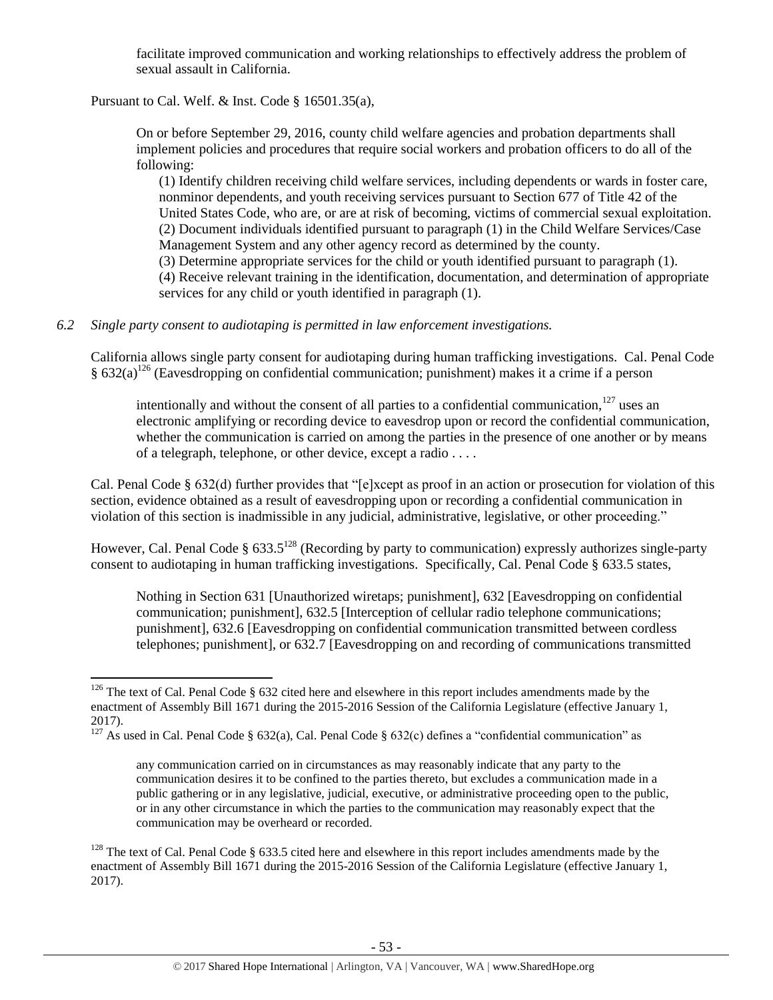facilitate improved communication and working relationships to effectively address the problem of sexual assault in California.

Pursuant to Cal. Welf. & Inst. Code § 16501.35(a),

On or before September 29, 2016, county child welfare agencies and probation departments shall implement policies and procedures that require social workers and probation officers to do all of the following:

(1) Identify children receiving child welfare services, including dependents or wards in foster care, nonminor dependents, and youth receiving services pursuant to Section 677 of Title 42 of the United States Code, who are, or are at risk of becoming, victims of commercial sexual exploitation. (2) Document individuals identified pursuant to paragraph (1) in the Child Welfare Services/Case Management System and any other agency record as determined by the county. (3) Determine appropriate services for the child or youth identified pursuant to paragraph (1).

(4) Receive relevant training in the identification, documentation, and determination of appropriate services for any child or youth identified in paragraph (1).

#### *6.2 Single party consent to audiotaping is permitted in law enforcement investigations.*

California allows single party consent for audiotaping during human trafficking investigations. Cal. Penal Code  $\S 632(a)^{126}$  (Eavesdropping on confidential communication; punishment) makes it a crime if a person

intentionally and without the consent of all parties to a confidential communication,  $127$  uses an electronic amplifying or recording device to eavesdrop upon or record the confidential communication, whether the communication is carried on among the parties in the presence of one another or by means of a telegraph, telephone, or other device, except a radio . . . .

Cal. Penal Code § 632(d) further provides that "[e]xcept as proof in an action or prosecution for violation of this section, evidence obtained as a result of eavesdropping upon or recording a confidential communication in violation of this section is inadmissible in any judicial, administrative, legislative, or other proceeding."

However, Cal. Penal Code § 633.5<sup>128</sup> (Recording by party to communication) expressly authorizes single-party consent to audiotaping in human trafficking investigations. Specifically, Cal. Penal Code § 633.5 states,

Nothing in Section 631 [Unauthorized wiretaps; punishment], 632 [Eavesdropping on confidential communication; punishment], 632.5 [Interception of cellular radio telephone communications; punishment], 632.6 [Eavesdropping on confidential communication transmitted between cordless telephones; punishment], or 632.7 [Eavesdropping on and recording of communications transmitted

 $\overline{\phantom{a}}$  $126$  The text of Cal. Penal Code § 632 cited here and elsewhere in this report includes amendments made by the enactment of Assembly Bill 1671 during the 2015-2016 Session of the California Legislature (effective January 1, 2017).

<sup>&</sup>lt;sup>127</sup> As used in Cal. Penal Code § 632(a), Cal. Penal Code § 632(c) defines a "confidential communication" as

any communication carried on in circumstances as may reasonably indicate that any party to the communication desires it to be confined to the parties thereto, but excludes a communication made in a public gathering or in any legislative, judicial, executive, or administrative proceeding open to the public, or in any other circumstance in which the parties to the communication may reasonably expect that the communication may be overheard or recorded.

<sup>&</sup>lt;sup>128</sup> The text of Cal. Penal Code § 633.5 cited here and elsewhere in this report includes amendments made by the enactment of Assembly Bill 1671 during the 2015-2016 Session of the California Legislature (effective January 1, 2017).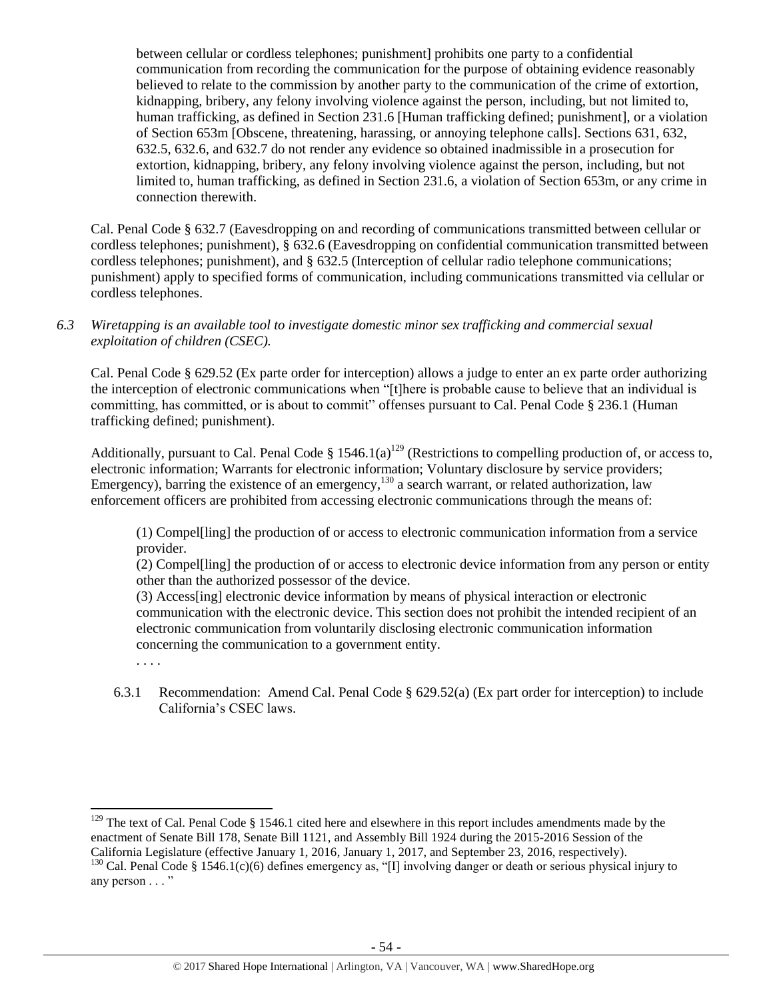between cellular or cordless telephones; punishment] prohibits one party to a confidential communication from recording the communication for the purpose of obtaining evidence reasonably believed to relate to the commission by another party to the communication of the crime of extortion, kidnapping, bribery, any felony involving violence against the person, including, but not limited to, human trafficking, as defined in Section 231.6 [Human trafficking defined; punishment], or a violation of Section 653m [Obscene, threatening, harassing, or annoying telephone calls]. Sections 631, 632, 632.5, 632.6, and 632.7 do not render any evidence so obtained inadmissible in a prosecution for extortion, kidnapping, bribery, any felony involving violence against the person, including, but not limited to, human trafficking, as defined in Section 231.6, a violation of Section 653m, or any crime in connection therewith.

Cal. Penal Code § 632.7 (Eavesdropping on and recording of communications transmitted between cellular or cordless telephones; punishment), § 632.6 (Eavesdropping on confidential communication transmitted between cordless telephones; punishment), and § 632.5 (Interception of cellular radio telephone communications; punishment) apply to specified forms of communication, including communications transmitted via cellular or cordless telephones.

*6.3 Wiretapping is an available tool to investigate domestic minor sex trafficking and commercial sexual exploitation of children (CSEC).* 

Cal. Penal Code § 629.52 (Ex parte order for interception) allows a judge to enter an ex parte order authorizing the interception of electronic communications when "[t]here is probable cause to believe that an individual is committing, has committed, or is about to commit" offenses pursuant to Cal. Penal Code § 236.1 (Human trafficking defined; punishment).

Additionally, pursuant to Cal. Penal Code § 1546.1(a)<sup>129</sup> (Restrictions to compelling production of, or access to, electronic information; Warrants for electronic information; Voluntary disclosure by service providers; Emergency), barring the existence of an emergency,<sup>130</sup> a search warrant, or related authorization, law enforcement officers are prohibited from accessing electronic communications through the means of:

(1) Compel[ling] the production of or access to electronic communication information from a service provider.

(2) Compel[ling] the production of or access to electronic device information from any person or entity other than the authorized possessor of the device.

(3) Access[ing] electronic device information by means of physical interaction or electronic communication with the electronic device. This section does not prohibit the intended recipient of an electronic communication from voluntarily disclosing electronic communication information concerning the communication to a government entity.

. . . .

6.3.1 Recommendation: Amend Cal. Penal Code § 629.52(a) (Ex part order for interception) to include California's CSEC laws.

 $\overline{\phantom{a}}$  $129$  The text of Cal. Penal Code § 1546.1 cited here and elsewhere in this report includes amendments made by the enactment of Senate Bill 178, Senate Bill 1121, and Assembly Bill 1924 during the 2015-2016 Session of the California Legislature (effective January 1, 2016, January 1, 2017, and September 23, 2016, respectively).

<sup>&</sup>lt;sup>130</sup> Cal. Penal Code § 1546.1(c)(6) defines emergency as, "[I] involving danger or death or serious physical injury to any person . . . "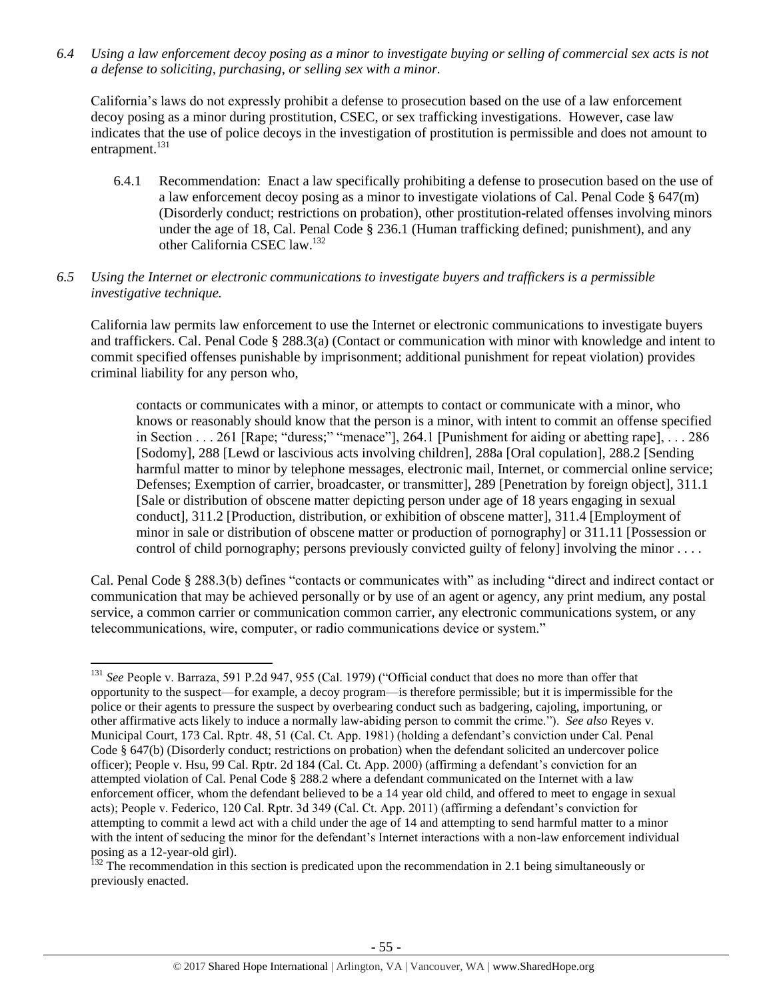*6.4 Using a law enforcement decoy posing as a minor to investigate buying or selling of commercial sex acts is not a defense to soliciting, purchasing, or selling sex with a minor.*

California's laws do not expressly prohibit a defense to prosecution based on the use of a law enforcement decoy posing as a minor during prostitution, CSEC, or sex trafficking investigations. However, case law indicates that the use of police decoys in the investigation of prostitution is permissible and does not amount to entrapment.<sup>131</sup>

- 6.4.1 Recommendation: Enact a law specifically prohibiting a defense to prosecution based on the use of a law enforcement decoy posing as a minor to investigate violations of Cal. Penal Code  $\S$  647(m) (Disorderly conduct; restrictions on probation), other prostitution-related offenses involving minors under the age of 18, Cal. Penal Code § 236.1 (Human trafficking defined; punishment), and any other California CSEC law.<sup>132</sup>
- *6.5 Using the Internet or electronic communications to investigate buyers and traffickers is a permissible investigative technique.*

California law permits law enforcement to use the Internet or electronic communications to investigate buyers and traffickers. Cal. Penal Code § 288.3(a) (Contact or communication with minor with knowledge and intent to commit specified offenses punishable by imprisonment; additional punishment for repeat violation) provides criminal liability for any person who,

contacts or communicates with a minor, or attempts to contact or communicate with a minor, who knows or reasonably should know that the person is a minor, with intent to commit an offense specified in Section . . . 261 [Rape; "duress;" "menace"], 264.1 [Punishment for aiding or abetting rape], . . . 286 [Sodomy], 288 [Lewd or lascivious acts involving children], 288a [Oral copulation], 288.2 [Sending harmful matter to minor by telephone messages, electronic mail, Internet, or commercial online service; Defenses; Exemption of carrier, broadcaster, or transmitter], 289 [Penetration by foreign object], 311.1 [Sale or distribution of obscene matter depicting person under age of 18 years engaging in sexual conduct], 311.2 [Production, distribution, or exhibition of obscene matter], 311.4 [Employment of minor in sale or distribution of obscene matter or production of pornography] or 311.11 [Possession or control of child pornography; persons previously convicted guilty of felony] involving the minor . . . .

Cal. Penal Code § 288.3(b) defines "contacts or communicates with" as including "direct and indirect contact or communication that may be achieved personally or by use of an agent or agency, any print medium, any postal service, a common carrier or communication common carrier, any electronic communications system, or any telecommunications, wire, computer, or radio communications device or system."

 $\overline{\phantom{a}}$ <sup>131</sup> *See* People v. Barraza, 591 P.2d 947, 955 (Cal. 1979) ("Official conduct that does no more than offer that opportunity to the suspect—for example, a decoy program—is therefore permissible; but it is impermissible for the police or their agents to pressure the suspect by overbearing conduct such as badgering, cajoling, importuning, or other affirmative acts likely to induce a normally law-abiding person to commit the crime."). *See also* Reyes v. Municipal Court, 173 Cal. Rptr. 48, 51 (Cal. Ct. App. 1981) (holding a defendant's conviction under Cal. Penal Code § 647(b) (Disorderly conduct; restrictions on probation) when the defendant solicited an undercover police officer); People v. Hsu, 99 Cal. Rptr. 2d 184 (Cal. Ct. App. 2000) (affirming a defendant's conviction for an attempted violation of Cal. Penal Code § 288.2 where a defendant communicated on the Internet with a law enforcement officer, whom the defendant believed to be a 14 year old child, and offered to meet to engage in sexual acts); People v. Federico, 120 Cal. Rptr. 3d 349 (Cal. Ct. App. 2011) (affirming a defendant's conviction for attempting to commit a lewd act with a child under the age of 14 and attempting to send harmful matter to a minor with the intent of seducing the minor for the defendant's Internet interactions with a non-law enforcement individual posing as a 12-year-old girl).

<sup>&</sup>lt;sup>132</sup> The recommendation in this section is predicated upon the recommendation in 2.1 being simultaneously or previously enacted.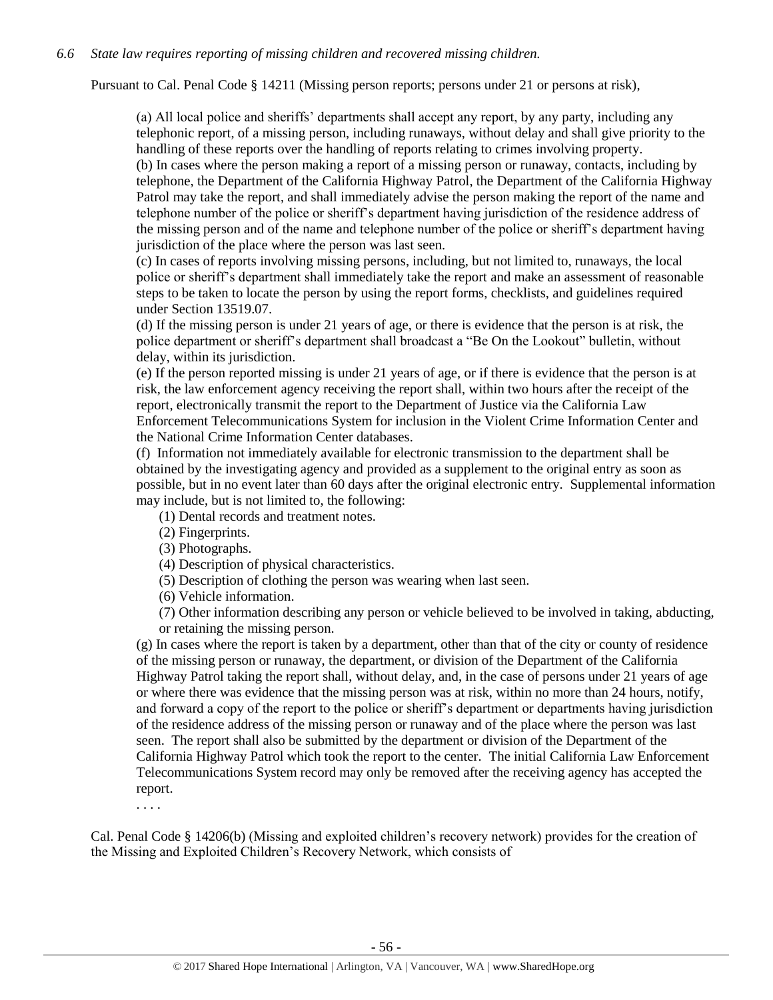## *6.6 State law requires reporting of missing children and recovered missing children.*

Pursuant to Cal. Penal Code § 14211 (Missing person reports; persons under 21 or persons at risk),

(a) All local police and sheriffs' departments shall accept any report, by any party, including any telephonic report, of a missing person, including runaways, without delay and shall give priority to the handling of these reports over the handling of reports relating to crimes involving property. (b) In cases where the person making a report of a missing person or runaway, contacts, including by telephone, the Department of the California Highway Patrol, the Department of the California Highway Patrol may take the report, and shall immediately advise the person making the report of the name and telephone number of the police or sheriff's department having jurisdiction of the residence address of the missing person and of the name and telephone number of the police or sheriff's department having jurisdiction of the place where the person was last seen.

(c) In cases of reports involving missing persons, including, but not limited to, runaways, the local police or sheriff's department shall immediately take the report and make an assessment of reasonable steps to be taken to locate the person by using the report forms, checklists, and guidelines required under Section 13519.07.

(d) If the missing person is under 21 years of age, or there is evidence that the person is at risk, the police department or sheriff's department shall broadcast a "Be On the Lookout" bulletin, without delay, within its jurisdiction.

(e) If the person reported missing is under 21 years of age, or if there is evidence that the person is at risk, the law enforcement agency receiving the report shall, within two hours after the receipt of the report, electronically transmit the report to the Department of Justice via the California Law Enforcement Telecommunications System for inclusion in the Violent Crime Information Center and the National Crime Information Center databases.

(f) Information not immediately available for electronic transmission to the department shall be obtained by the investigating agency and provided as a supplement to the original entry as soon as possible, but in no event later than 60 days after the original electronic entry. Supplemental information may include, but is not limited to, the following:

(1) Dental records and treatment notes.

(2) Fingerprints.

(3) Photographs.

(4) Description of physical characteristics.

(5) Description of clothing the person was wearing when last seen.

(6) Vehicle information.

(7) Other information describing any person or vehicle believed to be involved in taking, abducting, or retaining the missing person.

(g) In cases where the report is taken by a department, other than that of the city or county of residence of the missing person or runaway, the department, or division of the Department of the California Highway Patrol taking the report shall, without delay, and, in the case of persons under 21 years of age or where there was evidence that the missing person was at risk, within no more than 24 hours, notify, and forward a copy of the report to the police or sheriff's department or departments having jurisdiction of the residence address of the missing person or runaway and of the place where the person was last seen. The report shall also be submitted by the department or division of the Department of the California Highway Patrol which took the report to the center. The initial California Law Enforcement Telecommunications System record may only be removed after the receiving agency has accepted the report.

. . . .

Cal. Penal Code § 14206(b) (Missing and exploited children's recovery network) provides for the creation of the Missing and Exploited Children's Recovery Network, which consists of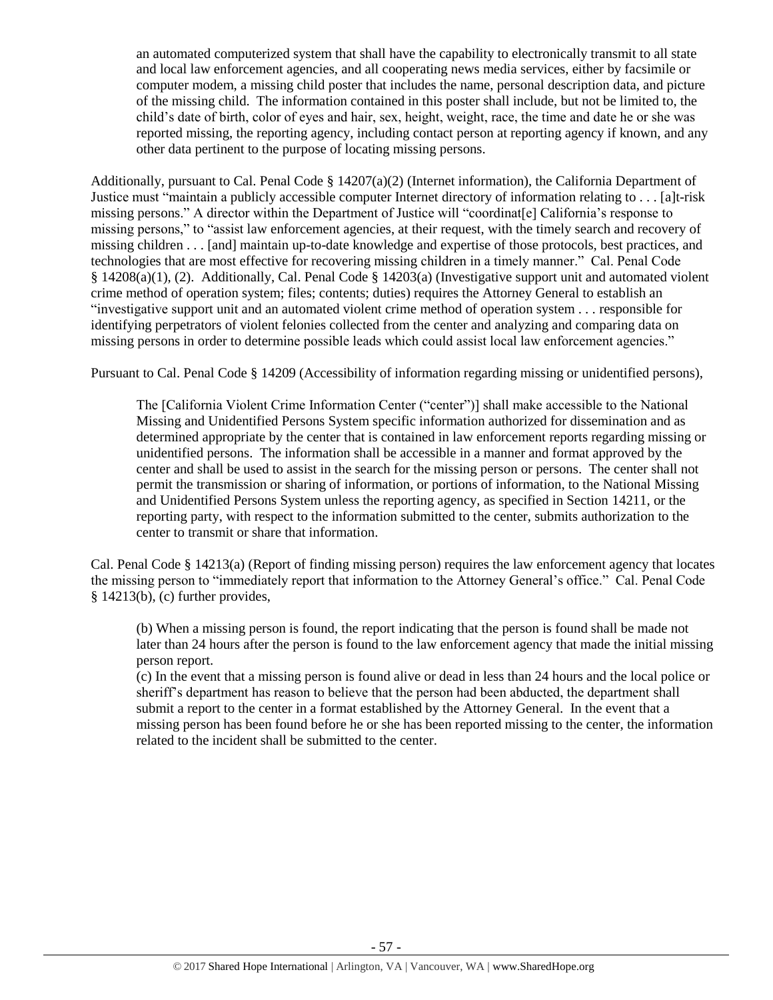an automated computerized system that shall have the capability to electronically transmit to all state and local law enforcement agencies, and all cooperating news media services, either by facsimile or computer modem, a missing child poster that includes the name, personal description data, and picture of the missing child. The information contained in this poster shall include, but not be limited to, the child's date of birth, color of eyes and hair, sex, height, weight, race, the time and date he or she was reported missing, the reporting agency, including contact person at reporting agency if known, and any other data pertinent to the purpose of locating missing persons.

Additionally, pursuant to Cal. Penal Code § 14207(a)(2) (Internet information), the California Department of Justice must "maintain a publicly accessible computer Internet directory of information relating to . . . [a]t-risk missing persons." A director within the Department of Justice will "coordinat[e] California's response to missing persons," to "assist law enforcement agencies, at their request, with the timely search and recovery of missing children . . . [and] maintain up-to-date knowledge and expertise of those protocols, best practices, and technologies that are most effective for recovering missing children in a timely manner." Cal. Penal Code § 14208(a)(1), (2). Additionally, Cal. Penal Code § 14203(a) (Investigative support unit and automated violent crime method of operation system; files; contents; duties) requires the Attorney General to establish an "investigative support unit and an automated violent crime method of operation system . . . responsible for identifying perpetrators of violent felonies collected from the center and analyzing and comparing data on missing persons in order to determine possible leads which could assist local law enforcement agencies."

Pursuant to Cal. Penal Code § 14209 (Accessibility of information regarding missing or unidentified persons),

The [California Violent Crime Information Center ("center")] shall make accessible to the National Missing and Unidentified Persons System specific information authorized for dissemination and as determined appropriate by the center that is contained in law enforcement reports regarding missing or unidentified persons. The information shall be accessible in a manner and format approved by the center and shall be used to assist in the search for the missing person or persons. The center shall not permit the transmission or sharing of information, or portions of information, to the National Missing and Unidentified Persons System unless the reporting agency, as specified in Section 14211, or the reporting party, with respect to the information submitted to the center, submits authorization to the center to transmit or share that information.

Cal. Penal Code § 14213(a) (Report of finding missing person) requires the law enforcement agency that locates the missing person to "immediately report that information to the Attorney General's office." Cal. Penal Code § 14213(b), (c) further provides,

(b) When a missing person is found, the report indicating that the person is found shall be made not later than 24 hours after the person is found to the law enforcement agency that made the initial missing person report.

(c) In the event that a missing person is found alive or dead in less than 24 hours and the local police or sheriff's department has reason to believe that the person had been abducted, the department shall submit a report to the center in a format established by the Attorney General. In the event that a missing person has been found before he or she has been reported missing to the center, the information related to the incident shall be submitted to the center.